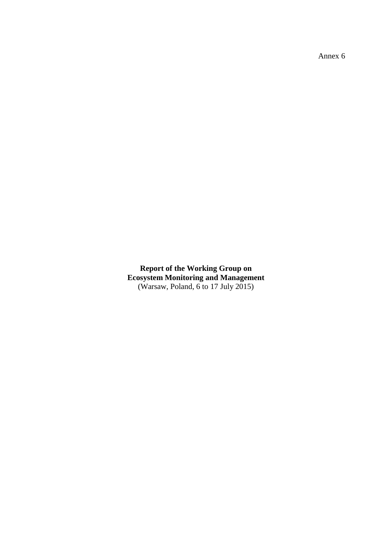Annex 6

**Report of the Working Group on Ecosystem Monitoring and Management** (Warsaw, Poland, 6 to 17 July 2015)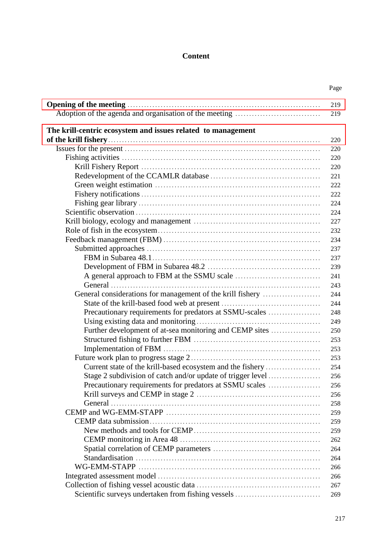# **Content**

|                                                              | Page       |
|--------------------------------------------------------------|------------|
|                                                              | 219<br>219 |
|                                                              |            |
| The krill-centric ecosystem and issues related to management |            |
|                                                              | 220        |
|                                                              | 220        |
|                                                              | 220        |
|                                                              | 220        |
|                                                              | 221        |
|                                                              | 222        |
|                                                              | 222        |
|                                                              | 224        |
|                                                              | 224        |
|                                                              | 227        |
|                                                              | 232        |
|                                                              | 234        |
|                                                              | 237        |
|                                                              | 237        |
|                                                              | 239        |
|                                                              | 241        |
|                                                              | 243        |
| General considerations for management of the krill fishery   | 244        |
|                                                              | 244        |
| Precautionary requirements for predators at SSMU-scales      | 248        |
|                                                              | 249        |
| Further development of at-sea monitoring and CEMP sites      | 250        |
|                                                              | 253        |
|                                                              | 253        |
|                                                              | 253        |
| Current state of the krill-based ecosystem and the fishery   | 254        |
| Stage 2 subdivision of catch and/or update of trigger level  | 256        |
| Precautionary requirements for predators at SSMU scales      | 256        |
|                                                              | 256        |
|                                                              | 258        |
|                                                              | 259        |
|                                                              | 259        |
|                                                              | 259        |
|                                                              |            |
|                                                              | 262        |
|                                                              | 264        |
|                                                              | 264        |
|                                                              | 266        |
|                                                              | 266        |
|                                                              | 267        |
| Scientific surveys undertaken from fishing vessels           | 269        |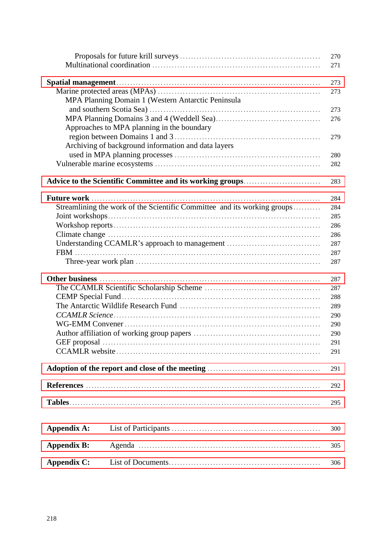| 271                                                                             |  |
|---------------------------------------------------------------------------------|--|
|                                                                                 |  |
| 273                                                                             |  |
| 273                                                                             |  |
| MPA Planning Domain 1 (Western Antarctic Peninsula                              |  |
| 273                                                                             |  |
|                                                                                 |  |
| 276                                                                             |  |
| Approaches to MPA planning in the boundary                                      |  |
| 279                                                                             |  |
| Archiving of background information and data layers                             |  |
| 280                                                                             |  |
| 282                                                                             |  |
| 283                                                                             |  |
|                                                                                 |  |
| 284                                                                             |  |
| Streamlining the work of the Scientific Committee and its working groups<br>284 |  |
| 285                                                                             |  |
| 286                                                                             |  |
| 286                                                                             |  |
| Understanding CCAMLR's approach to management<br>287                            |  |
| 287                                                                             |  |
| 287                                                                             |  |
|                                                                                 |  |
| 287                                                                             |  |
| 287                                                                             |  |
| 288                                                                             |  |
| 289                                                                             |  |
| 290                                                                             |  |
| 290                                                                             |  |
| 290                                                                             |  |
| 291                                                                             |  |
| 291                                                                             |  |
|                                                                                 |  |
| 291                                                                             |  |
| 292                                                                             |  |
|                                                                                 |  |
| 295                                                                             |  |
|                                                                                 |  |
| <b>Appendix A:</b><br>300                                                       |  |
|                                                                                 |  |
| <b>Appendix B:</b><br>305                                                       |  |
| <b>Appendix C:</b><br>306                                                       |  |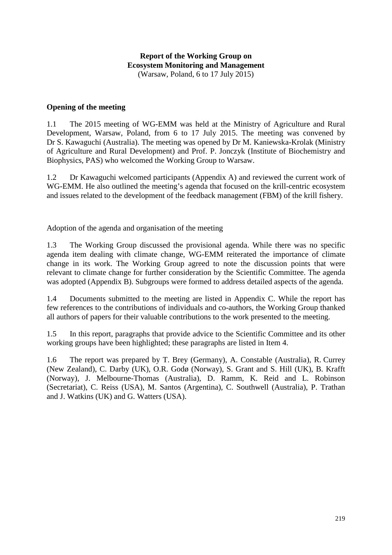### <span id="page-4-0"></span>**Opening of the meeting**

1.1 The 2015 meeting of WG-EMM was held at the Ministry of Agriculture and Rural Development, Warsaw, Poland, from 6 to 17 July 2015. The meeting was convened by Dr S. Kawaguchi (Australia). The meeting was opened by Dr M. Kaniewska-Krolak (Ministry of Agriculture and Rural Development) and Prof. P. Jonczyk (Institute of Biochemistry and Biophysics, PAS) who welcomed the Working Group to Warsaw.

1.2 Dr Kawaguchi welcomed participants (Appendix A) and reviewed the current work of WG-EMM. He also outlined the meeting's agenda that focused on the krill-centric ecosystem and issues related to the development of the feedback management (FBM) of the krill fishery.

Adoption of the agenda and organisation of the meeting

1.3 The Working Group discussed the provisional agenda. While there was no specific agenda item dealing with climate change, WG-EMM reiterated the importance of climate change in its work. The Working Group agreed to note the discussion points that were relevant to climate change for further consideration by the Scientific Committee. The agenda was adopted (Appendix B). Subgroups were formed to address detailed aspects of the agenda.

1.4 Documents submitted to the meeting are listed in Appendix C. While the report has few references to the contributions of individuals and co-authors, the Working Group thanked all authors of papers for their valuable contributions to the work presented to the meeting.

1.5 In this report, paragraphs that provide advice to the Scientific Committee and its other working groups have been highlighted; these paragraphs are listed in Item 4.

1.6 The report was prepared by T. Brey (Germany), A. Constable (Australia), R. Currey (New Zealand), C. Darby (UK), O.R. Godø (Norway), S. Grant and S. Hill (UK), B. Krafft (Norway), J. Melbourne-Thomas (Australia), D. Ramm, K. Reid and L. Robinson (Secretariat), C. Reiss (USA), M. Santos (Argentina), C. Southwell (Australia), P. Trathan and J. Watkins (UK) and G. Watters (USA).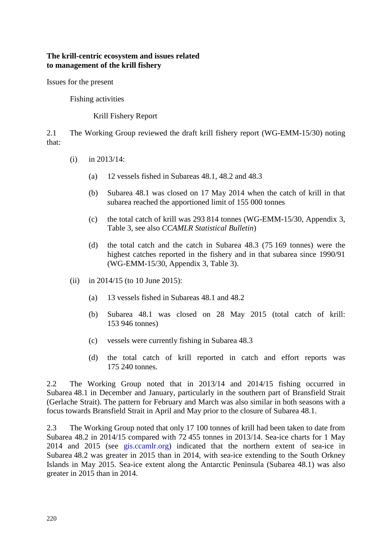#### <span id="page-5-0"></span>**The krill-centric ecosystem and issues related to management of the krill fishery**

Issues for the present

Fishing activities

Krill Fishery Report

2.1 The Working Group reviewed the draft krill fishery report (WG-EMM-15/30) noting that:

- (i) in 2013/14:
	- (a) 12 vessels fished in Subareas 48.1, 48.2 and 48.3
	- (b) Subarea 48.1 was closed on 17 May 2014 when the catch of krill in that subarea reached the apportioned limit of 155 000 tonnes
	- (c) the total catch of krill was 293 814 tonnes (WG-EMM-15/30, Appendix 3, Table 3, see also *CCAMLR Statistical Bulletin*)
	- (d) the total catch and the catch in Subarea 48.3 (75 169 tonnes) were the highest catches reported in the fishery and in that subarea since 1990/91 (WG-EMM-15/30, Appendix 3, Table 3).
- (ii) in 2014/15 (to 10 June 2015):
	- (a) 13 vessels fished in Subareas 48.1 and 48.2
	- (b) Subarea 48.1 was closed on 28 May 2015 (total catch of krill: 153 946 tonnes)
	- (c) vessels were currently fishing in Subarea 48.3
	- (d) the total catch of krill reported in catch and effort reports was 175 240 tonnes.

2.2 The Working Group noted that in 2013/14 and 2014/15 fishing occurred in Subarea 48.1 in December and January, particularly in the southern part of Bransfield Strait (Gerlache Strait). The pattern for February and March was also similar in both seasons with a focus towards Bransfield Strait in April and May prior to the closure of Subarea 48.1.

2.3 The Working Group noted that only 17 100 tonnes of krill had been taken to date from Subarea 48.2 in 2014/15 compared with 72 455 tonnes in 2013/14. Sea-ice charts for 1 May 2014 and 2015 (see gis.ccamlr.org) indicated that the northern extent of sea-ice in Subarea 48.2 was greater in 2015 than in 2014, with sea-ice extending to the South Orkney Islands in May 2015. Sea-ice extent along the Antarctic Peninsula (Subarea 48.1) was also greater in 2015 than in 2014.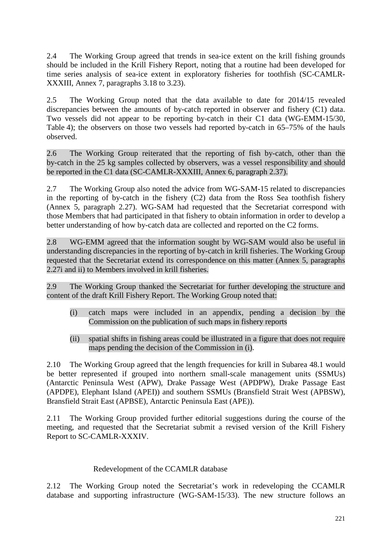2.4 The Working Group agreed that trends in sea-ice extent on the krill fishing grounds should be included in the Krill Fishery Report, noting that a routine had been developed for time series analysis of sea-ice extent in exploratory fisheries for toothfish (SC-CAMLR-XXXIII, Annex 7, paragraphs 3.18 to 3.23).

2.5 The Working Group noted that the data available to date for 2014/15 revealed discrepancies between the amounts of by-catch reported in observer and fishery (C1) data. Two vessels did not appear to be reporting by-catch in their C1 data (WG-EMM-15/30, Table 4); the observers on those two vessels had reported by-catch in 65–75% of the hauls observed.

2.6 The Working Group reiterated that the reporting of fish by-catch, other than the by-catch in the 25 kg samples collected by observers, was a vessel responsibility and should be reported in the C1 data (SC-CAMLR-XXXIII, Annex 6, paragraph 2.37).

2.7 The Working Group also noted the advice from WG-SAM-15 related to discrepancies in the reporting of by-catch in the fishery (C2) data from the Ross Sea toothfish fishery (Annex 5, paragraph 2.27). WG-SAM had requested that the Secretariat correspond with those Members that had participated in that fishery to obtain information in order to develop a better understanding of how by-catch data are collected and reported on the C2 forms.

2.8 WG-EMM agreed that the information sought by WG-SAM would also be useful in understanding discrepancies in the reporting of by-catch in krill fisheries. The Working Group requested that the Secretariat extend its correspondence on this matter (Annex 5, paragraphs 2.27i and ii) to Members involved in krill fisheries.

2.9 The Working Group thanked the Secretariat for further developing the structure and content of the draft Krill Fishery Report. The Working Group noted that:

- (i) catch maps were included in an appendix, pending a decision by the Commission on the publication of such maps in fishery reports
- (ii) spatial shifts in fishing areas could be illustrated in a figure that does not require maps pending the decision of the Commission in (i).

2.10 The Working Group agreed that the length frequencies for krill in Subarea 48.1 would be better represented if grouped into northern small-scale management units (SSMUs) (Antarctic Peninsula West (APW), Drake Passage West (APDPW), Drake Passage East (APDPE), Elephant Island (APEI)) and southern SSMUs (Bransfield Strait West (APBSW), Bransfield Strait East (APBSE), Antarctic Peninsula East (APE)).

2.11 The Working Group provided further editorial suggestions during the course of the meeting, and requested that the Secretariat submit a revised version of the Krill Fishery Report to SC-CAMLR-XXXIV.

### Redevelopment of the CCAMLR database

2.12 The Working Group noted the Secretariat's work in redeveloping the CCAMLR database and supporting infrastructure (WG-SAM-15/33). The new structure follows an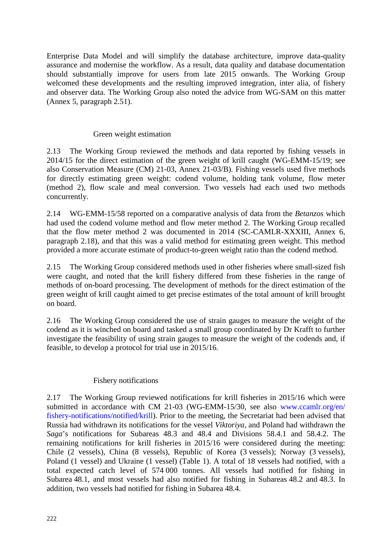Enterprise Data Model and will simplify the database architecture, improve data-quality assurance and modernise the workflow. As a result, data quality and database documentation should substantially improve for users from late 2015 onwards. The Working Group welcomed these developments and the resulting improved integration, inter alia, of fishery and observer data. The Working Group also noted the advice from WG-SAM on this matter (Annex 5, paragraph 2.51).

### Green weight estimation

2.13 The Working Group reviewed the methods and data reported by fishing vessels in 2014/15 for the direct estimation of the green weight of krill caught (WG-EMM-15/19; see also Conservation Measure (CM) 21-03, Annex 21-03/B). Fishing vessels used five methods for directly estimating green weight: codend volume, holding tank volume, flow meter (method 2), flow scale and meal conversion. Two vessels had each used two methods concurrently.

2.14 WG-EMM-15/58 reported on a comparative analysis of data from the *Betanzos* which had used the codend volume method and flow meter method 2. The Working Group recalled that the flow meter method 2 was documented in 2014 (SC-CAMLR-XXXIII, Annex 6, paragraph 2.18), and that this was a valid method for estimating green weight. This method provided a more accurate estimate of product-to-green weight ratio than the codend method.

2.15 The Working Group considered methods used in other fisheries where small-sized fish were caught, and noted that the krill fishery differed from these fisheries in the range of methods of on-board processing. The development of methods for the direct estimation of the green weight of krill caught aimed to get precise estimates of the total amount of krill brought on board.

2.16 The Working Group considered the use of strain gauges to measure the weight of the codend as it is winched on board and tasked a small group coordinated by Dr Krafft to further investigate the feasibility of using strain gauges to measure the weight of the codends and, if feasible, to develop a protocol for trial use in 2015/16.

### Fishery notifications

2.17 The Working Group reviewed notifications for krill fisheries in 2015/16 which were submitted in accordance with CM 21-03 (WG-EMM-15/30, see also [www.ccamlr.org/en/](http://www.ccamlr.org/en/fishery-notifications/notified/krill) [fishery-notifications/notified/krill\)](http://www.ccamlr.org/en/fishery-notifications/notified/krill). Prior to the meeting, the Secretariat had been advised that Russia had withdrawn its notifications for the vessel *Viktoriya*, and Poland had withdrawn the *Saga*'s notifications for Subareas 48.3 and 48.4 and Divisions 58.4.1 and 58.4.2. The remaining notifications for krill fisheries in 2015/16 were considered during the meeting: Chile (2 vessels), China (8 vessels), Republic of Korea (3 vessels); Norway (3 vessels), Poland (1 vessel) and Ukraine (1 vessel) (Table 1). A total of 18 vessels had notified, with a total expected catch level of 574 000 tonnes. All vessels had notified for fishing in Subarea 48.1, and most vessels had also notified for fishing in Subareas 48.2 and 48.3. In addition, two vessels had notified for fishing in Subarea 48.4.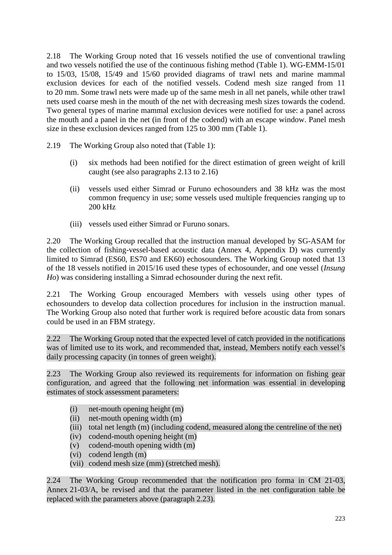2.18 The Working Group noted that 16 vessels notified the use of conventional trawling and two vessels notified the use of the continuous fishing method (Table 1). WG-EMM-15/01 to 15/03, 15/08, 15/49 and 15/60 provided diagrams of trawl nets and marine mammal exclusion devices for each of the notified vessels. Codend mesh size ranged from 11 to 20 mm. Some trawl nets were made up of the same mesh in all net panels, while other trawl nets used coarse mesh in the mouth of the net with decreasing mesh sizes towards the codend. Two general types of marine mammal exclusion devices were notified for use: a panel across the mouth and a panel in the net (in front of the codend) with an escape window. Panel mesh size in these exclusion devices ranged from 125 to 300 mm (Table 1).

2.19 The Working Group also noted that (Table 1):

- (i) six methods had been notified for the direct estimation of green weight of krill caught (see also paragraphs 2.13 to 2.16)
- (ii) vessels used either Simrad or Furuno echosounders and 38 kHz was the most common frequency in use; some vessels used multiple frequencies ranging up to 200 kHz
- (iii) vessels used either Simrad or Furuno sonars.

2.20 The Working Group recalled that the instruction manual developed by SG-ASAM for the collection of fishing-vessel-based acoustic data (Annex 4, Appendix D) was currently limited to Simrad (ES60, ES70 and EK60) echosounders. The Working Group noted that 13 of the 18 vessels notified in 2015/16 used these types of echosounder, and one vessel (*Insung Ho*) was considering installing a Simrad echosounder during the next refit.

2.21 The Working Group encouraged Members with vessels using other types of echosounders to develop data collection procedures for inclusion in the instruction manual. The Working Group also noted that further work is required before acoustic data from sonars could be used in an FBM strategy.

2.22 The Working Group noted that the expected level of catch provided in the notifications was of limited use to its work, and recommended that, instead, Members notify each vessel's daily processing capacity (in tonnes of green weight).

2.23 The Working Group also reviewed its requirements for information on fishing gear configuration, and agreed that the following net information was essential in developing estimates of stock assessment parameters:

- (i) net-mouth opening height (m)
- (ii) net-mouth opening width (m)
- (iii) total net length (m) (including codend, measured along the centreline of the net)
- (iv) codend-mouth opening height (m)
- (v) codend-mouth opening width (m)
- (vi) codend length (m)
- (vii) codend mesh size (mm) (stretched mesh).

2.24 The Working Group recommended that the notification pro forma in CM 21-03, Annex 21-03/A, be revised and that the parameter listed in the net configuration table be replaced with the parameters above (paragraph 2.23).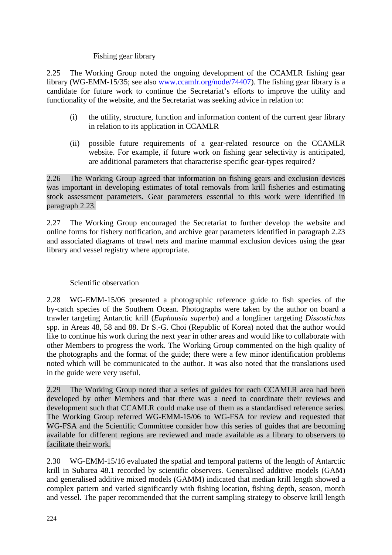### Fishing gear library

2.25 The Working Group noted the ongoing development of the CCAMLR fishing gear library (WG-EMM-15/35; see also www.ccamlr.org/node/74407). The fishing gear library is a candidate for future work to continue the Secretariat's efforts to improve the utility and functionality of the website, and the Secretariat was seeking advice in relation to:

- (i) the utility, structure, function and information content of the current gear library in relation to its application in CCAMLR
- (ii) possible future requirements of a gear-related resource on the CCAMLR website. For example, if future work on fishing gear selectivity is anticipated, are additional parameters that characterise specific gear-types required?

2.26 The Working Group agreed that information on fishing gears and exclusion devices was important in developing estimates of total removals from krill fisheries and estimating stock assessment parameters. Gear parameters essential to this work were identified in paragraph 2.23.

2.27 The Working Group encouraged the Secretariat to further develop the website and online forms for fishery notification, and archive gear parameters identified in paragraph 2.23 and associated diagrams of trawl nets and marine mammal exclusion devices using the gear library and vessel registry where appropriate.

### Scientific observation

2.28 WG-EMM-15/06 presented a photographic reference guide to fish species of the by-catch species of the Southern Ocean. Photographs were taken by the author on board a trawler targeting Antarctic krill (*Euphausia superba*) and a longliner targeting *Dissostichus* spp. in Areas 48, 58 and 88. Dr S.-G. Choi (Republic of Korea) noted that the author would like to continue his work during the next year in other areas and would like to collaborate with other Members to progress the work. The Working Group commented on the high quality of the photographs and the format of the guide; there were a few minor identification problems noted which will be communicated to the author. It was also noted that the translations used in the guide were very useful.

2.29 The Working Group noted that a series of guides for each CCAMLR area had been developed by other Members and that there was a need to coordinate their reviews and development such that CCAMLR could make use of them as a standardised reference series. The Working Group referred WG-EMM-15/06 to WG-FSA for review and requested that WG-FSA and the Scientific Committee consider how this series of guides that are becoming available for different regions are reviewed and made available as a library to observers to facilitate their work.

2.30 WG-EMM-15/16 evaluated the spatial and temporal patterns of the length of Antarctic krill in Subarea 48.1 recorded by scientific observers. Generalised additive models (GAM) and generalised additive mixed models (GAMM) indicated that median krill length showed a complex pattern and varied significantly with fishing location, fishing depth, season, month and vessel. The paper recommended that the current sampling strategy to observe krill length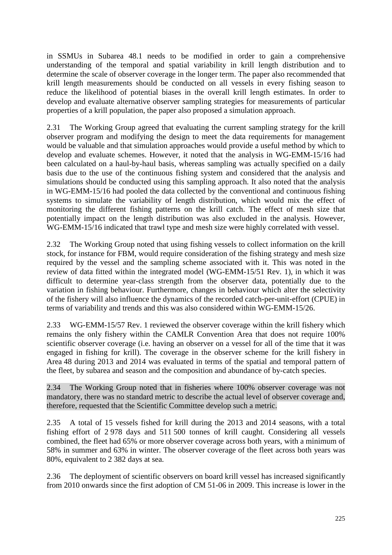in SSMUs in Subarea 48.1 needs to be modified in order to gain a comprehensive understanding of the temporal and spatial variability in krill length distribution and to determine the scale of observer coverage in the longer term. The paper also recommended that krill length measurements should be conducted on all vessels in every fishing season to reduce the likelihood of potential biases in the overall krill length estimates. In order to develop and evaluate alternative observer sampling strategies for measurements of particular properties of a krill population, the paper also proposed a simulation approach.

2.31 The Working Group agreed that evaluating the current sampling strategy for the krill observer program and modifying the design to meet the data requirements for management would be valuable and that simulation approaches would provide a useful method by which to develop and evaluate schemes. However, it noted that the analysis in WG-EMM-15/16 had been calculated on a haul-by-haul basis, whereas sampling was actually specified on a daily basis due to the use of the continuous fishing system and considered that the analysis and simulations should be conducted using this sampling approach. It also noted that the analysis in WG-EMM-15/16 had pooled the data collected by the conventional and continuous fishing systems to simulate the variability of length distribution, which would mix the effect of monitoring the different fishing patterns on the krill catch. The effect of mesh size that potentially impact on the length distribution was also excluded in the analysis. However, WG-EMM-15/16 indicated that trawl type and mesh size were highly correlated with vessel.

2.32 The Working Group noted that using fishing vessels to collect information on the krill stock, for instance for FBM, would require consideration of the fishing strategy and mesh size required by the vessel and the sampling scheme associated with it. This was noted in the review of data fitted within the integrated model (WG-EMM-15/51 Rev. 1), in which it was difficult to determine year-class strength from the observer data, potentially due to the variation in fishing behaviour. Furthermore, changes in behaviour which alter the selectivity of the fishery will also influence the dynamics of the recorded catch-per-unit-effort (CPUE) in terms of variability and trends and this was also considered within WG-EMM-15/26.

2.33 WG-EMM-15/57 Rev. 1 reviewed the observer coverage within the krill fishery which remains the only fishery within the CAMLR Convention Area that does not require 100% scientific observer coverage (i.e. having an observer on a vessel for all of the time that it was engaged in fishing for krill). The coverage in the observer scheme for the krill fishery in Area 48 during 2013 and 2014 was evaluated in terms of the spatial and temporal pattern of the fleet, by subarea and season and the composition and abundance of by-catch species.

2.34 The Working Group noted that in fisheries where 100% observer coverage was not mandatory, there was no standard metric to describe the actual level of observer coverage and, therefore, requested that the Scientific Committee develop such a metric.

2.35 A total of 15 vessels fished for krill during the 2013 and 2014 seasons, with a total fishing effort of 2 978 days and 511 500 tonnes of krill caught. Considering all vessels combined, the fleet had 65% or more observer coverage across both years, with a minimum of 58% in summer and 63% in winter. The observer coverage of the fleet across both years was 80%, equivalent to 2 382 days at sea.

2.36 The deployment of scientific observers on board krill vessel has increased significantly from 2010 onwards since the first adoption of CM 51-06 in 2009. This increase is lower in the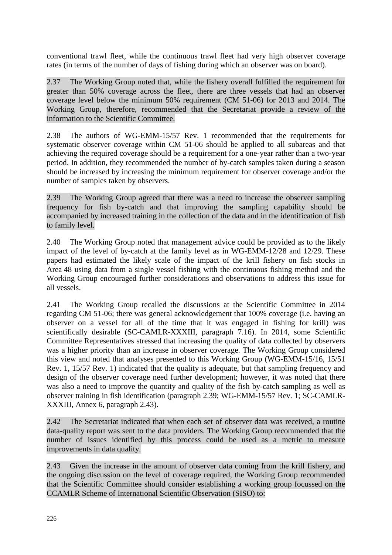conventional trawl fleet, while the continuous trawl fleet had very high observer coverage rates (in terms of the number of days of fishing during which an observer was on board).

2.37 The Working Group noted that, while the fishery overall fulfilled the requirement for greater than 50% coverage across the fleet, there are three vessels that had an observer coverage level below the minimum 50% requirement (CM 51-06) for 2013 and 2014. The Working Group, therefore, recommended that the Secretariat provide a review of the information to the Scientific Committee.

2.38 The authors of WG-EMM-15/57 Rev. 1 recommended that the requirements for systematic observer coverage within CM 51-06 should be applied to all subareas and that achieving the required coverage should be a requirement for a one-year rather than a two-year period. In addition, they recommended the number of by-catch samples taken during a season should be increased by increasing the minimum requirement for observer coverage and/or the number of samples taken by observers.

2.39 The Working Group agreed that there was a need to increase the observer sampling frequency for fish by-catch and that improving the sampling capability should be accompanied by increased training in the collection of the data and in the identification of fish to family level.

2.40 The Working Group noted that management advice could be provided as to the likely impact of the level of by-catch at the family level as in WG-EMM-12/28 and 12/29. These papers had estimated the likely scale of the impact of the krill fishery on fish stocks in Area 48 using data from a single vessel fishing with the continuous fishing method and the Working Group encouraged further considerations and observations to address this issue for all vessels.

2.41 The Working Group recalled the discussions at the Scientific Committee in 2014 regarding CM 51-06; there was general acknowledgement that 100% coverage (i.e. having an observer on a vessel for all of the time that it was engaged in fishing for krill) was scientifically desirable (SC-CAMLR-XXXIII, paragraph 7.16). In 2014, some Scientific Committee Representatives stressed that increasing the quality of data collected by observers was a higher priority than an increase in observer coverage. The Working Group considered this view and noted that analyses presented to this Working Group (WG-EMM-15/16, 15/51 Rev. 1, 15/57 Rev. 1) indicated that the quality is adequate, but that sampling frequency and design of the observer coverage need further development; however, it was noted that there was also a need to improve the quantity and quality of the fish by-catch sampling as well as observer training in fish identification (paragraph 2.39; WG-EMM-15/57 Rev. 1; SC-CAMLR-XXXIII, Annex 6, paragraph 2.43).

2.42 The Secretariat indicated that when each set of observer data was received, a routine data-quality report was sent to the data providers. The Working Group recommended that the number of issues identified by this process could be used as a metric to measure improvements in data quality.

2.43 Given the increase in the amount of observer data coming from the krill fishery, and the ongoing discussion on the level of coverage required, the Working Group recommended that the Scientific Committee should consider establishing a working group focussed on the CCAMLR Scheme of International Scientific Observation (SISO) to: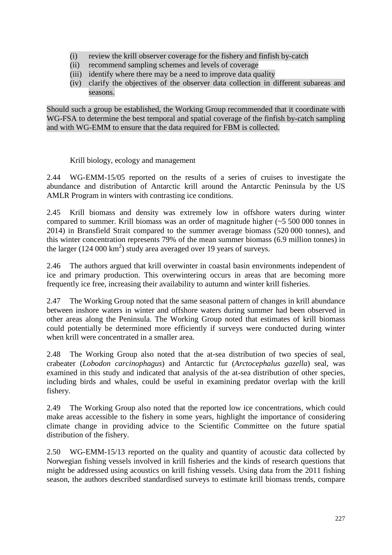- (i) review the krill observer coverage for the fishery and finfish by-catch
- (ii) recommend sampling schemes and levels of coverage
- (iii) identify where there may be a need to improve data quality
- (iv) clarify the objectives of the observer data collection in different subareas and seasons.

Should such a group be established, the Working Group recommended that it coordinate with WG-FSA to determine the best temporal and spatial coverage of the finfish by-catch sampling and with WG-EMM to ensure that the data required for FBM is collected.

Krill biology, ecology and management

2.44 WG-EMM-15/05 reported on the results of a series of cruises to investigate the abundance and distribution of Antarctic krill around the Antarctic Peninsula by the US AMLR Program in winters with contrasting ice conditions.

2.45 Krill biomass and density was extremely low in offshore waters during winter compared to summer. Krill biomass was an order of magnitude higher (~5 500 000 tonnes in 2014) in Bransfield Strait compared to the summer average biomass (520 000 tonnes), and this winter concentration represents 79% of the mean summer biomass (6.9 million tonnes) in the larger  $(124\,000\,\mathrm{km}^2)$  study area averaged over 19 years of surveys.

2.46 The authors argued that krill overwinter in coastal basin environments independent of ice and primary production. This overwintering occurs in areas that are becoming more frequently ice free, increasing their availability to autumn and winter krill fisheries.

2.47 The Working Group noted that the same seasonal pattern of changes in krill abundance between inshore waters in winter and offshore waters during summer had been observed in other areas along the Peninsula. The Working Group noted that estimates of krill biomass could potentially be determined more efficiently if surveys were conducted during winter when krill were concentrated in a smaller area.

2.48 The Working Group also noted that the at-sea distribution of two species of seal, crabeater (*Lobodon carcinophagus*) and Antarctic fur (*Arctocephalus gazella*) seal, was examined in this study and indicated that analysis of the at-sea distribution of other species, including birds and whales, could be useful in examining predator overlap with the krill fishery.

2.49 The Working Group also noted that the reported low ice concentrations, which could make areas accessible to the fishery in some years, highlight the importance of considering climate change in providing advice to the Scientific Committee on the future spatial distribution of the fishery.

2.50 WG-EMM-15/13 reported on the quality and quantity of acoustic data collected by Norwegian fishing vessels involved in krill fisheries and the kinds of research questions that might be addressed using acoustics on krill fishing vessels. Using data from the 2011 fishing season, the authors described standardised surveys to estimate krill biomass trends, compare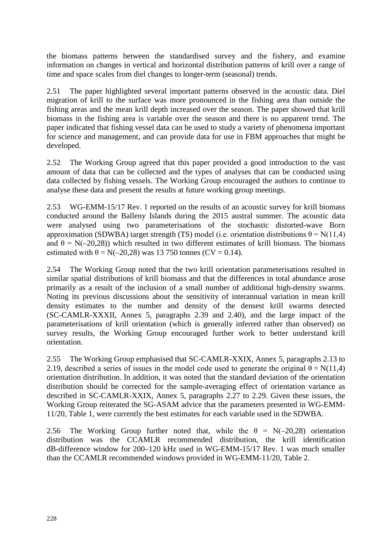the biomass patterns between the standardised survey and the fishery, and examine information on changes in vertical and horizontal distribution patterns of krill over a range of time and space scales from diel changes to longer-term (seasonal) trends.

2.51 The paper highlighted several important patterns observed in the acoustic data. Diel migration of krill to the surface was more pronounced in the fishing area than outside the fishing areas and the mean krill depth increased over the season. The paper showed that krill biomass in the fishing area is variable over the season and there is no apparent trend. The paper indicated that fishing vessel data can be used to study a variety of phenomena important for science and management, and can provide data for use in FBM approaches that might be developed.

2.52 The Working Group agreed that this paper provided a good introduction to the vast amount of data that can be collected and the types of analyses that can be conducted using data collected by fishing vessels. The Working Group encouraged the authors to continue to analyse these data and present the results at future working group meetings.

2.53 WG-EMM-15/17 Rev. 1 reported on the results of an acoustic survey for krill biomass conducted around the Balleny Islands during the 2015 austral summer. The acoustic data were analysed using two parameterisations of the stochastic distorted-wave Born approximation (SDWBA) target strength (TS) model (i.e. orientation distributions  $\theta = N(11,4)$ and  $\theta = N(-20,28)$ ) which resulted in two different estimates of krill biomass. The biomass estimated with  $\theta = N(-20,28)$  was 13 750 tonnes (CV = 0.14).

2.54 The Working Group noted that the two krill orientation parameterisations resulted in similar spatial distributions of krill biomass and that the differences in total abundance arose primarily as a result of the inclusion of a small number of additional high-density swarms. Noting its previous discussions about the sensitivity of interannual variation in mean krill density estimates to the number and density of the densest krill swarms detected (SC-CAMLR-XXXII, Annex 5, paragraphs 2.39 and 2.40), and the large impact of the parameterisations of krill orientation (which is generally inferred rather than observed) on survey results, the Working Group encouraged further work to better understand krill orientation.

2.55 The Working Group emphasised that SC-CAMLR-XXIX, Annex 5, paragraphs 2.13 to 2.19, described a series of issues in the model code used to generate the original  $\theta = N(11,4)$ orientation distribution. In addition, it was noted that the standard deviation of the orientation distribution should be corrected for the sample-averaging effect of orientation variance as described in SC-CAMLR-XXIX, Annex 5, paragraphs 2.27 to 2.29. Given these issues, the Working Group reiterated the SG-ASAM advice that the parameters presented in WG-EMM-11/20, Table 1, were currently the best estimates for each variable used in the SDWBA.

2.56 The Working Group further noted that, while the  $\theta = N(-20.28)$  orientation distribution was the CCAMLR recommended distribution, the krill identification dB-difference window for 200–120 kHz used in WG-EMM-15/17 Rev. 1 was much smaller than the CCAMLR recommended windows provided in WG-EMM-11/20, Table 2.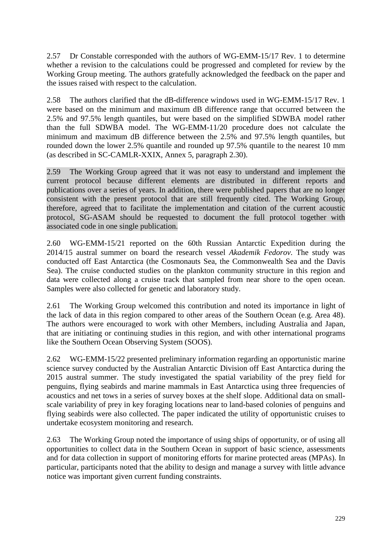2.57 Dr Constable corresponded with the authors of WG-EMM-15/17 Rev. 1 to determine whether a revision to the calculations could be progressed and completed for review by the Working Group meeting. The authors gratefully acknowledged the feedback on the paper and the issues raised with respect to the calculation.

2.58 The authors clarified that the dB-difference windows used in WG-EMM-15/17 Rev. 1 were based on the minimum and maximum dB difference range that occurred between the 2.5% and 97.5% length quantiles, but were based on the simplified SDWBA model rather than the full SDWBA model. The WG-EMM-11/20 procedure does not calculate the minimum and maximum dB difference between the 2.5% and 97.5% length quantiles, but rounded down the lower 2.5% quantile and rounded up 97.5% quantile to the nearest 10 mm (as described in SC-CAMLR-XXIX, Annex 5, paragraph 2.30).

2.59 The Working Group agreed that it was not easy to understand and implement the current protocol because different elements are distributed in different reports and publications over a series of years. In addition, there were published papers that are no longer consistent with the present protocol that are still frequently cited. The Working Group, therefore, agreed that to facilitate the implementation and citation of the current acoustic protocol, SG-ASAM should be requested to document the full protocol together with associated code in one single publication.

2.60 WG-EMM-15/21 reported on the 60th Russian Antarctic Expedition during the 2014/15 austral summer on board the research vessel *Akademik Fedorov*. The study was conducted off East Antarctica (the Cosmonauts Sea, the Commonwealth Sea and the Davis Sea). The cruise conducted studies on the plankton community structure in this region and data were collected along a cruise track that sampled from near shore to the open ocean. Samples were also collected for genetic and laboratory study.

2.61 The Working Group welcomed this contribution and noted its importance in light of the lack of data in this region compared to other areas of the Southern Ocean (e.g. Area 48). The authors were encouraged to work with other Members, including Australia and Japan, that are initiating or continuing studies in this region, and with other international programs like the Southern Ocean Observing System (SOOS).

2.62 WG-EMM-15/22 presented preliminary information regarding an opportunistic marine science survey conducted by the Australian Antarctic Division off East Antarctica during the 2015 austral summer. The study investigated the spatial variability of the prey field for penguins, flying seabirds and marine mammals in East Antarctica using three frequencies of acoustics and net tows in a series of survey boxes at the shelf slope. Additional data on smallscale variability of prey in key foraging locations near to land-based colonies of penguins and flying seabirds were also collected. The paper indicated the utility of opportunistic cruises to undertake ecosystem monitoring and research.

2.63 The Working Group noted the importance of using ships of opportunity, or of using all opportunities to collect data in the Southern Ocean in support of basic science, assessments and for data collection in support of monitoring efforts for marine protected areas (MPAs). In particular, participants noted that the ability to design and manage a survey with little advance notice was important given current funding constraints.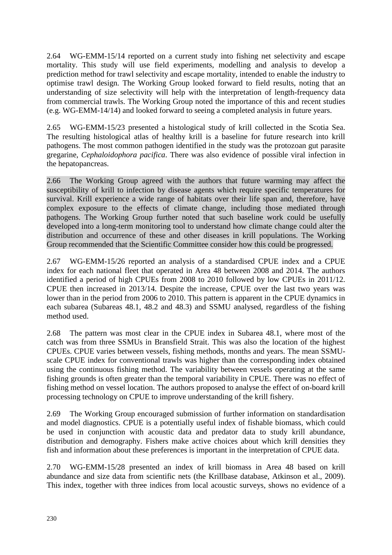2.64 WG-EMM-15/14 reported on a current study into fishing net selectivity and escape mortality. This study will use field experiments, modelling and analysis to develop a prediction method for trawl selectivity and escape mortality, intended to enable the industry to optimise trawl design. The Working Group looked forward to field results, noting that an understanding of size selectivity will help with the interpretation of length-frequency data from commercial trawls. The Working Group noted the importance of this and recent studies (e.g. WG-EMM-14/14) and looked forward to seeing a completed analysis in future years.

2.65 WG-EMM-15/23 presented a histological study of krill collected in the Scotia Sea. The resulting histological atlas of healthy krill is a baseline for future research into krill pathogens. The most common pathogen identified in the study was the protozoan gut parasite gregarine, *Cephaloidophora pacifica*. There was also evidence of possible viral infection in the hepatopancreas.

2.66 The Working Group agreed with the authors that future warming may affect the susceptibility of krill to infection by disease agents which require specific temperatures for survival. Krill experience a wide range of habitats over their life span and, therefore, have complex exposure to the effects of climate change, including those mediated through pathogens. The Working Group further noted that such baseline work could be usefully developed into a long-term monitoring tool to understand how climate change could alter the distribution and occurrence of these and other diseases in krill populations. The Working Group recommended that the Scientific Committee consider how this could be progressed.

2.67 WG-EMM-15/26 reported an analysis of a standardised CPUE index and a CPUE index for each national fleet that operated in Area 48 between 2008 and 2014. The authors identified a period of high CPUEs from 2008 to 2010 followed by low CPUEs in 2011/12. CPUE then increased in 2013/14. Despite the increase, CPUE over the last two years was lower than in the period from 2006 to 2010. This pattern is apparent in the CPUE dynamics in each subarea (Subareas 48.1, 48.2 and 48.3) and SSMU analysed, regardless of the fishing method used.

2.68 The pattern was most clear in the CPUE index in Subarea 48.1, where most of the catch was from three SSMUs in Bransfield Strait. This was also the location of the highest CPUEs. CPUE varies between vessels, fishing methods, months and years. The mean SSMUscale CPUE index for conventional trawls was higher than the corresponding index obtained using the continuous fishing method. The variability between vessels operating at the same fishing grounds is often greater than the temporal variability in CPUE. There was no effect of fishing method on vessel location. The authors proposed to analyse the effect of on-board krill processing technology on CPUE to improve understanding of the krill fishery.

2.69 The Working Group encouraged submission of further information on standardisation and model diagnostics. CPUE is a potentially useful index of fishable biomass, which could be used in conjunction with acoustic data and predator data to study krill abundance, distribution and demography. Fishers make active choices about which krill densities they fish and information about these preferences is important in the interpretation of CPUE data.

2.70 WG-EMM-15/28 presented an index of krill biomass in Area 48 based on krill abundance and size data from scientific nets (the Krillbase database, Atkinson et al., 2009). This index, together with three indices from local acoustic surveys, shows no evidence of a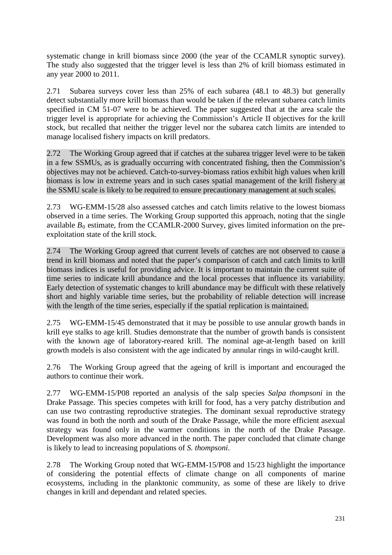systematic change in krill biomass since 2000 (the year of the CCAMLR synoptic survey). The study also suggested that the trigger level is less than 2% of krill biomass estimated in any year 2000 to 2011.

2.71 Subarea surveys cover less than 25% of each subarea (48.1 to 48.3) but generally detect substantially more krill biomass than would be taken if the relevant subarea catch limits specified in CM 51-07 were to be achieved. The paper suggested that at the area scale the trigger level is appropriate for achieving the Commission's Article II objectives for the krill stock, but recalled that neither the trigger level nor the subarea catch limits are intended to manage localised fishery impacts on krill predators.

2.72 The Working Group agreed that if catches at the subarea trigger level were to be taken in a few SSMUs, as is gradually occurring with concentrated fishing, then the Commission's objectives may not be achieved. Catch-to-survey-biomass ratios exhibit high values when krill biomass is low in extreme years and in such cases spatial management of the krill fishery at the SSMU scale is likely to be required to ensure precautionary management at such scales.

2.73 WG-EMM-15/28 also assessed catches and catch limits relative to the lowest biomass observed in a time series. The Working Group supported this approach, noting that the single available  $B_0$  estimate, from the CCAMLR-2000 Survey, gives limited information on the preexploitation state of the krill stock.

2.74 The Working Group agreed that current levels of catches are not observed to cause a trend in krill biomass and noted that the paper's comparison of catch and catch limits to krill biomass indices is useful for providing advice. It is important to maintain the current suite of time series to indicate krill abundance and the local processes that influence its variability. Early detection of systematic changes to krill abundance may be difficult with these relatively short and highly variable time series, but the probability of reliable detection will increase with the length of the time series, especially if the spatial replication is maintained.

2.75 WG-EMM-15/45 demonstrated that it may be possible to use annular growth bands in krill eye stalks to age krill. Studies demonstrate that the number of growth bands is consistent with the known age of laboratory-reared krill. The nominal age-at-length based on krill growth models is also consistent with the age indicated by annular rings in wild-caught krill.

2.76 The Working Group agreed that the ageing of krill is important and encouraged the authors to continue their work.

2.77 WG-EMM-15/P08 reported an analysis of the salp species *Salpa thompsoni* in the Drake Passage. This species competes with krill for food, has a very patchy distribution and can use two contrasting reproductive strategies. The dominant sexual reproductive strategy was found in both the north and south of the Drake Passage, while the more efficient asexual strategy was found only in the warmer conditions in the north of the Drake Passage. Development was also more advanced in the north. The paper concluded that climate change is likely to lead to increasing populations of *S. thompsoni*.

2.78 The Working Group noted that WG-EMM-15/P08 and 15/23 highlight the importance of considering the potential effects of climate change on all components of marine ecosystems, including in the planktonic community, as some of these are likely to drive changes in krill and dependant and related species.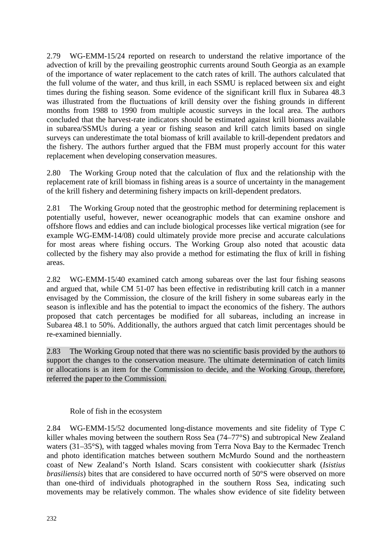2.79 WG-EMM-15/24 reported on research to understand the relative importance of the advection of krill by the prevailing geostrophic currents around South Georgia as an example of the importance of water replacement to the catch rates of krill. The authors calculated that the full volume of the water, and thus krill, in each SSMU is replaced between six and eight times during the fishing season. Some evidence of the significant krill flux in Subarea 48.3 was illustrated from the fluctuations of krill density over the fishing grounds in different months from 1988 to 1990 from multiple acoustic surveys in the local area. The authors concluded that the harvest-rate indicators should be estimated against krill biomass available in subarea/SSMUs during a year or fishing season and krill catch limits based on single surveys can underestimate the total biomass of krill available to krill-dependent predators and the fishery. The authors further argued that the FBM must properly account for this water replacement when developing conservation measures.

2.80 The Working Group noted that the calculation of flux and the relationship with the replacement rate of krill biomass in fishing areas is a source of uncertainty in the management of the krill fishery and determining fishery impacts on krill-dependent predators.

2.81 The Working Group noted that the geostrophic method for determining replacement is potentially useful, however, newer oceanographic models that can examine onshore and offshore flows and eddies and can include biological processes like vertical migration (see for example WG-EMM-14/08) could ultimately provide more precise and accurate calculations for most areas where fishing occurs. The Working Group also noted that acoustic data collected by the fishery may also provide a method for estimating the flux of krill in fishing areas.

2.82 WG-EMM-15/40 examined catch among subareas over the last four fishing seasons and argued that, while CM 51-07 has been effective in redistributing krill catch in a manner envisaged by the Commission, the closure of the krill fishery in some subareas early in the season is inflexible and has the potential to impact the economics of the fishery. The authors proposed that catch percentages be modified for all subareas, including an increase in Subarea 48.1 to 50%. Additionally, the authors argued that catch limit percentages should be re-examined biennially.

2.83 The Working Group noted that there was no scientific basis provided by the authors to support the changes to the conservation measure. The ultimate determination of catch limits or allocations is an item for the Commission to decide, and the Working Group, therefore, referred the paper to the Commission.

Role of fish in the ecosystem

2.84 WG-EMM-15/52 documented long-distance movements and site fidelity of Type C killer whales moving between the southern Ross Sea (74–77°S) and subtropical New Zealand waters (31–35°S), with tagged whales moving from Terra Nova Bay to the Kermadec Trench and photo identification matches between southern McMurdo Sound and the northeastern coast of New Zealand's North Island. Scars consistent with cookiecutter shark (*Isistius brasiliensis*) bites that are considered to have occurred north of 50°S were observed on more than one-third of individuals photographed in the southern Ross Sea, indicating such movements may be relatively common. The whales show evidence of site fidelity between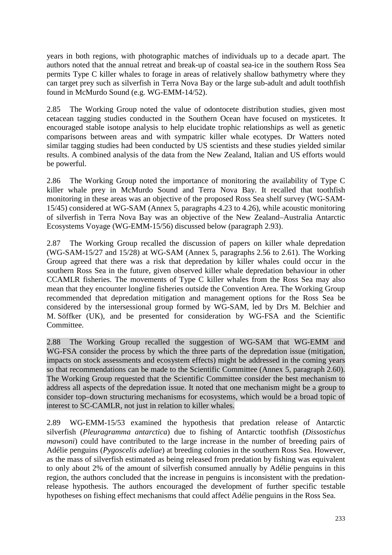years in both regions, with photographic matches of individuals up to a decade apart. The authors noted that the annual retreat and break-up of coastal sea-ice in the southern Ross Sea permits Type C killer whales to forage in areas of relatively shallow bathymetry where they can target prey such as silverfish in Terra Nova Bay or the large sub-adult and adult toothfish found in McMurdo Sound (e.g. WG-EMM-14/52).

2.85 The Working Group noted the value of odontocete distribution studies, given most cetacean tagging studies conducted in the Southern Ocean have focused on mysticetes. It encouraged stable isotope analysis to help elucidate trophic relationships as well as genetic comparisons between areas and with sympatric killer whale ecotypes. Dr Watters noted similar tagging studies had been conducted by US scientists and these studies yielded similar results. A combined analysis of the data from the New Zealand, Italian and US efforts would be powerful.

2.86 The Working Group noted the importance of monitoring the availability of Type C killer whale prey in McMurdo Sound and Terra Nova Bay. It recalled that toothfish monitoring in these areas was an objective of the proposed Ross Sea shelf survey (WG-SAM-15/45) considered at WG-SAM (Annex 5, paragraphs 4.23 to 4.26), while acoustic monitoring of silverfish in Terra Nova Bay was an objective of the New Zealand–Australia Antarctic Ecosystems Voyage (WG-EMM-15/56) discussed below (paragraph 2.93).

2.87 The Working Group recalled the discussion of papers on killer whale depredation (WG-SAM-15/27 and 15/28) at WG-SAM (Annex 5, paragraphs 2.56 to 2.61). The Working Group agreed that there was a risk that depredation by killer whales could occur in the southern Ross Sea in the future, given observed killer whale depredation behaviour in other CCAMLR fisheries. The movements of Type C killer whales from the Ross Sea may also mean that they encounter longline fisheries outside the Convention Area. The Working Group recommended that depredation mitigation and management options for the Ross Sea be considered by the intersessional group formed by WG-SAM, led by Drs M. Belchier and M. Söffker (UK), and be presented for consideration by WG-FSA and the Scientific Committee.

2.88 The Working Group recalled the suggestion of WG-SAM that WG-EMM and WG-FSA consider the process by which the three parts of the depredation issue (mitigation, impacts on stock assessments and ecosystem effects) might be addressed in the coming years so that recommendations can be made to the Scientific Committee (Annex 5, paragraph 2.60). The Working Group requested that the Scientific Committee consider the best mechanism to address all aspects of the depredation issue. It noted that one mechanism might be a group to consider top–down structuring mechanisms for ecosystems, which would be a broad topic of interest to SC-CAMLR, not just in relation to killer whales.

2.89 WG-EMM-15/53 examined the hypothesis that predation release of Antarctic silverfish (*Pleuragramma antarctica*) due to fishing of Antarctic toothfish (*Dissostichus mawsoni*) could have contributed to the large increase in the number of breeding pairs of Adélie penguins (*Pygoscelis adeliae*) at breeding colonies in the southern Ross Sea. However, as the mass of silverfish estimated as being released from predation by fishing was equivalent to only about 2% of the amount of silverfish consumed annually by Adélie penguins in this region, the authors concluded that the increase in penguins is inconsistent with the predationrelease hypothesis. The authors encouraged the development of further specific testable hypotheses on fishing effect mechanisms that could affect Adélie penguins in the Ross Sea.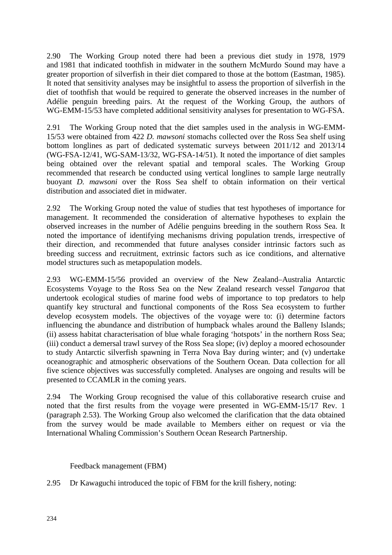2.90 The Working Group noted there had been a previous diet study in 1978, 1979 and 1981 that indicated toothfish in midwater in the southern McMurdo Sound may have a greater proportion of silverfish in their diet compared to those at the bottom (Eastman, 1985). It noted that sensitivity analyses may be insightful to assess the proportion of silverfish in the diet of toothfish that would be required to generate the observed increases in the number of Adélie penguin breeding pairs. At the request of the Working Group, the authors of WG-EMM-15/53 have completed additional sensitivity analyses for presentation to WG-FSA.

2.91 The Working Group noted that the diet samples used in the analysis in WG-EMM-15/53 were obtained from 422 *D. mawsoni* stomachs collected over the Ross Sea shelf using bottom longlines as part of dedicated systematic surveys between 2011/12 and 2013/14 (WG-FSA-12/41, WG-SAM-13/32, WG-FSA-14/51). It noted the importance of diet samples being obtained over the relevant spatial and temporal scales. The Working Group recommended that research be conducted using vertical longlines to sample large neutrally buoyant *D. mawsoni* over the Ross Sea shelf to obtain information on their vertical distribution and associated diet in midwater.

2.92 The Working Group noted the value of studies that test hypotheses of importance for management. It recommended the consideration of alternative hypotheses to explain the observed increases in the number of Adélie penguins breeding in the southern Ross Sea. It noted the importance of identifying mechanisms driving population trends, irrespective of their direction, and recommended that future analyses consider intrinsic factors such as breeding success and recruitment, extrinsic factors such as ice conditions, and alternative model structures such as metapopulation models.

2.93 WG-EMM-15/56 provided an overview of the New Zealand–Australia Antarctic Ecosystems Voyage to the Ross Sea on the New Zealand research vessel *Tangaroa* that undertook ecological studies of marine food webs of importance to top predators to help quantify key structural and functional components of the Ross Sea ecosystem to further develop ecosystem models. The objectives of the voyage were to: (i) determine factors influencing the abundance and distribution of humpback whales around the Balleny Islands; (ii) assess habitat characterisation of blue whale foraging 'hotspots' in the northern Ross Sea; (iii) conduct a demersal trawl survey of the Ross Sea slope; (iv) deploy a moored echosounder to study Antarctic silverfish spawning in Terra Nova Bay during winter; and (v) undertake oceanographic and atmospheric observations of the Southern Ocean. Data collection for all five science objectives was successfully completed. Analyses are ongoing and results will be presented to CCAMLR in the coming years.

2.94 The Working Group recognised the value of this collaborative research cruise and noted that the first results from the voyage were presented in WG-EMM-15/17 Rev. 1 (paragraph 2.53). The Working Group also welcomed the clarification that the data obtained from the survey would be made available to Members either on request or via the International Whaling Commission's Southern Ocean Research Partnership.

Feedback management (FBM)

2.95 Dr Kawaguchi introduced the topic of FBM for the krill fishery, noting: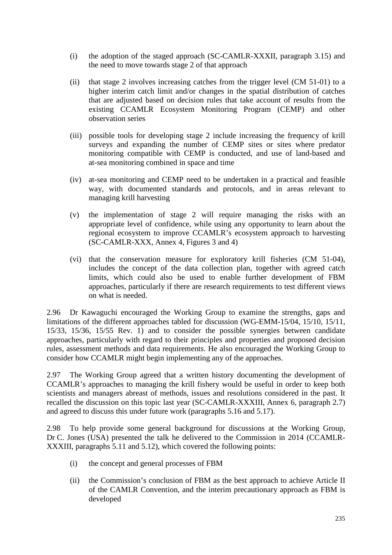- (i) the adoption of the staged approach (SC-CAMLR-XXXII, paragraph 3.15) and the need to move towards stage 2 of that approach
- (ii) that stage 2 involves increasing catches from the trigger level (CM 51-01) to a higher interim catch limit and/or changes in the spatial distribution of catches that are adjusted based on decision rules that take account of results from the existing CCAMLR Ecosystem Monitoring Program (CEMP) and other observation series
- (iii) possible tools for developing stage 2 include increasing the frequency of krill surveys and expanding the number of CEMP sites or sites where predator monitoring compatible with CEMP is conducted, and use of land-based and at-sea monitoring combined in space and time
- (iv) at-sea monitoring and CEMP need to be undertaken in a practical and feasible way, with documented standards and protocols, and in areas relevant to managing krill harvesting
- (v) the implementation of stage 2 will require managing the risks with an appropriate level of confidence, while using any opportunity to learn about the regional ecosystem to improve CCAMLR's ecosystem approach to harvesting (SC-CAMLR-XXX, Annex 4, Figures 3 and 4)
- (vi) that the conservation measure for exploratory krill fisheries (CM 51-04), includes the concept of the data collection plan, together with agreed catch limits, which could also be used to enable further development of FBM approaches, particularly if there are research requirements to test different views on what is needed.

2.96 Dr Kawaguchi encouraged the Working Group to examine the strengths, gaps and limitations of the different approaches tabled for discussion (WG-EMM-15/04, 15/10, 15/11, 15/33, 15/36, 15/55 Rev. 1) and to consider the possible synergies between candidate approaches, particularly with regard to their principles and properties and proposed decision rules, assessment methods and data requirements. He also encouraged the Working Group to consider how CCAMLR might begin implementing any of the approaches.

2.97 The Working Group agreed that a written history documenting the development of CCAMLR's approaches to managing the krill fishery would be useful in order to keep both scientists and managers abreast of methods, issues and resolutions considered in the past. It recalled the discussion on this topic last year (SC-CAMLR-XXXIII, Annex 6, paragraph 2.7) and agreed to discuss this under future work (paragraphs 5.16 and 5.17).

2.98 To help provide some general background for discussions at the Working Group, Dr C. Jones (USA) presented the talk he delivered to the Commission in 2014 (CCAMLR-XXXIII, paragraphs 5.11 and 5.12), which covered the following points:

- (i) the concept and general processes of FBM
- (ii) the Commission's conclusion of FBM as the best approach to achieve Article II of the CAMLR Convention, and the interim precautionary approach as FBM is developed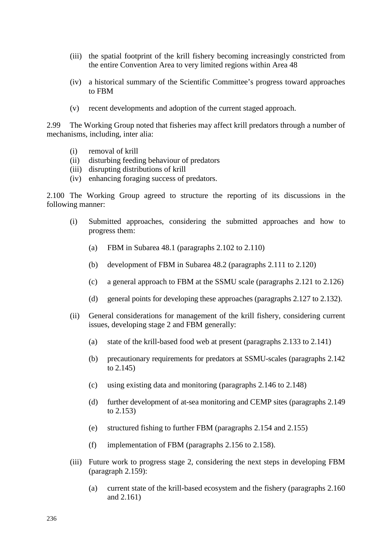- (iii) the spatial footprint of the krill fishery becoming increasingly constricted from the entire Convention Area to very limited regions within Area 48
- (iv) a historical summary of the Scientific Committee's progress toward approaches to FBM
- (v) recent developments and adoption of the current staged approach.

2.99 The Working Group noted that fisheries may affect krill predators through a number of mechanisms, including, inter alia:

- (i) removal of krill
- (ii) disturbing feeding behaviour of predators
- (iii) disrupting distributions of krill
- (iv) enhancing foraging success of predators.

2.100 The Working Group agreed to structure the reporting of its discussions in the following manner:

- (i) Submitted approaches, considering the submitted approaches and how to progress them:
	- (a) FBM in Subarea 48.1 (paragraphs 2.102 to 2.110)
	- (b) development of FBM in Subarea 48.2 (paragraphs 2.111 to 2.120)
	- (c) a general approach to FBM at the SSMU scale (paragraphs 2.121 to 2.126)
	- (d) general points for developing these approaches (paragraphs 2.127 to 2.132).
- (ii) General considerations for management of the krill fishery, considering current issues, developing stage 2 and FBM generally:
	- (a) state of the krill-based food web at present (paragraphs 2.133 to 2.141)
	- (b) precautionary requirements for predators at SSMU-scales (paragraphs 2.142 to 2.145)
	- (c) using existing data and monitoring (paragraphs 2.146 to 2.148)
	- (d) further development of at-sea monitoring and CEMP sites (paragraphs 2.149 to 2.153)
	- (e) structured fishing to further FBM (paragraphs 2.154 and 2.155)
	- (f) implementation of FBM (paragraphs 2.156 to 2.158).
- (iii) Future work to progress stage 2, considering the next steps in developing FBM (paragraph 2.159):
	- (a) current state of the krill-based ecosystem and the fishery (paragraphs 2.160 and 2.161)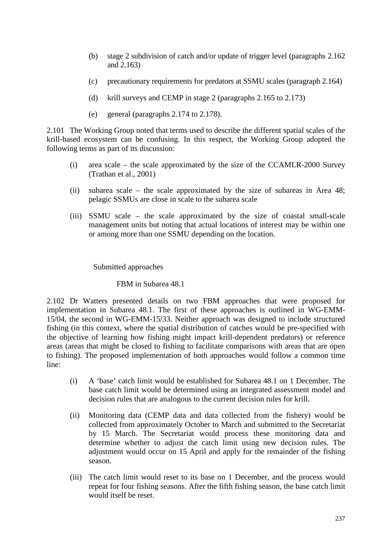- (b) stage 2 subdivision of catch and/or update of trigger level (paragraphs 2.162 and 2.163)
- (c) precautionary requirements for predators at SSMU scales (paragraph 2.164)
- (d) krill surveys and CEMP in stage 2 (paragraphs 2.165 to 2.173)
- (e) general (paragraphs 2.174 to 2.178).

2.101 The Working Group noted that terms used to describe the different spatial scales of the krill-based ecosystem can be confusing. In this respect, the Working Group adopted the following terms as part of its discussion:

- (i) area scale the scale approximated by the size of the CCAMLR-2000 Survey (Trathan et al., 2001)
- (ii) subarea scale the scale approximated by the size of subareas in Area 48; pelagic SSMUs are close in scale to the subarea scale
- (iii) SSMU scale the scale approximated by the size of coastal small-scale management units but noting that actual locations of interest may be within one or among more than one SSMU depending on the location.

Submitted approaches

### FBM in Subarea 48.1

2.102 Dr Watters presented details on two FBM approaches that were proposed for implementation in Subarea 48.1. The first of these approaches is outlined in WG-EMM-15/04, the second in WG-EMM-15/33. Neither approach was designed to include structured fishing (in this context, where the spatial distribution of catches would be pre-specified with the objective of learning how fishing might impact krill-dependent predators) or reference areas (areas that might be closed to fishing to facilitate comparisons with areas that are open to fishing). The proposed implementation of both approaches would follow a common time line:

- (i) A 'base' catch limit would be established for Subarea 48.1 on 1 December. The base catch limit would be determined using an integrated assessment model and decision rules that are analogous to the current decision rules for krill.
- (ii) Monitoring data (CEMP data and data collected from the fishery) would be collected from approximately October to March and submitted to the Secretariat by 15 March. The Secretariat would process these monitoring data and determine whether to adjust the catch limit using new decision rules. The adjustment would occur on 15 April and apply for the remainder of the fishing season.
- (iii) The catch limit would reset to its base on 1 December, and the process would repeat for four fishing seasons. After the fifth fishing season, the base catch limit would itself be reset.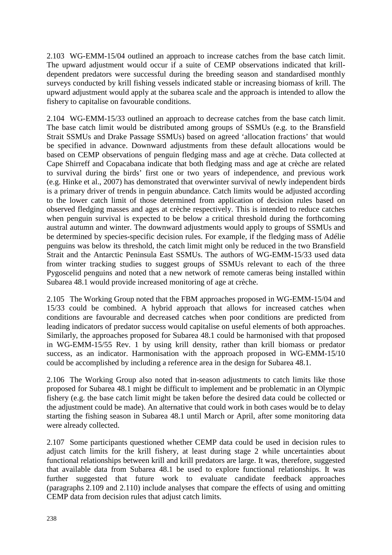2.103 WG-EMM-15/04 outlined an approach to increase catches from the base catch limit. The upward adjustment would occur if a suite of CEMP observations indicated that krilldependent predators were successful during the breeding season and standardised monthly surveys conducted by krill fishing vessels indicated stable or increasing biomass of krill. The upward adjustment would apply at the subarea scale and the approach is intended to allow the fishery to capitalise on favourable conditions.

2.104 WG-EMM-15/33 outlined an approach to decrease catches from the base catch limit. The base catch limit would be distributed among groups of SSMUs (e.g. to the Bransfield Strait SSMUs and Drake Passage SSMUs) based on agreed 'allocation fractions' that would be specified in advance. Downward adjustments from these default allocations would be based on CEMP observations of penguin fledging mass and age at crèche. Data collected at Cape Shirreff and Copacabana indicate that both fledging mass and age at crèche are related to survival during the birds' first one or two years of independence, and previous work (e.g. Hinke et al., 2007) has demonstrated that overwinter survival of newly independent birds is a primary driver of trends in penguin abundance. Catch limits would be adjusted according to the lower catch limit of those determined from application of decision rules based on observed fledging masses and ages at crèche respectively. This is intended to reduce catches when penguin survival is expected to be below a critical threshold during the forthcoming austral autumn and winter. The downward adjustments would apply to groups of SSMUs and be determined by species-specific decision rules. For example, if the fledging mass of Adélie penguins was below its threshold, the catch limit might only be reduced in the two Bransfield Strait and the Antarctic Peninsula East SSMUs. The authors of WG-EMM-15/33 used data from winter tracking studies to suggest groups of SSMUs relevant to each of the three Pygoscelid penguins and noted that a new network of remote cameras being installed within Subarea 48.1 would provide increased monitoring of age at crèche.

2.105 The Working Group noted that the FBM approaches proposed in WG-EMM-15/04 and 15/33 could be combined. A hybrid approach that allows for increased catches when conditions are favourable and decreased catches when poor conditions are predicted from leading indicators of predator success would capitalise on useful elements of both approaches. Similarly, the approaches proposed for Subarea 48.1 could be harmonised with that proposed in WG-EMM-15/55 Rev. 1 by using krill density, rather than krill biomass or predator success, as an indicator. Harmonisation with the approach proposed in WG-EMM-15/10 could be accomplished by including a reference area in the design for Subarea 48.1.

2.106 The Working Group also noted that in-season adjustments to catch limits like those proposed for Subarea 48.1 might be difficult to implement and be problematic in an Olympic fishery (e.g. the base catch limit might be taken before the desired data could be collected or the adjustment could be made). An alternative that could work in both cases would be to delay starting the fishing season in Subarea 48.1 until March or April, after some monitoring data were already collected.

2.107 Some participants questioned whether CEMP data could be used in decision rules to adjust catch limits for the krill fishery, at least during stage 2 while uncertainties about functional relationships between krill and krill predators are large. It was, therefore, suggested that available data from Subarea 48.1 be used to explore functional relationships. It was further suggested that future work to evaluate candidate feedback approaches (paragraphs 2.109 and 2.110) include analyses that compare the effects of using and omitting CEMP data from decision rules that adjust catch limits.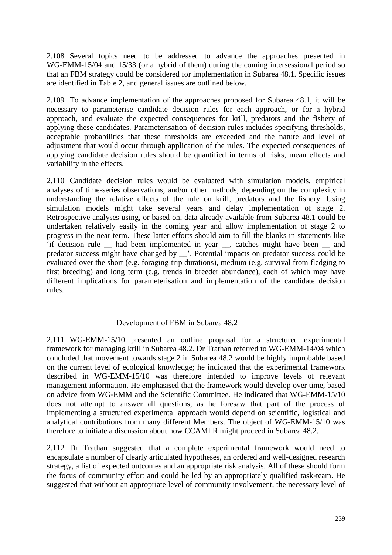2.108 Several topics need to be addressed to advance the approaches presented in WG-EMM-15/04 and 15/33 (or a hybrid of them) during the coming intersessional period so that an FBM strategy could be considered for implementation in Subarea 48.1. Specific issues are identified in Table 2, and general issues are outlined below.

2.109 To advance implementation of the approaches proposed for Subarea 48.1, it will be necessary to parameterise candidate decision rules for each approach, or for a hybrid approach, and evaluate the expected consequences for krill, predators and the fishery of applying these candidates. Parameterisation of decision rules includes specifying thresholds, acceptable probabilities that these thresholds are exceeded and the nature and level of adjustment that would occur through application of the rules. The expected consequences of applying candidate decision rules should be quantified in terms of risks, mean effects and variability in the effects.

2.110 Candidate decision rules would be evaluated with simulation models, empirical analyses of time-series observations, and/or other methods, depending on the complexity in understanding the relative effects of the rule on krill, predators and the fishery. Using simulation models might take several years and delay implementation of stage 2. Retrospective analyses using, or based on, data already available from Subarea 48.1 could be undertaken relatively easily in the coming year and allow implementation of stage 2 to progress in the near term. These latter efforts should aim to fill the blanks in statements like 'if decision rule \_\_ had been implemented in year \_\_, catches might have been \_\_ and predator success might have changed by \_\_'. Potential impacts on predator success could be evaluated over the short (e.g. foraging-trip durations), medium (e.g. survival from fledging to first breeding) and long term (e.g. trends in breeder abundance), each of which may have different implications for parameterisation and implementation of the candidate decision rules.

### Development of FBM in Subarea 48.2

2.111 WG-EMM-15/10 presented an outline proposal for a structured experimental framework for managing krill in Subarea 48.2. Dr Trathan referred to WG-EMM-14/04 which concluded that movement towards stage 2 in Subarea 48.2 would be highly improbable based on the current level of ecological knowledge; he indicated that the experimental framework described in WG-EMM-15/10 was therefore intended to improve levels of relevant management information. He emphasised that the framework would develop over time, based on advice from WG‐EMM and the Scientific Committee. He indicated that WG-EMM-15/10 does not attempt to answer all questions, as he foresaw that part of the process of implementing a structured experimental approach would depend on scientific, logistical and analytical contributions from many different Members. The object of WG-EMM-15/10 was therefore to initiate a discussion about how CCAMLR might proceed in Subarea 48.2.

2.112 Dr Trathan suggested that a complete experimental framework would need to encapsulate a number of clearly articulated hypotheses, an ordered and well-designed research strategy, a list of expected outcomes and an appropriate risk analysis. All of these should form the focus of community effort and could be led by an appropriately qualified task‐team. He suggested that without an appropriate level of community involvement, the necessary level of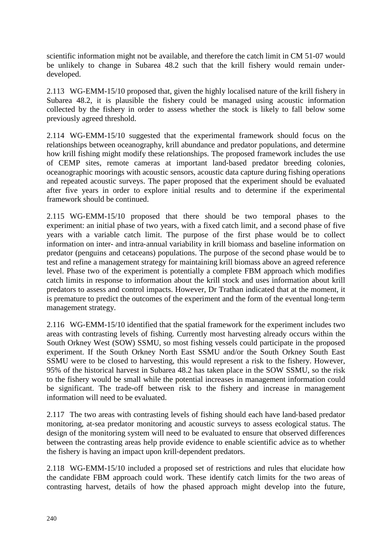scientific information might not be available, and therefore the catch limit in CM 51-07 would be unlikely to change in Subarea 48.2 such that the krill fishery would remain underdeveloped.

2.113 WG-EMM-15/10 proposed that, given the highly localised nature of the krill fishery in Subarea 48.2, it is plausible the fishery could be managed using acoustic information collected by the fishery in order to assess whether the stock is likely to fall below some previously agreed threshold.

2.114 WG-EMM-15/10 suggested that the experimental framework should focus on the relationships between oceanography, krill abundance and predator populations, and determine how krill fishing might modify these relationships. The proposed framework includes the use of CEMP sites, remote cameras at important land‐based predator breeding colonies, oceanographic moorings with acoustic sensors, acoustic data capture during fishing operations and repeated acoustic surveys. The paper proposed that the experiment should be evaluated after five years in order to explore initial results and to determine if the experimental framework should be continued.

2.115 WG-EMM-15/10 proposed that there should be two temporal phases to the experiment: an initial phase of two years, with a fixed catch limit, and a second phase of five years with a variable catch limit. The purpose of the first phase would be to collect information on inter- and intra‐annual variability in krill biomass and baseline information on predator (penguins and cetaceans) populations. The purpose of the second phase would be to test and refine a management strategy for maintaining krill biomass above an agreed reference level. Phase two of the experiment is potentially a complete FBM approach which modifies catch limits in response to information about the krill stock and uses information about krill predators to assess and control impacts. However, Dr Trathan indicated that at the moment, it is premature to predict the outcomes of the experiment and the form of the eventual long-term management strategy.

2.116 WG-EMM-15/10 identified that the spatial framework for the experiment includes two areas with contrasting levels of fishing. Currently most harvesting already occurs within the South Orkney West (SOW) SSMU, so most fishing vessels could participate in the proposed experiment. If the South Orkney North East SSMU and/or the South Orkney South East SSMU were to be closed to harvesting, this would represent a risk to the fishery. However, 95% of the historical harvest in Subarea 48.2 has taken place in the SOW SSMU, so the risk to the fishery would be small while the potential increases in management information could be significant. The trade-off between risk to the fishery and increase in management information will need to be evaluated.

2.117 The two areas with contrasting levels of fishing should each have land‐based predator monitoring, at‐sea predator monitoring and acoustic surveys to assess ecological status. The design of the monitoring system will need to be evaluated to ensure that observed differences between the contrasting areas help provide evidence to enable scientific advice as to whether the fishery is having an impact upon krill‐dependent predators.

2.118 WG-EMM-15/10 included a proposed set of restrictions and rules that elucidate how the candidate FBM approach could work. These identify catch limits for the two areas of contrasting harvest, details of how the phased approach might develop into the future,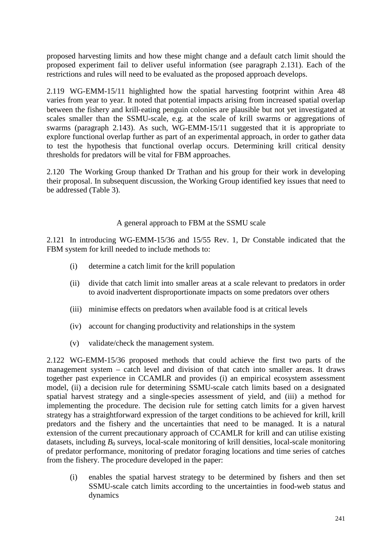proposed harvesting limits and how these might change and a default catch limit should the proposed experiment fail to deliver useful information (see paragraph 2.131). Each of the restrictions and rules will need to be evaluated as the proposed approach develops.

2.119 WG-EMM-15/11 highlighted how the spatial harvesting footprint within Area 48 varies from year to year. It noted that potential impacts arising from increased spatial overlap between the fishery and krill-eating penguin colonies are plausible but not yet investigated at scales smaller than the SSMU-scale, e.g. at the scale of krill swarms or aggregations of swarms (paragraph 2.143). As such, WG-EMM-15/11 suggested that it is appropriate to explore functional overlap further as part of an experimental approach, in order to gather data to test the hypothesis that functional overlap occurs. Determining krill critical density thresholds for predators will be vital for FBM approaches.

2.120 The Working Group thanked Dr Trathan and his group for their work in developing their proposal. In subsequent discussion, the Working Group identified key issues that need to be addressed (Table 3).

### A general approach to FBM at the SSMU scale

2.121 In introducing WG-EMM-15/36 and 15/55 Rev. 1, Dr Constable indicated that the FBM system for krill needed to include methods to:

- (i) determine a catch limit for the krill population
- (ii) divide that catch limit into smaller areas at a scale relevant to predators in order to avoid inadvertent disproportionate impacts on some predators over others
- (iii) minimise effects on predators when available food is at critical levels
- (iv) account for changing productivity and relationships in the system
- (v) validate/check the management system.

2.122 WG-EMM-15/36 proposed methods that could achieve the first two parts of the management system – catch level and division of that catch into smaller areas. It draws together past experience in CCAMLR and provides (i) an empirical ecosystem assessment model, (ii) a decision rule for determining SSMU-scale catch limits based on a designated spatial harvest strategy and a single-species assessment of yield, and (iii) a method for implementing the procedure. The decision rule for setting catch limits for a given harvest strategy has a straightforward expression of the target conditions to be achieved for krill, krill predators and the fishery and the uncertainties that need to be managed. It is a natural extension of the current precautionary approach of CCAMLR for krill and can utilise existing datasets, including  $B_0$  surveys, local-scale monitoring of krill densities, local-scale monitoring of predator performance, monitoring of predator foraging locations and time series of catches from the fishery. The procedure developed in the paper:

(i) enables the spatial harvest strategy to be determined by fishers and then set SSMU-scale catch limits according to the uncertainties in food-web status and dynamics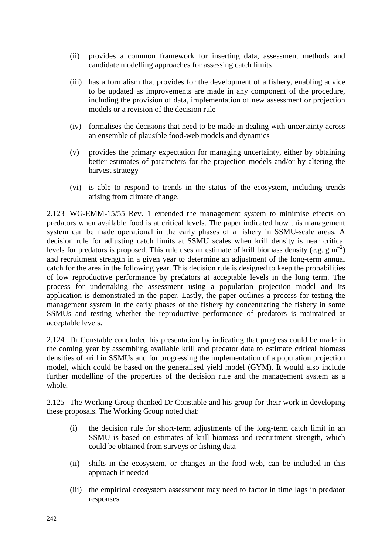- (ii) provides a common framework for inserting data, assessment methods and candidate modelling approaches for assessing catch limits
- (iii) has a formalism that provides for the development of a fishery, enabling advice to be updated as improvements are made in any component of the procedure, including the provision of data, implementation of new assessment or projection models or a revision of the decision rule
- (iv) formalises the decisions that need to be made in dealing with uncertainty across an ensemble of plausible food-web models and dynamics
- (v) provides the primary expectation for managing uncertainty, either by obtaining better estimates of parameters for the projection models and/or by altering the harvest strategy
- (vi) is able to respond to trends in the status of the ecosystem, including trends arising from climate change.

2.123 WG-EMM-15/55 Rev. 1 extended the management system to minimise effects on predators when available food is at critical levels. The paper indicated how this management system can be made operational in the early phases of a fishery in SSMU-scale areas. A decision rule for adjusting catch limits at SSMU scales when krill density is near critical levels for predators is proposed. This rule uses an estimate of krill biomass density (e.g.  $g m^{-2}$ ) and recruitment strength in a given year to determine an adjustment of the long-term annual catch for the area in the following year. This decision rule is designed to keep the probabilities of low reproductive performance by predators at acceptable levels in the long term. The process for undertaking the assessment using a population projection model and its application is demonstrated in the paper. Lastly, the paper outlines a process for testing the management system in the early phases of the fishery by concentrating the fishery in some SSMUs and testing whether the reproductive performance of predators is maintained at acceptable levels.

2.124 Dr Constable concluded his presentation by indicating that progress could be made in the coming year by assembling available krill and predator data to estimate critical biomass densities of krill in SSMUs and for progressing the implementation of a population projection model, which could be based on the generalised yield model (GYM). It would also include further modelling of the properties of the decision rule and the management system as a whole.

2.125 The Working Group thanked Dr Constable and his group for their work in developing these proposals. The Working Group noted that:

- (i) the decision rule for short-term adjustments of the long-term catch limit in an SSMU is based on estimates of krill biomass and recruitment strength, which could be obtained from surveys or fishing data
- (ii) shifts in the ecosystem, or changes in the food web, can be included in this approach if needed
- (iii) the empirical ecosystem assessment may need to factor in time lags in predator responses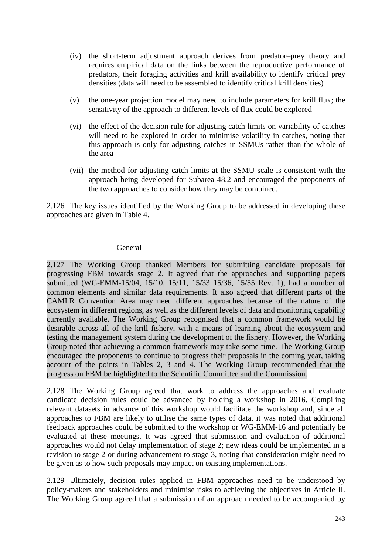- (iv) the short-term adjustment approach derives from predator–prey theory and requires empirical data on the links between the reproductive performance of predators, their foraging activities and krill availability to identify critical prey densities (data will need to be assembled to identify critical krill densities)
- (v) the one-year projection model may need to include parameters for krill flux; the sensitivity of the approach to different levels of flux could be explored
- (vi) the effect of the decision rule for adjusting catch limits on variability of catches will need to be explored in order to minimise volatility in catches, noting that this approach is only for adjusting catches in SSMUs rather than the whole of the area
- (vii) the method for adjusting catch limits at the SSMU scale is consistent with the approach being developed for Subarea 48.2 and encouraged the proponents of the two approaches to consider how they may be combined.

2.126 The key issues identified by the Working Group to be addressed in developing these approaches are given in Table 4.

#### General

2.127 The Working Group thanked Members for submitting candidate proposals for progressing FBM towards stage 2. It agreed that the approaches and supporting papers submitted (WG-EMM-15/04, 15/10, 15/11, 15/33 15/36, 15/55 Rev. 1), had a number of common elements and similar data requirements. It also agreed that different parts of the CAMLR Convention Area may need different approaches because of the nature of the ecosystem in different regions, as well as the different levels of data and monitoring capability currently available. The Working Group recognised that a common framework would be desirable across all of the krill fishery, with a means of learning about the ecosystem and testing the management system during the development of the fishery. However, the Working Group noted that achieving a common framework may take some time. The Working Group encouraged the proponents to continue to progress their proposals in the coming year, taking account of the points in Tables 2, 3 and 4. The Working Group recommended that the progress on FBM be highlighted to the Scientific Committee and the Commission.

2.128 The Working Group agreed that work to address the approaches and evaluate candidate decision rules could be advanced by holding a workshop in 2016. Compiling relevant datasets in advance of this workshop would facilitate the workshop and, since all approaches to FBM are likely to utilise the same types of data, it was noted that additional feedback approaches could be submitted to the workshop or WG-EMM-16 and potentially be evaluated at these meetings. It was agreed that submission and evaluation of additional approaches would not delay implementation of stage 2; new ideas could be implemented in a revision to stage 2 or during advancement to stage 3, noting that consideration might need to be given as to how such proposals may impact on existing implementations.

2.129 Ultimately, decision rules applied in FBM approaches need to be understood by policy-makers and stakeholders and minimise risks to achieving the objectives in Article II. The Working Group agreed that a submission of an approach needed to be accompanied by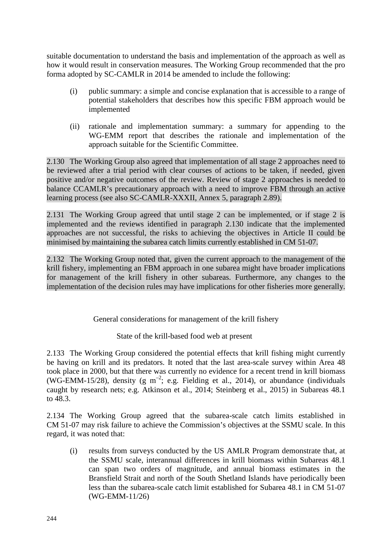suitable documentation to understand the basis and implementation of the approach as well as how it would result in conservation measures. The Working Group recommended that the pro forma adopted by SC-CAMLR in 2014 be amended to include the following:

- (i) public summary: a simple and concise explanation that is accessible to a range of potential stakeholders that describes how this specific FBM approach would be implemented
- (ii) rationale and implementation summary: a summary for appending to the WG-EMM report that describes the rationale and implementation of the approach suitable for the Scientific Committee.

2.130 The Working Group also agreed that implementation of all stage 2 approaches need to be reviewed after a trial period with clear courses of actions to be taken, if needed, given positive and/or negative outcomes of the review. Review of stage 2 approaches is needed to balance CCAMLR's precautionary approach with a need to improve FBM through an active learning process (see also SC-CAMLR-XXXII, Annex 5, paragraph 2.89).

2.131 The Working Group agreed that until stage 2 can be implemented, or if stage 2 is implemented and the reviews identified in paragraph 2.130 indicate that the implemented approaches are not successful, the risks to achieving the objectives in Article II could be minimised by maintaining the subarea catch limits currently established in CM 51-07.

2.132 The Working Group noted that, given the current approach to the management of the krill fishery, implementing an FBM approach in one subarea might have broader implications for management of the krill fishery in other subareas. Furthermore, any changes to the implementation of the decision rules may have implications for other fisheries more generally.

General considerations for management of the krill fishery

State of the krill-based food web at present

2.133 The Working Group considered the potential effects that krill fishing might currently be having on krill and its predators. It noted that the last area-scale survey within Area 48 took place in 2000, but that there was currently no evidence for a recent trend in krill biomass (WG-EMM-15/28), density (g m<sup>-2</sup>; e.g. Fielding et al., 2014), or abundance (individuals caught by research nets; e.g. Atkinson et al., 2014; Steinberg et al., 2015) in Subareas 48.1 to 48.3.

2.134 The Working Group agreed that the subarea-scale catch limits established in CM 51-07 may risk failure to achieve the Commission's objectives at the SSMU scale. In this regard, it was noted that:

(i) results from surveys conducted by the US AMLR Program demonstrate that, at the SSMU scale, interannual differences in krill biomass within Subareas 48.1 can span two orders of magnitude, and annual biomass estimates in the Bransfield Strait and north of the South Shetland Islands have periodically been less than the subarea-scale catch limit established for Subarea 48.1 in CM 51-07 (WG-EMM-11/26)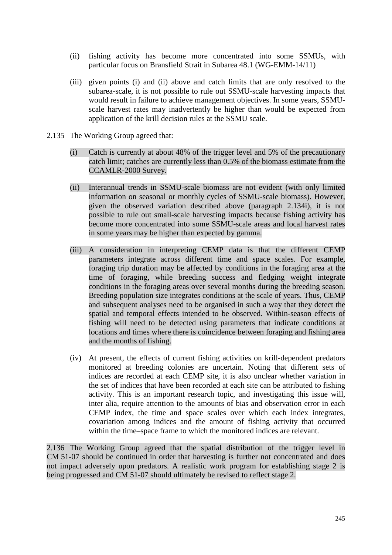- (ii) fishing activity has become more concentrated into some SSMUs, with particular focus on Bransfield Strait in Subarea 48.1 (WG-EMM-14/11)
- (iii) given points (i) and (ii) above and catch limits that are only resolved to the subarea-scale, it is not possible to rule out SSMU-scale harvesting impacts that would result in failure to achieve management objectives. In some years, SSMUscale harvest rates may inadvertently be higher than would be expected from application of the krill decision rules at the SSMU scale.
- 2.135 The Working Group agreed that:
	- (i) Catch is currently at about 48% of the trigger level and 5% of the precautionary catch limit; catches are currently less than 0.5% of the biomass estimate from the CCAMLR-2000 Survey.
	- (ii) Interannual trends in SSMU-scale biomass are not evident (with only limited information on seasonal or monthly cycles of SSMU-scale biomass). However, given the observed variation described above (paragraph 2.134i), it is not possible to rule out small-scale harvesting impacts because fishing activity has become more concentrated into some SSMU-scale areas and local harvest rates in some years may be higher than expected by gamma.
	- (iii) A consideration in interpreting CEMP data is that the different CEMP parameters integrate across different time and space scales. For example, foraging trip duration may be affected by conditions in the foraging area at the time of foraging, while breeding success and fledging weight integrate conditions in the foraging areas over several months during the breeding season. Breeding population size integrates conditions at the scale of years. Thus, CEMP and subsequent analyses need to be organised in such a way that they detect the spatial and temporal effects intended to be observed. Within-season effects of fishing will need to be detected using parameters that indicate conditions at locations and times where there is coincidence between foraging and fishing area and the months of fishing.
	- (iv) At present, the effects of current fishing activities on krill-dependent predators monitored at breeding colonies are uncertain. Noting that different sets of indices are recorded at each CEMP site, it is also unclear whether variation in the set of indices that have been recorded at each site can be attributed to fishing activity. This is an important research topic, and investigating this issue will, inter alia, require attention to the amounts of bias and observation error in each CEMP index, the time and space scales over which each index integrates, covariation among indices and the amount of fishing activity that occurred within the time–space frame to which the monitored indices are relevant.

2.136 The Working Group agreed that the spatial distribution of the trigger level in CM 51-07 should be continued in order that harvesting is further not concentrated and does not impact adversely upon predators. A realistic work program for establishing stage 2 is being progressed and CM 51-07 should ultimately be revised to reflect stage 2.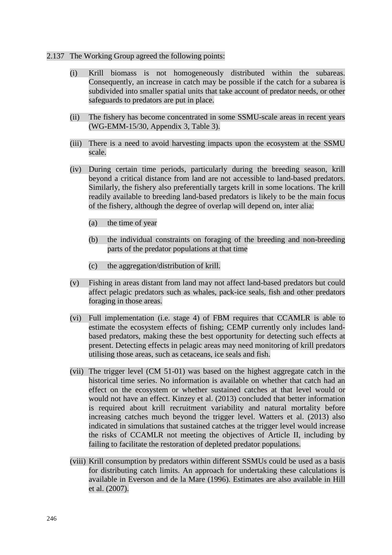#### 2.137 The Working Group agreed the following points:

- (i) Krill biomass is not homogeneously distributed within the subareas. Consequently, an increase in catch may be possible if the catch for a subarea is subdivided into smaller spatial units that take account of predator needs, or other safeguards to predators are put in place.
- (ii) The fishery has become concentrated in some SSMU-scale areas in recent years (WG-EMM-15/30, Appendix 3, Table 3).
- (iii) There is a need to avoid harvesting impacts upon the ecosystem at the SSMU scale.
- (iv) During certain time periods, particularly during the breeding season, krill beyond a critical distance from land are not accessible to land-based predators. Similarly, the fishery also preferentially targets krill in some locations. The krill readily available to breeding land-based predators is likely to be the main focus of the fishery, although the degree of overlap will depend on, inter alia:
	- (a) the time of year
	- (b) the individual constraints on foraging of the breeding and non-breeding parts of the predator populations at that time
	- (c) the aggregation/distribution of krill.
- (v) Fishing in areas distant from land may not affect land-based predators but could affect pelagic predators such as whales, pack-ice seals, fish and other predators foraging in those areas.
- (vi) Full implementation (i.e. stage 4) of FBM requires that CCAMLR is able to estimate the ecosystem effects of fishing; CEMP currently only includes landbased predators, making these the best opportunity for detecting such effects at present. Detecting effects in pelagic areas may need monitoring of krill predators utilising those areas, such as cetaceans, ice seals and fish.
- (vii) The trigger level (CM 51-01) was based on the highest aggregate catch in the historical time series. No information is available on whether that catch had an effect on the ecosystem or whether sustained catches at that level would or would not have an effect. Kinzey et al. (2013) concluded that better information is required about krill recruitment variability and natural mortality before increasing catches much beyond the trigger level. Watters et al. (2013) also indicated in simulations that sustained catches at the trigger level would increase the risks of CCAMLR not meeting the objectives of Article II, including by failing to facilitate the restoration of depleted predator populations.
- (viii) Krill consumption by predators within different SSMUs could be used as a basis for distributing catch limits. An approach for undertaking these calculations is available in Everson and de la Mare (1996). Estimates are also available in Hill et al. (2007).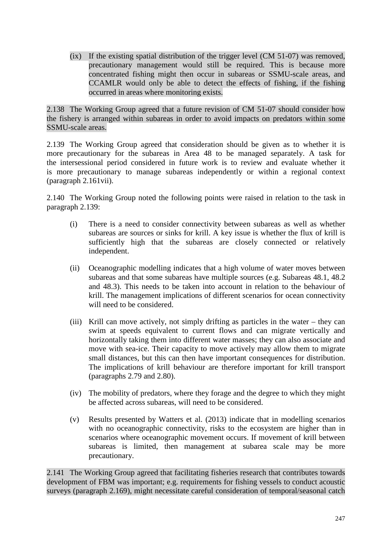(ix) If the existing spatial distribution of the trigger level (CM 51-07) was removed, precautionary management would still be required. This is because more concentrated fishing might then occur in subareas or SSMU-scale areas, and CCAMLR would only be able to detect the effects of fishing, if the fishing occurred in areas where monitoring exists.

2.138 The Working Group agreed that a future revision of CM 51-07 should consider how the fishery is arranged within subareas in order to avoid impacts on predators within some SSMU-scale areas.

2.139 The Working Group agreed that consideration should be given as to whether it is more precautionary for the subareas in Area 48 to be managed separately. A task for the intersessional period considered in future work is to review and evaluate whether it is more precautionary to manage subareas independently or within a regional context (paragraph 2.161vii).

2.140 The Working Group noted the following points were raised in relation to the task in paragraph 2.139:

- (i) There is a need to consider connectivity between subareas as well as whether subareas are sources or sinks for krill. A key issue is whether the flux of krill is sufficiently high that the subareas are closely connected or relatively independent.
- (ii) Oceanographic modelling indicates that a high volume of water moves between subareas and that some subareas have multiple sources (e.g. Subareas 48.1, 48.2 and 48.3). This needs to be taken into account in relation to the behaviour of krill. The management implications of different scenarios for ocean connectivity will need to be considered.
- (iii) Krill can move actively, not simply drifting as particles in the water they can swim at speeds equivalent to current flows and can migrate vertically and horizontally taking them into different water masses; they can also associate and move with sea-ice. Their capacity to move actively may allow them to migrate small distances, but this can then have important consequences for distribution. The implications of krill behaviour are therefore important for krill transport (paragraphs 2.79 and 2.80).
- (iv) The mobility of predators, where they forage and the degree to which they might be affected across subareas, will need to be considered.
- (v) Results presented by Watters et al. (2013) indicate that in modelling scenarios with no oceanographic connectivity, risks to the ecosystem are higher than in scenarios where oceanographic movement occurs. If movement of krill between subareas is limited, then management at subarea scale may be more precautionary.

2.141 The Working Group agreed that facilitating fisheries research that contributes towards development of FBM was important; e.g. requirements for fishing vessels to conduct acoustic surveys (paragraph 2.169), might necessitate careful consideration of temporal/seasonal catch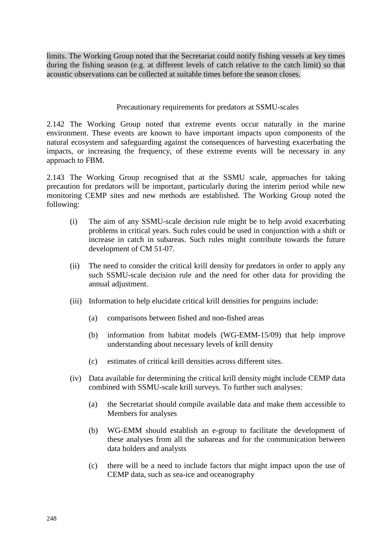limits. The Working Group noted that the Secretariat could notify fishing vessels at key times during the fishing season (e.g. at different levels of catch relative to the catch limit) so that acoustic observations can be collected at suitable times before the season closes.

#### Precautionary requirements for predators at SSMU-scales

2.142 The Working Group noted that extreme events occur naturally in the marine environment. These events are known to have important impacts upon components of the natural ecosystem and safeguarding against the consequences of harvesting exacerbating the impacts, or increasing the frequency, of these extreme events will be necessary in any approach to FBM.

2.143 The Working Group recognised that at the SSMU scale, approaches for taking precaution for predators will be important, particularly during the interim period while new monitoring CEMP sites and new methods are established. The Working Group noted the following:

- (i) The aim of any SSMU-scale decision rule might be to help avoid exacerbating problems in critical years. Such rules could be used in conjunction with a shift or increase in catch in subareas. Such rules might contribute towards the future development of CM 51-07.
- (ii) The need to consider the critical krill density for predators in order to apply any such SSMU-scale decision rule and the need for other data for providing the annual adjustment.
- (iii) Information to help elucidate critical krill densities for penguins include:
	- (a) comparisons between fished and non-fished areas
	- (b) information from habitat models (WG-EMM-15/09) that help improve understanding about necessary levels of krill density
	- (c) estimates of critical krill densities across different sites.
- (iv) Data available for determining the critical krill density might include CEMP data combined with SSMU-scale krill surveys. To further such analyses:
	- (a) the Secretariat should compile available data and make them accessible to Members for analyses
	- (b) WG-EMM should establish an e-group to facilitate the development of these analyses from all the subareas and for the communication between data holders and analysts
	- (c) there will be a need to include factors that might impact upon the use of CEMP data, such as sea-ice and oceanography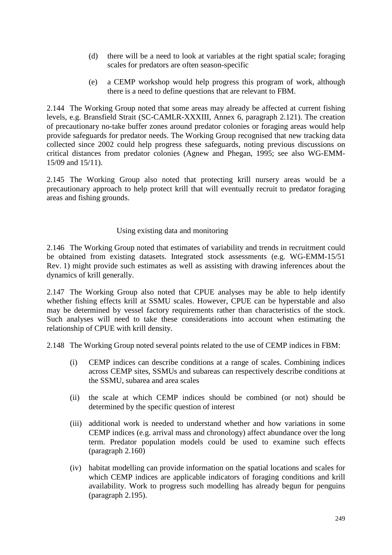- (d) there will be a need to look at variables at the right spatial scale; foraging scales for predators are often season-specific
- (e) a CEMP workshop would help progress this program of work, although there is a need to define questions that are relevant to FBM.

2.144 The Working Group noted that some areas may already be affected at current fishing levels, e.g. Bransfield Strait (SC-CAMLR-XXXIII, Annex 6, paragraph 2.121). The creation of precautionary no-take buffer zones around predator colonies or foraging areas would help provide safeguards for predator needs. The Working Group recognised that new tracking data collected since 2002 could help progress these safeguards, noting previous discussions on critical distances from predator colonies (Agnew and Phegan, 1995; see also WG-EMM-15/09 and 15/11).

2.145 The Working Group also noted that protecting krill nursery areas would be a precautionary approach to help protect krill that will eventually recruit to predator foraging areas and fishing grounds.

## Using existing data and monitoring

2.146 The Working Group noted that estimates of variability and trends in recruitment could be obtained from existing datasets. Integrated stock assessments (e.g. WG-EMM-15/51 Rev. 1) might provide such estimates as well as assisting with drawing inferences about the dynamics of krill generally.

2.147 The Working Group also noted that CPUE analyses may be able to help identify whether fishing effects krill at SSMU scales. However, CPUE can be hyperstable and also may be determined by vessel factory requirements rather than characteristics of the stock. Such analyses will need to take these considerations into account when estimating the relationship of CPUE with krill density.

2.148 The Working Group noted several points related to the use of CEMP indices in FBM:

- (i) CEMP indices can describe conditions at a range of scales. Combining indices across CEMP sites, SSMUs and subareas can respectively describe conditions at the SSMU, subarea and area scales
- (ii) the scale at which CEMP indices should be combined (or not) should be determined by the specific question of interest
- (iii) additional work is needed to understand whether and how variations in some CEMP indices (e.g. arrival mass and chronology) affect abundance over the long term. Predator population models could be used to examine such effects (paragraph 2.160)
- (iv) habitat modelling can provide information on the spatial locations and scales for which CEMP indices are applicable indicators of foraging conditions and krill availability. Work to progress such modelling has already begun for penguins (paragraph 2.195).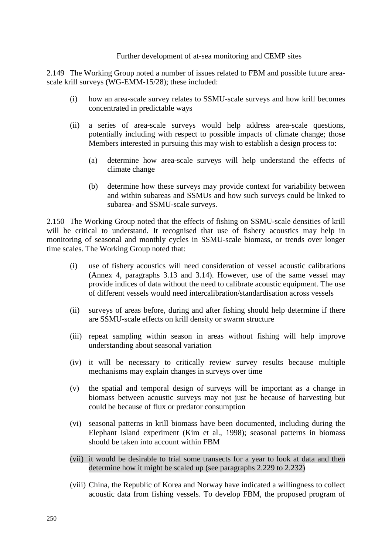#### Further development of at-sea monitoring and CEMP sites

2.149 The Working Group noted a number of issues related to FBM and possible future areascale krill surveys (WG-EMM-15/28); these included:

- (i) how an area-scale survey relates to SSMU-scale surveys and how krill becomes concentrated in predictable ways
- (ii) a series of area-scale surveys would help address area-scale questions, potentially including with respect to possible impacts of climate change; those Members interested in pursuing this may wish to establish a design process to:
	- (a) determine how area-scale surveys will help understand the effects of climate change
	- (b) determine how these surveys may provide context for variability between and within subareas and SSMUs and how such surveys could be linked to subarea- and SSMU-scale surveys.

2.150 The Working Group noted that the effects of fishing on SSMU-scale densities of krill will be critical to understand. It recognised that use of fishery acoustics may help in monitoring of seasonal and monthly cycles in SSMU-scale biomass, or trends over longer time scales. The Working Group noted that:

- (i) use of fishery acoustics will need consideration of vessel acoustic calibrations (Annex 4, paragraphs 3.13 and 3.14). However, use of the same vessel may provide indices of data without the need to calibrate acoustic equipment. The use of different vessels would need intercalibration/standardisation across vessels
- (ii) surveys of areas before, during and after fishing should help determine if there are SSMU-scale effects on krill density or swarm structure
- (iii) repeat sampling within season in areas without fishing will help improve understanding about seasonal variation
- (iv) it will be necessary to critically review survey results because multiple mechanisms may explain changes in surveys over time
- (v) the spatial and temporal design of surveys will be important as a change in biomass between acoustic surveys may not just be because of harvesting but could be because of flux or predator consumption
- (vi) seasonal patterns in krill biomass have been documented, including during the Elephant Island experiment (Kim et al., 1998); seasonal patterns in biomass should be taken into account within FBM
- (vii) it would be desirable to trial some transects for a year to look at data and then determine how it might be scaled up (see paragraphs 2.229 to 2.232)
- (viii) China, the Republic of Korea and Norway have indicated a willingness to collect acoustic data from fishing vessels. To develop FBM, the proposed program of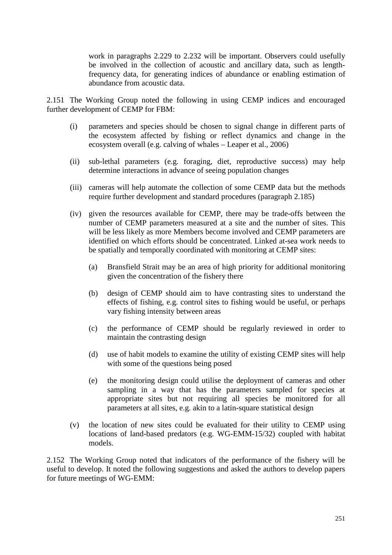work in paragraphs 2.229 to 2.232 will be important. Observers could usefully be involved in the collection of acoustic and ancillary data, such as lengthfrequency data, for generating indices of abundance or enabling estimation of abundance from acoustic data.

2.151 The Working Group noted the following in using CEMP indices and encouraged further development of CEMP for FBM:

- (i) parameters and species should be chosen to signal change in different parts of the ecosystem affected by fishing or reflect dynamics and change in the ecosystem overall (e.g. calving of whales – Leaper et al., 2006)
- (ii) sub-lethal parameters (e.g. foraging, diet, reproductive success) may help determine interactions in advance of seeing population changes
- (iii) cameras will help automate the collection of some CEMP data but the methods require further development and standard procedures (paragraph 2.185)
- (iv) given the resources available for CEMP, there may be trade-offs between the number of CEMP parameters measured at a site and the number of sites. This will be less likely as more Members become involved and CEMP parameters are identified on which efforts should be concentrated. Linked at-sea work needs to be spatially and temporally coordinated with monitoring at CEMP sites:
	- (a) Bransfield Strait may be an area of high priority for additional monitoring given the concentration of the fishery there
	- (b) design of CEMP should aim to have contrasting sites to understand the effects of fishing, e.g. control sites to fishing would be useful, or perhaps vary fishing intensity between areas
	- (c) the performance of CEMP should be regularly reviewed in order to maintain the contrasting design
	- (d) use of habit models to examine the utility of existing CEMP sites will help with some of the questions being posed
	- (e) the monitoring design could utilise the deployment of cameras and other sampling in a way that has the parameters sampled for species at appropriate sites but not requiring all species be monitored for all parameters at all sites, e.g. akin to a latin-square statistical design
- (v) the location of new sites could be evaluated for their utility to CEMP using locations of land-based predators (e.g. WG-EMM-15/32) coupled with habitat models.

2.152 The Working Group noted that indicators of the performance of the fishery will be useful to develop. It noted the following suggestions and asked the authors to develop papers for future meetings of WG-EMM: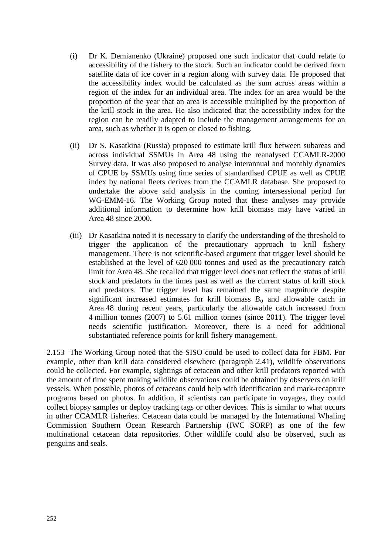- (i) Dr K. Demianenko (Ukraine) proposed one such indicator that could relate to accessibility of the fishery to the stock. Such an indicator could be derived from satellite data of ice cover in a region along with survey data. He proposed that the accessibility index would be calculated as the sum across areas within a region of the index for an individual area. The index for an area would be the proportion of the year that an area is accessible multiplied by the proportion of the krill stock in the area. He also indicated that the accessibility index for the region can be readily adapted to include the management arrangements for an area, such as whether it is open or closed to fishing.
- (ii) Dr S. Kasatkina (Russia) proposed to estimate krill flux between subareas and across individual SSMUs in Area 48 using the reanalysed CCAMLR-2000 Survey data. It was also proposed to analyse interannual and monthly dynamics of CPUE by SSMUs using time series of standardised CPUE as well as CPUE index by national fleets derives from the CCAMLR database. She proposed to undertake the above said analysis in the coming intersessional period for WG-EMM-16. The Working Group noted that these analyses may provide additional information to determine how krill biomass may have varied in Area 48 since 2000.
- (iii) Dr Kasatkina noted it is necessary to clarify the understanding of the threshold to trigger the application of the precautionary approach to krill fishery management. There is not scientific-based argument that trigger level should be established at the level of 620 000 tonnes and used as the precautionary catch limit for Area 48. She recalled that trigger level does not reflect the status of krill stock and predators in the times past as well as the current status of krill stock and predators. The trigger level has remained the same magnitude despite significant increased estimates for krill biomass  $B_0$  and allowable catch in Area 48 during recent years, particularly the allowable catch increased from 4 million tonnes (2007) to 5.61 million tonnes (since 2011). The trigger level needs scientific justification. Moreover, there is a need for additional substantiated reference points for krill fishery management.

2.153 The Working Group noted that the SISO could be used to collect data for FBM. For example, other than krill data considered elsewhere (paragraph 2.41), wildlife observations could be collected. For example, sightings of cetacean and other krill predators reported with the amount of time spent making wildlife observations could be obtained by observers on krill vessels. When possible, photos of cetaceans could help with identification and mark-recapture programs based on photos. In addition, if scientists can participate in voyages, they could collect biopsy samples or deploy tracking tags or other devices. This is similar to what occurs in other CCAMLR fisheries. Cetacean data could be managed by the International Whaling Commission Southern Ocean Research Partnership (IWC SORP) as one of the few multinational cetacean data repositories. Other wildlife could also be observed, such as penguins and seals.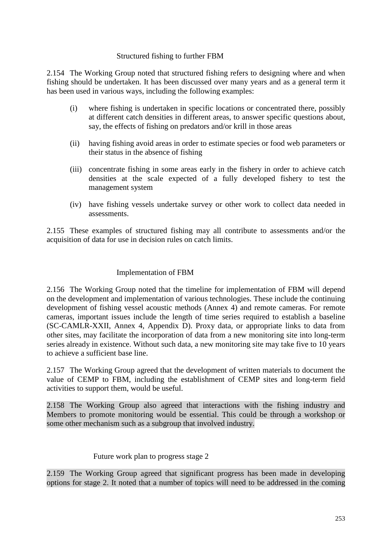## Structured fishing to further FBM

2.154 The Working Group noted that structured fishing refers to designing where and when fishing should be undertaken. It has been discussed over many years and as a general term it has been used in various ways, including the following examples:

- (i) where fishing is undertaken in specific locations or concentrated there, possibly at different catch densities in different areas, to answer specific questions about, say, the effects of fishing on predators and/or krill in those areas
- (ii) having fishing avoid areas in order to estimate species or food web parameters or their status in the absence of fishing
- (iii) concentrate fishing in some areas early in the fishery in order to achieve catch densities at the scale expected of a fully developed fishery to test the management system
- (iv) have fishing vessels undertake survey or other work to collect data needed in assessments.

2.155 These examples of structured fishing may all contribute to assessments and/or the acquisition of data for use in decision rules on catch limits.

## Implementation of FBM

2.156 The Working Group noted that the timeline for implementation of FBM will depend on the development and implementation of various technologies. These include the continuing development of fishing vessel acoustic methods (Annex 4) and remote cameras. For remote cameras, important issues include the length of time series required to establish a baseline (SC-CAMLR-XXII, Annex 4, Appendix D). Proxy data, or appropriate links to data from other sites, may facilitate the incorporation of data from a new monitoring site into long-term series already in existence. Without such data, a new monitoring site may take five to 10 years to achieve a sufficient base line.

2.157 The Working Group agreed that the development of written materials to document the value of CEMP to FBM, including the establishment of CEMP sites and long-term field activities to support them, would be useful.

2.158 The Working Group also agreed that interactions with the fishing industry and Members to promote monitoring would be essential. This could be through a workshop or some other mechanism such as a subgroup that involved industry.

#### Future work plan to progress stage 2

2.159 The Working Group agreed that significant progress has been made in developing options for stage 2. It noted that a number of topics will need to be addressed in the coming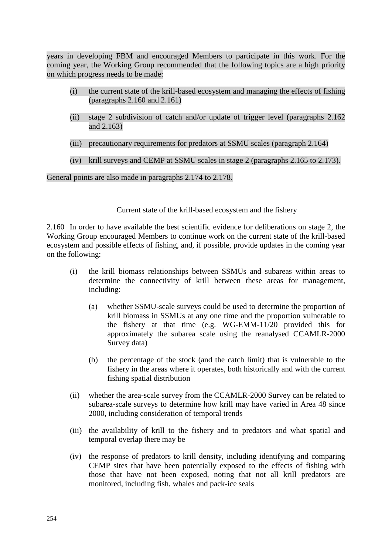years in developing FBM and encouraged Members to participate in this work. For the coming year, the Working Group recommended that the following topics are a high priority on which progress needs to be made:

- (i) the current state of the krill-based ecosystem and managing the effects of fishing (paragraphs 2.160 and 2.161)
- (ii) stage 2 subdivision of catch and/or update of trigger level (paragraphs 2.162 and 2.163)
- (iii) precautionary requirements for predators at SSMU scales (paragraph 2.164)
- (iv) krill surveys and CEMP at SSMU scales in stage 2 (paragraphs 2.165 to 2.173).

General points are also made in paragraphs 2.174 to 2.178.

Current state of the krill-based ecosystem and the fishery

2.160 In order to have available the best scientific evidence for deliberations on stage 2, the Working Group encouraged Members to continue work on the current state of the krill-based ecosystem and possible effects of fishing, and, if possible, provide updates in the coming year on the following:

- (i) the krill biomass relationships between SSMUs and subareas within areas to determine the connectivity of krill between these areas for management, including:
	- (a) whether SSMU-scale surveys could be used to determine the proportion of krill biomass in SSMUs at any one time and the proportion vulnerable to the fishery at that time (e.g. WG-EMM-11/20 provided this for approximately the subarea scale using the reanalysed CCAMLR-2000 Survey data)
	- (b) the percentage of the stock (and the catch limit) that is vulnerable to the fishery in the areas where it operates, both historically and with the current fishing spatial distribution
- (ii) whether the area-scale survey from the CCAMLR-2000 Survey can be related to subarea-scale surveys to determine how krill may have varied in Area 48 since 2000, including consideration of temporal trends
- (iii) the availability of krill to the fishery and to predators and what spatial and temporal overlap there may be
- (iv) the response of predators to krill density, including identifying and comparing CEMP sites that have been potentially exposed to the effects of fishing with those that have not been exposed, noting that not all krill predators are monitored, including fish, whales and pack-ice seals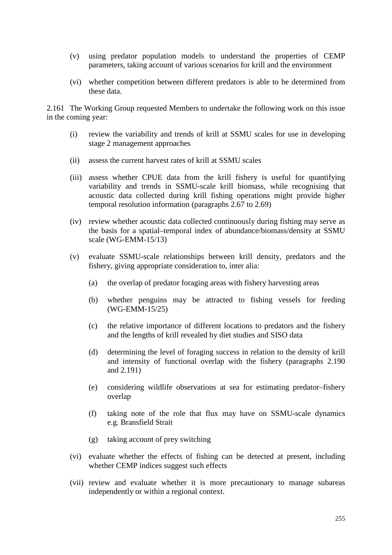- (v) using predator population models to understand the properties of CEMP parameters, taking account of various scenarios for krill and the environment
- (vi) whether competition between different predators is able to be determined from these data.

2.161 The Working Group requested Members to undertake the following work on this issue in the coming year:

- (i) review the variability and trends of krill at SSMU scales for use in developing stage 2 management approaches
- (ii) assess the current harvest rates of krill at SSMU scales
- (iii) assess whether CPUE data from the krill fishery is useful for quantifying variability and trends in SSMU-scale krill biomass, while recognising that acoustic data collected during krill fishing operations might provide higher temporal resolution information (paragraphs 2.67 to 2.69)
- (iv) review whether acoustic data collected continuously during fishing may serve as the basis for a spatial–temporal index of abundance/biomass/density at SSMU scale (WG-EMM-15/13)
- (v) evaluate SSMU-scale relationships between krill density, predators and the fishery, giving appropriate consideration to, inter alia:
	- (a) the overlap of predator foraging areas with fishery harvesting areas
	- (b) whether penguins may be attracted to fishing vessels for feeding (WG-EMM-15/25)
	- (c) the relative importance of different locations to predators and the fishery and the lengths of krill revealed by diet studies and SISO data
	- (d) determining the level of foraging success in relation to the density of krill and intensity of functional overlap with the fishery (paragraphs 2.190 and 2.191)
	- (e) considering wildlife observations at sea for estimating predator–fishery overlap
	- (f) taking note of the role that flux may have on SSMU-scale dynamics e.g. Bransfield Strait
	- (g) taking account of prey switching
- (vi) evaluate whether the effects of fishing can be detected at present, including whether CEMP indices suggest such effects
- (vii) review and evaluate whether it is more precautionary to manage subareas independently or within a regional context.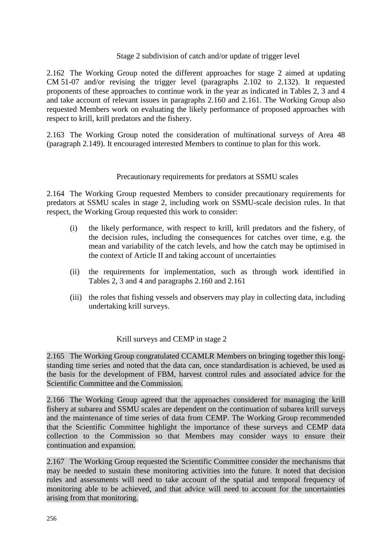### Stage 2 subdivision of catch and/or update of trigger level

2.162 The Working Group noted the different approaches for stage 2 aimed at updating CM 51-07 and/or revising the trigger level (paragraphs 2.102 to 2.132). It requested proponents of these approaches to continue work in the year as indicated in Tables 2, 3 and 4 and take account of relevant issues in paragraphs 2.160 and 2.161. The Working Group also requested Members work on evaluating the likely performance of proposed approaches with respect to krill, krill predators and the fishery.

2.163 The Working Group noted the consideration of multinational surveys of Area 48 (paragraph 2.149). It encouraged interested Members to continue to plan for this work.

## Precautionary requirements for predators at SSMU scales

2.164 The Working Group requested Members to consider precautionary requirements for predators at SSMU scales in stage 2, including work on SSMU-scale decision rules. In that respect, the Working Group requested this work to consider:

- (i) the likely performance, with respect to krill, krill predators and the fishery, of the decision rules, including the consequences for catches over time, e.g. the mean and variability of the catch levels, and how the catch may be optimised in the context of Article II and taking account of uncertainties
- (ii) the requirements for implementation, such as through work identified in Tables 2, 3 and 4 and paragraphs 2.160 and 2.161
- (iii) the roles that fishing vessels and observers may play in collecting data, including undertaking krill surveys.

#### Krill surveys and CEMP in stage 2

2.165 The Working Group congratulated CCAMLR Members on bringing together this longstanding time series and noted that the data can, once standardisation is achieved, be used as the basis for the development of FBM, harvest control rules and associated advice for the Scientific Committee and the Commission.

2.166 The Working Group agreed that the approaches considered for managing the krill fishery at subarea and SSMU scales are dependent on the continuation of subarea krill surveys and the maintenance of time series of data from CEMP. The Working Group recommended that the Scientific Committee highlight the importance of these surveys and CEMP data collection to the Commission so that Members may consider ways to ensure their continuation and expansion.

2.167 The Working Group requested the Scientific Committee consider the mechanisms that may be needed to sustain these monitoring activities into the future. It noted that decision rules and assessments will need to take account of the spatial and temporal frequency of monitoring able to be achieved, and that advice will need to account for the uncertainties arising from that monitoring.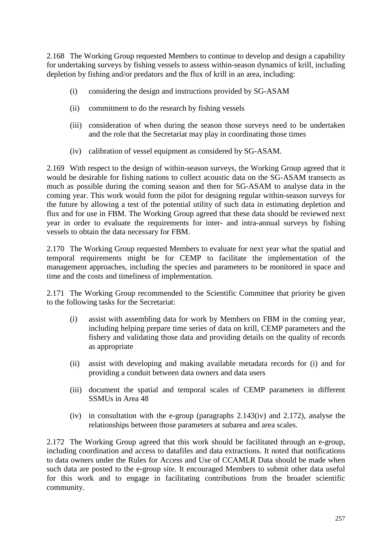2.168 The Working Group requested Members to continue to develop and design a capability for undertaking surveys by fishing vessels to assess within-season dynamics of krill, including depletion by fishing and/or predators and the flux of krill in an area, including:

- (i) considering the design and instructions provided by SG-ASAM
- (ii) commitment to do the research by fishing vessels
- (iii) consideration of when during the season those surveys need to be undertaken and the role that the Secretariat may play in coordinating those times
- (iv) calibration of vessel equipment as considered by SG-ASAM.

2.169 With respect to the design of within-season surveys, the Working Group agreed that it would be desirable for fishing nations to collect acoustic data on the SG-ASAM transects as much as possible during the coming season and then for SG-ASAM to analyse data in the coming year. This work would form the pilot for designing regular within-season surveys for the future by allowing a test of the potential utility of such data in estimating depletion and flux and for use in FBM. The Working Group agreed that these data should be reviewed next year in order to evaluate the requirements for inter- and intra-annual surveys by fishing vessels to obtain the data necessary for FBM.

2.170 The Working Group requested Members to evaluate for next year what the spatial and temporal requirements might be for CEMP to facilitate the implementation of the management approaches, including the species and parameters to be monitored in space and time and the costs and timeliness of implementation.

2.171 The Working Group recommended to the Scientific Committee that priority be given to the following tasks for the Secretariat:

- (i) assist with assembling data for work by Members on FBM in the coming year, including helping prepare time series of data on krill, CEMP parameters and the fishery and validating those data and providing details on the quality of records as appropriate
- (ii) assist with developing and making available metadata records for (i) and for providing a conduit between data owners and data users
- (iii) document the spatial and temporal scales of CEMP parameters in different SSMUs in Area 48
- (iv) in consultation with the e-group (paragraphs 2.143(iv) and 2.172), analyse the relationships between those parameters at subarea and area scales.

2.172 The Working Group agreed that this work should be facilitated through an e-group, including coordination and access to datafiles and data extractions. It noted that notifications to data owners under the Rules for Access and Use of CCAMLR Data should be made when such data are posted to the e-group site. It encouraged Members to submit other data useful for this work and to engage in facilitating contributions from the broader scientific community.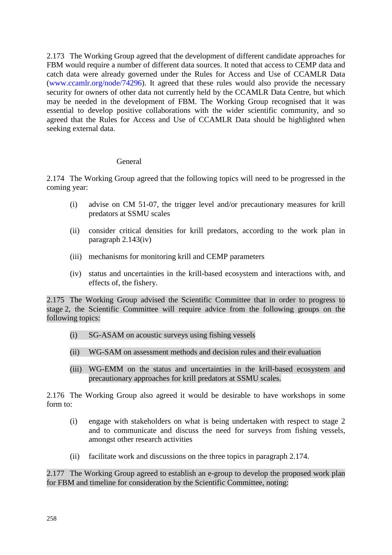2.173 The Working Group agreed that the development of different candidate approaches for FBM would require a number of different data sources. It noted that access to CEMP data and catch data were already governed under the Rules for Access and Use of CCAMLR Data [\(www.ccamlr.org/node/74296\)](http://www.ccamlr.org/node/74296). It agreed that these rules would also provide the necessary security for owners of other data not currently held by the CCAMLR Data Centre, but which may be needed in the development of FBM. The Working Group recognised that it was essential to develop positive collaborations with the wider scientific community, and so agreed that the Rules for Access and Use of CCAMLR Data should be highlighted when seeking external data.

## General

2.174 The Working Group agreed that the following topics will need to be progressed in the coming year:

- (i) advise on CM 51-07, the trigger level and/or precautionary measures for krill predators at SSMU scales
- (ii) consider critical densities for krill predators, according to the work plan in paragraph 2.143(iv)
- (iii) mechanisms for monitoring krill and CEMP parameters
- (iv) status and uncertainties in the krill-based ecosystem and interactions with, and effects of, the fishery.

2.175 The Working Group advised the Scientific Committee that in order to progress to stage 2, the Scientific Committee will require advice from the following groups on the following topics:

- (i) SG-ASAM on acoustic surveys using fishing vessels
- (ii) WG-SAM on assessment methods and decision rules and their evaluation
- (iii) WG-EMM on the status and uncertainties in the krill-based ecosystem and precautionary approaches for krill predators at SSMU scales.

2.176 The Working Group also agreed it would be desirable to have workshops in some form to:

- (i) engage with stakeholders on what is being undertaken with respect to stage 2 and to communicate and discuss the need for surveys from fishing vessels, amongst other research activities
- (ii) facilitate work and discussions on the three topics in paragraph 2.174.

2.177 The Working Group agreed to establish an e-group to develop the proposed work plan for FBM and timeline for consideration by the Scientific Committee, noting: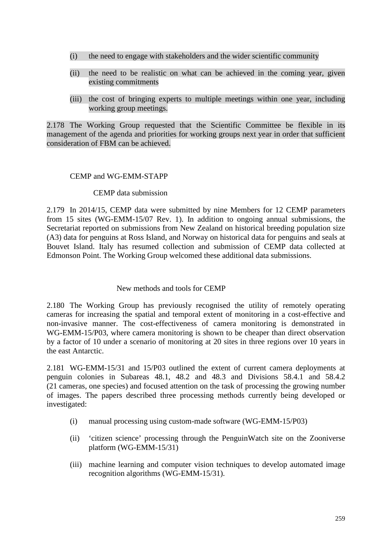- (i) the need to engage with stakeholders and the wider scientific community
- (ii) the need to be realistic on what can be achieved in the coming year, given existing commitments
- (iii) the cost of bringing experts to multiple meetings within one year, including working group meetings.

2.178 The Working Group requested that the Scientific Committee be flexible in its management of the agenda and priorities for working groups next year in order that sufficient consideration of FBM can be achieved.

## CEMP and WG-EMM-STAPP

#### CEMP data submission

2.179 In 2014/15, CEMP data were submitted by nine Members for 12 CEMP parameters from 15 sites (WG-EMM-15/07 Rev. 1). In addition to ongoing annual submissions, the Secretariat reported on submissions from New Zealand on historical breeding population size (A3) data for penguins at Ross Island, and Norway on historical data for penguins and seals at Bouvet Island. Italy has resumed collection and submission of CEMP data collected at Edmonson Point. The Working Group welcomed these additional data submissions.

#### New methods and tools for CEMP

2.180 The Working Group has previously recognised the utility of remotely operating cameras for increasing the spatial and temporal extent of monitoring in a cost-effective and non-invasive manner. The cost-effectiveness of camera monitoring is demonstrated in WG-EMM-15/P03, where camera monitoring is shown to be cheaper than direct observation by a factor of 10 under a scenario of monitoring at 20 sites in three regions over 10 years in the east Antarctic.

2.181 WG-EMM-15/31 and 15/P03 outlined the extent of current camera deployments at penguin colonies in Subareas 48.1, 48.2 and 48.3 and Divisions 58.4.1 and 58.4.2 (21 cameras, one species) and focused attention on the task of processing the growing number of images. The papers described three processing methods currently being developed or investigated:

- (i) manual processing using custom-made software (WG-EMM-15/P03)
- (ii) 'citizen science' processing through the PenguinWatch site on the Zooniverse platform (WG-EMM-15/31)
- (iii) machine learning and computer vision techniques to develop automated image recognition algorithms (WG-EMM-15/31).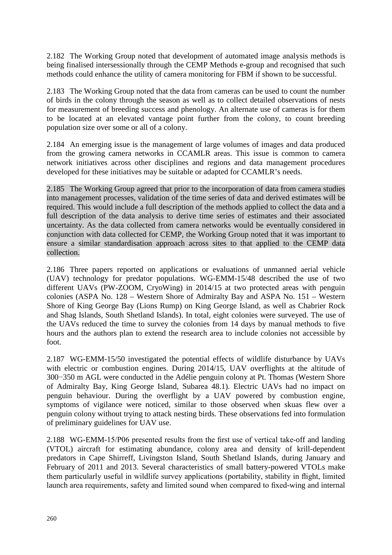2.182 The Working Group noted that development of automated image analysis methods is being finalised intersessionally through the CEMP Methods e-group and recognised that such methods could enhance the utility of camera monitoring for FBM if shown to be successful.

2.183 The Working Group noted that the data from cameras can be used to count the number of birds in the colony through the season as well as to collect detailed observations of nests for measurement of breeding success and phenology. An alternate use of cameras is for them to be located at an elevated vantage point further from the colony, to count breeding population size over some or all of a colony.

2.184 An emerging issue is the management of large volumes of images and data produced from the growing camera networks in CCAMLR areas. This issue is common to camera network initiatives across other disciplines and regions and data management procedures developed for these initiatives may be suitable or adapted for CCAMLR's needs.

2.185 The Working Group agreed that prior to the incorporation of data from camera studies into management processes, validation of the time series of data and derived estimates will be required. This would include a full description of the methods applied to collect the data and a full description of the data analysis to derive time series of estimates and their associated uncertainty. As the data collected from camera networks would be eventually considered in conjunction with data collected for CEMP, the Working Group noted that it was important to ensure a similar standardisation approach across sites to that applied to the CEMP data collection.

2.186 Three papers reported on applications or evaluations of unmanned aerial vehicle (UAV) technology for predator populations. WG-EMM-15/48 described the use of two different UAVs (PW-ZOOM, CryoWing) in 2014/15 at two protected areas with penguin colonies (ASPA No. 128 – Western Shore of Admiralty Bay and ASPA No. 151 – Western Shore of King George Bay (Lions Rump) on King George Island, as well as Chabrier Rock and Shag Islands, South Shetland Islands). In total, eight colonies were surveyed. The use of the UAVs reduced the time to survey the colonies from 14 days by manual methods to five hours and the authors plan to extend the research area to include colonies not accessible by foot.

2.187 WG-EMM-15/50 investigated the potential effects of wildlife disturbance by UAVs with electric or combustion engines. During 2014/15, UAV overflights at the altitude of 300−350 m AGL were conducted in the Adélie penguin colony at Pt. Thomas (Western Shore of Admiralty Bay, King George Island, Subarea 48.1). Electric UAVs had no impact on penguin behaviour. During the overflight by a UAV powered by combustion engine, symptoms of vigilance were noticed, similar to those observed when skuas flew over a penguin colony without trying to attack nesting birds. These observations fed into formulation of preliminary guidelines for UAV use.

2.188 WG-EMM-15/P06 presented results from the first use of vertical take-off and landing (VTOL) aircraft for estimating abundance, colony area and density of krill-dependent predators in Cape Shirreff, Livingston Island, South Shetland Islands, during January and February of 2011 and 2013. Several characteristics of small battery-powered VTOLs make them particularly useful in wildlife survey applications (portability, stability in flight, limited launch area requirements, safety and limited sound when compared to fixed-wing and internal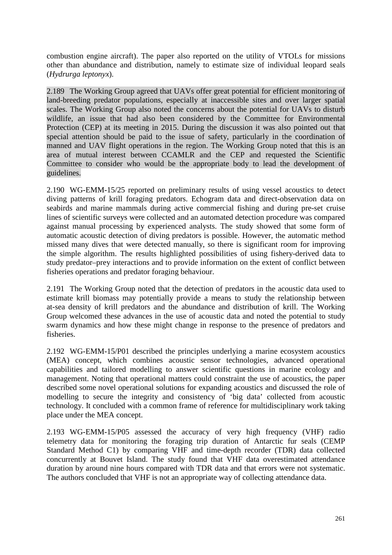combustion engine aircraft). The paper also reported on the utility of VTOLs for missions other than abundance and distribution, namely to estimate size of individual leopard seals (*Hydrurga leptonyx*).

2.189 The Working Group agreed that UAVs offer great potential for efficient monitoring of land-breeding predator populations, especially at inaccessible sites and over larger spatial scales. The Working Group also noted the concerns about the potential for UAVs to disturb wildlife, an issue that had also been considered by the Committee for Environmental Protection (CEP) at its meeting in 2015. During the discussion it was also pointed out that special attention should be paid to the issue of safety, particularly in the coordination of manned and UAV flight operations in the region. The Working Group noted that this is an area of mutual interest between CCAMLR and the CEP and requested the Scientific Committee to consider who would be the appropriate body to lead the development of guidelines.

2.190 WG-EMM-15/25 reported on preliminary results of using vessel acoustics to detect diving patterns of krill foraging predators. Echogram data and direct-observation data on seabirds and marine mammals during active commercial fishing and during pre-set cruise lines of scientific surveys were collected and an automated detection procedure was compared against manual processing by experienced analysts. The study showed that some form of automatic acoustic detection of diving predators is possible. However, the automatic method missed many dives that were detected manually, so there is significant room for improving the simple algorithm. The results highlighted possibilities of using fishery-derived data to study predator–prey interactions and to provide information on the extent of conflict between fisheries operations and predator foraging behaviour.

2.191 The Working Group noted that the detection of predators in the acoustic data used to estimate krill biomass may potentially provide a means to study the relationship between at-sea density of krill predators and the abundance and distribution of krill. The Working Group welcomed these advances in the use of acoustic data and noted the potential to study swarm dynamics and how these might change in response to the presence of predators and fisheries.

2.192 WG-EMM-15/P01 described the principles underlying a marine ecosystem acoustics (MEA) concept, which combines acoustic sensor technologies, advanced operational capabilities and tailored modelling to answer scientific questions in marine ecology and management. Noting that operational matters could constraint the use of acoustics, the paper described some novel operational solutions for expanding acoustics and discussed the role of modelling to secure the integrity and consistency of 'big data' collected from acoustic technology. It concluded with a common frame of reference for multidisciplinary work taking place under the MEA concept.

2.193 WG-EMM-15/P05 assessed the accuracy of very high frequency (VHF) radio telemetry data for monitoring the foraging trip duration of Antarctic fur seals (CEMP Standard Method C1) by comparing VHF and time-depth recorder (TDR) data collected concurrently at Bouvet Island. The study found that VHF data overestimated attendance duration by around nine hours compared with TDR data and that errors were not systematic. The authors concluded that VHF is not an appropriate way of collecting attendance data.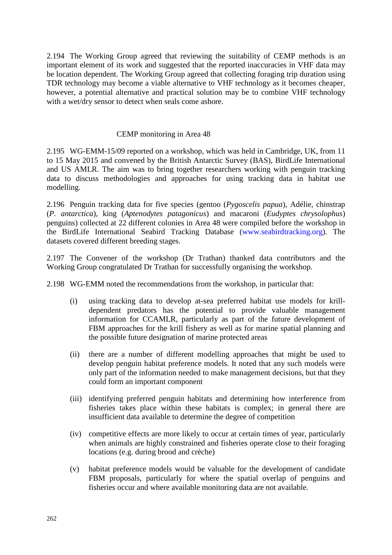2.194 The Working Group agreed that reviewing the suitability of CEMP methods is an important element of its work and suggested that the reported inaccuracies in VHF data may be location dependent. The Working Group agreed that collecting foraging trip duration using TDR technology may become a viable alternative to VHF technology as it becomes cheaper, however, a potential alternative and practical solution may be to combine VHF technology with a wet/dry sensor to detect when seals come ashore.

## CEMP monitoring in Area 48

2.195 WG-EMM-15/09 reported on a workshop, which was held in Cambridge, UK, from 11 to 15 May 2015 and convened by the British Antarctic Survey (BAS), BirdLife International and US AMLR. The aim was to bring together researchers working with penguin tracking data to discuss methodologies and approaches for using tracking data in habitat use modelling.

2.196 Penguin tracking data for five species (gentoo (*Pygoscelis papua*), Adélie, chinstrap (*P. antarctica*), king (*Aptenodytes patagonicus*) and macaroni (*Eudyptes chrysolophus*) penguins) collected at 22 different colonies in Area 48 were compiled before the workshop in the BirdLife International Seabird Tracking Database [\(www.seabirdtracking.org\)](http://www.seabirdtracking.org/). The datasets covered different breeding stages.

2.197 The Convener of the workshop (Dr Trathan) thanked data contributors and the Working Group congratulated Dr Trathan for successfully organising the workshop.

2.198 WG-EMM noted the recommendations from the workshop, in particular that:

- (i) using tracking data to develop at-sea preferred habitat use models for krilldependent predators has the potential to provide valuable management information for CCAMLR, particularly as part of the future development of FBM approaches for the krill fishery as well as for marine spatial planning and the possible future designation of marine protected areas
- (ii) there are a number of different modelling approaches that might be used to develop penguin habitat preference models. It noted that any such models were only part of the information needed to make management decisions, but that they could form an important component
- (iii) identifying preferred penguin habitats and determining how interference from fisheries takes place within these habitats is complex; in general there are insufficient data available to determine the degree of competition
- (iv) competitive effects are more likely to occur at certain times of year, particularly when animals are highly constrained and fisheries operate close to their foraging locations (e.g. during brood and crèche)
- (v) habitat preference models would be valuable for the development of candidate FBM proposals, particularly for where the spatial overlap of penguins and fisheries occur and where available monitoring data are not available.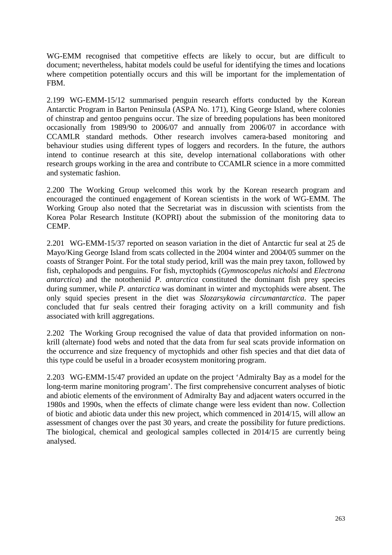WG-EMM recognised that competitive effects are likely to occur, but are difficult to document; nevertheless, habitat models could be useful for identifying the times and locations where competition potentially occurs and this will be important for the implementation of FBM.

2.199 WG-EMM-15/12 summarised penguin research efforts conducted by the Korean Antarctic Program in Barton Peninsula (ASPA No. 171), King George Island, where colonies of chinstrap and gentoo penguins occur. The size of breeding populations has been monitored occasionally from 1989/90 to 2006/07 and annually from 2006/07 in accordance with CCAMLR standard methods. Other research involves camera-based monitoring and behaviour studies using different types of loggers and recorders. In the future, the authors intend to continue research at this site, develop international collaborations with other research groups working in the area and contribute to CCAMLR science in a more committed and systematic fashion.

2.200 The Working Group welcomed this work by the Korean research program and encouraged the continued engagement of Korean scientists in the work of WG-EMM. The Working Group also noted that the Secretariat was in discussion with scientists from the Korea Polar Research Institute (KOPRI) about the submission of the monitoring data to CEMP.

2.201 WG-EMM-15/37 reported on season variation in the diet of Antarctic fur seal at 25 de Mayo/King George Island from scats collected in the 2004 winter and 2004/05 summer on the coasts of Stranger Point. For the total study period, krill was the main prey taxon, followed by fish, cephalopods and penguins. For fish, myctophids (*Gymnoscopelus nicholsi* and *Electrona antarctica*) and the nototheniid *P. antarctica* constituted the dominant fish prey species during summer, while *P. antarctica* was dominant in winter and myctophids were absent. The only squid species present in the diet was *Slozarsykowia circumantarctica*. The paper concluded that fur seals centred their foraging activity on a krill community and fish associated with krill aggregations.

2.202 The Working Group recognised the value of data that provided information on nonkrill (alternate) food webs and noted that the data from fur seal scats provide information on the occurrence and size frequency of myctophids and other fish species and that diet data of this type could be useful in a broader ecosystem monitoring program.

2.203 WG-EMM-15/47 provided an update on the project 'Admiralty Bay as a model for the long-term marine monitoring program'. The first comprehensive concurrent analyses of biotic and abiotic elements of the environment of Admiralty Bay and adjacent waters occurred in the 1980s and 1990s, when the effects of climate change were less evident than now. Collection of biotic and abiotic data under this new project, which commenced in 2014/15, will allow an assessment of changes over the past 30 years, and create the possibility for future predictions. The biological, chemical and geological samples collected in 2014/15 are currently being analysed.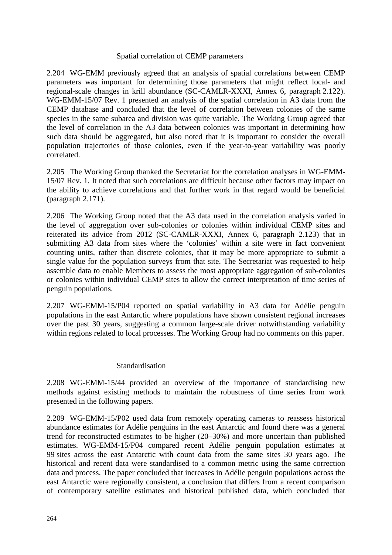#### Spatial correlation of CEMP parameters

2.204 WG-EMM previously agreed that an analysis of spatial correlations between CEMP parameters was important for determining those parameters that might reflect local- and regional-scale changes in krill abundance (SC-CAMLR-XXXI, Annex 6, paragraph 2.122). WG-EMM-15/07 Rev. 1 presented an analysis of the spatial correlation in A3 data from the CEMP database and concluded that the level of correlation between colonies of the same species in the same subarea and division was quite variable. The Working Group agreed that the level of correlation in the A3 data between colonies was important in determining how such data should be aggregated, but also noted that it is important to consider the overall population trajectories of those colonies, even if the year-to-year variability was poorly correlated.

2.205 The Working Group thanked the Secretariat for the correlation analyses in WG-EMM-15/07 Rev. 1. It noted that such correlations are difficult because other factors may impact on the ability to achieve correlations and that further work in that regard would be beneficial (paragraph 2.171).

2.206 The Working Group noted that the A3 data used in the correlation analysis varied in the level of aggregation over sub-colonies or colonies within individual CEMP sites and reiterated its advice from 2012 (SC-CAMLR-XXXI, Annex 6, paragraph 2.123) that in submitting A3 data from sites where the 'colonies' within a site were in fact convenient counting units, rather than discrete colonies, that it may be more appropriate to submit a single value for the population surveys from that site. The Secretariat was requested to help assemble data to enable Members to assess the most appropriate aggregation of sub-colonies or colonies within individual CEMP sites to allow the correct interpretation of time series of penguin populations.

2.207 WG-EMM-15/P04 reported on spatial variability in A3 data for Adélie penguin populations in the east Antarctic where populations have shown consistent regional increases over the past 30 years, suggesting a common large-scale driver notwithstanding variability within regions related to local processes. The Working Group had no comments on this paper.

#### Standardisation

2.208 WG-EMM-15/44 provided an overview of the importance of standardising new methods against existing methods to maintain the robustness of time series from work presented in the following papers.

2.209 WG-EMM-15/P02 used data from remotely operating cameras to reassess historical abundance estimates for Adélie penguins in the east Antarctic and found there was a general trend for reconstructed estimates to be higher (20–30%) and more uncertain than published estimates. WG-EMM-15/P04 compared recent Adélie penguin population estimates at 99 sites across the east Antarctic with count data from the same sites 30 years ago. The historical and recent data were standardised to a common metric using the same correction data and process. The paper concluded that increases in Adélie penguin populations across the east Antarctic were regionally consistent, a conclusion that differs from a recent comparison of contemporary satellite estimates and historical published data, which concluded that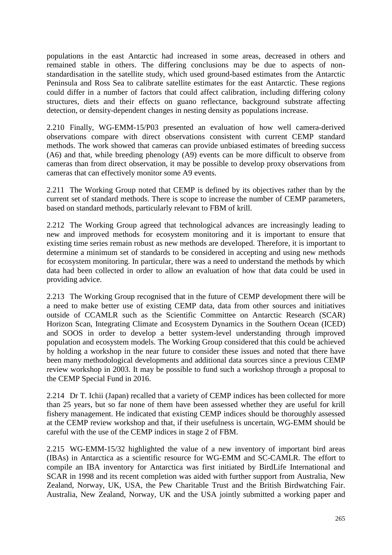populations in the east Antarctic had increased in some areas, decreased in others and remained stable in others. The differing conclusions may be due to aspects of nonstandardisation in the satellite study, which used ground-based estimates from the Antarctic Peninsula and Ross Sea to calibrate satellite estimates for the east Antarctic. These regions could differ in a number of factors that could affect calibration, including differing colony structures, diets and their effects on guano reflectance, background substrate affecting detection, or density-dependent changes in nesting density as populations increase.

2.210 Finally, WG-EMM-15/P03 presented an evaluation of how well camera-derived observations compare with direct observations consistent with current CEMP standard methods. The work showed that cameras can provide unbiased estimates of breeding success (A6) and that, while breeding phenology (A9) events can be more difficult to observe from cameras than from direct observation, it may be possible to develop proxy observations from cameras that can effectively monitor some A9 events.

2.211 The Working Group noted that CEMP is defined by its objectives rather than by the current set of standard methods. There is scope to increase the number of CEMP parameters, based on standard methods, particularly relevant to FBM of krill.

2.212 The Working Group agreed that technological advances are increasingly leading to new and improved methods for ecosystem monitoring and it is important to ensure that existing time series remain robust as new methods are developed. Therefore, it is important to determine a minimum set of standards to be considered in accepting and using new methods for ecosystem monitoring. In particular, there was a need to understand the methods by which data had been collected in order to allow an evaluation of how that data could be used in providing advice.

2.213 The Working Group recognised that in the future of CEMP development there will be a need to make better use of existing CEMP data, data from other sources and initiatives outside of CCAMLR such as the Scientific Committee on Antarctic Research (SCAR) Horizon Scan, Integrating Climate and Ecosystem Dynamics in the Southern Ocean (ICED) and SOOS in order to develop a better system-level understanding through improved population and ecosystem models. The Working Group considered that this could be achieved by holding a workshop in the near future to consider these issues and noted that there have been many methodological developments and additional data sources since a previous CEMP review workshop in 2003. It may be possible to fund such a workshop through a proposal to the CEMP Special Fund in 2016.

2.214 Dr T. Ichii (Japan) recalled that a variety of CEMP indices has been collected for more than 25 years, but so far none of them have been assessed whether they are useful for krill fishery management. He indicated that existing CEMP indices should be thoroughly assessed at the CEMP review workshop and that, if their usefulness is uncertain, WG-EMM should be careful with the use of the CEMP indices in stage 2 of FBM.

2.215 WG-EMM-15/32 highlighted the value of a new inventory of important bird areas (IBAs) in Antarctica as a scientific resource for WG-EMM and SC-CAMLR. The effort to compile an IBA inventory for Antarctica was first initiated by BirdLife International and SCAR in 1998 and its recent completion was aided with further support from Australia, New Zealand, Norway, UK, USA, the Pew Charitable Trust and the British Birdwatching Fair. Australia, New Zealand, Norway, UK and the USA jointly submitted a working paper and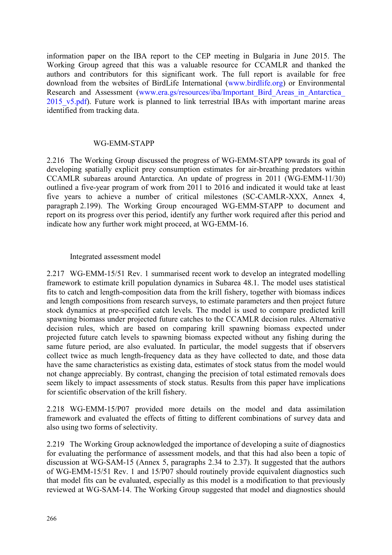information paper on the IBA report to the CEP meeting in Bulgaria in June 2015. The Working Group agreed that this was a valuable resource for CCAMLR and thanked the authors and contributors for this significant work. The full report is available for free download from the websites of BirdLife International [\(www.birdlife.org\)](http://www.birdlife.org/) or Environmental Research and Assessment (www.era.gs/resources/iba/Important Bird Areas in Antarctica 2015 v5.pdf). Future work is planned to link terrestrial IBAs with important marine areas identified from tracking data.

#### WG-EMM-STAPP

2.216 The Working Group discussed the progress of WG-EMM-STAPP towards its goal of developing spatially explicit prey consumption estimates for air-breathing predators within CCAMLR subareas around Antarctica. An update of progress in 2011 (WG-EMM-11/30) outlined a five-year program of work from 2011 to 2016 and indicated it would take at least five years to achieve a number of critical milestones (SC-CAMLR-XXX, Annex 4, paragraph 2.199). The Working Group encouraged WG-EMM-STAPP to document and report on its progress over this period, identify any further work required after this period and indicate how any further work might proceed, at WG-EMM-16.

#### Integrated assessment model

2.217 WG-EMM-15/51 Rev. 1 summarised recent work to develop an integrated modelling framework to estimate krill population dynamics in Subarea 48.1. The model uses statistical fits to catch and length-composition data from the krill fishery, together with biomass indices and length compositions from research surveys, to estimate parameters and then project future stock dynamics at pre-specified catch levels. The model is used to compare predicted krill spawning biomass under projected future catches to the CCAMLR decision rules. Alternative decision rules, which are based on comparing krill spawning biomass expected under projected future catch levels to spawning biomass expected without any fishing during the same future period, are also evaluated. In particular, the model suggests that if observers collect twice as much length-frequency data as they have collected to date, and those data have the same characteristics as existing data, estimates of stock status from the model would not change appreciably. By contrast, changing the precision of total estimated removals does seem likely to impact assessments of stock status. Results from this paper have implications for scientific observation of the krill fishery.

2.218 WG-EMM-15/P07 provided more details on the model and data assimilation framework and evaluated the effects of fitting to different combinations of survey data and also using two forms of selectivity.

2.219 The Working Group acknowledged the importance of developing a suite of diagnostics for evaluating the performance of assessment models, and that this had also been a topic of discussion at WG-SAM-15 (Annex 5, paragraphs 2.34 to 2.37). It suggested that the authors of WG-EMM-15/51 Rev. 1 and 15/P07 should routinely provide equivalent diagnostics such that model fits can be evaluated, especially as this model is a modification to that previously reviewed at WG-SAM-14. The Working Group suggested that model and diagnostics should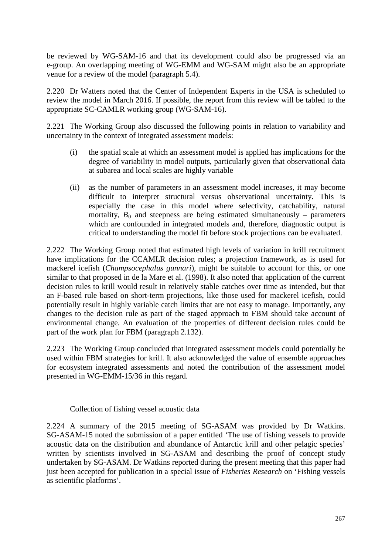be reviewed by WG-SAM-16 and that its development could also be progressed via an e-group. An overlapping meeting of WG-EMM and WG-SAM might also be an appropriate venue for a review of the model (paragraph 5.4).

2.220 Dr Watters noted that the Center of Independent Experts in the USA is scheduled to review the model in March 2016. If possible, the report from this review will be tabled to the appropriate SC-CAMLR working group (WG-SAM-16).

2.221 The Working Group also discussed the following points in relation to variability and uncertainty in the context of integrated assessment models:

- (i) the spatial scale at which an assessment model is applied has implications for the degree of variability in model outputs, particularly given that observational data at subarea and local scales are highly variable
- (ii) as the number of parameters in an assessment model increases, it may become difficult to interpret structural versus observational uncertainty. This is especially the case in this model where selectivity, catchability, natural mortality,  $B_0$  and steepness are being estimated simultaneously – parameters which are confounded in integrated models and, therefore, diagnostic output is critical to understanding the model fit before stock projections can be evaluated.

2.222 The Working Group noted that estimated high levels of variation in krill recruitment have implications for the CCAMLR decision rules; a projection framework, as is used for mackerel icefish (*Champsocephalus gunnari*), might be suitable to account for this, or one similar to that proposed in de la Mare et al. (1998). It also noted that application of the current decision rules to krill would result in relatively stable catches over time as intended, but that an F-based rule based on short-term projections, like those used for mackerel icefish, could potentially result in highly variable catch limits that are not easy to manage. Importantly, any changes to the decision rule as part of the staged approach to FBM should take account of environmental change. An evaluation of the properties of different decision rules could be part of the work plan for FBM (paragraph 2.132).

2.223 The Working Group concluded that integrated assessment models could potentially be used within FBM strategies for krill. It also acknowledged the value of ensemble approaches for ecosystem integrated assessments and noted the contribution of the assessment model presented in WG-EMM-15/36 in this regard.

Collection of fishing vessel acoustic data

2.224 A summary of the 2015 meeting of SG-ASAM was provided by Dr Watkins. SG-ASAM-15 noted the submission of a paper entitled 'The use of fishing vessels to provide acoustic data on the distribution and abundance of Antarctic krill and other pelagic species' written by scientists involved in SG-ASAM and describing the proof of concept study undertaken by SG-ASAM. Dr Watkins reported during the present meeting that this paper had just been accepted for publication in a special issue of *Fisheries Research* on 'Fishing vessels as scientific platforms'.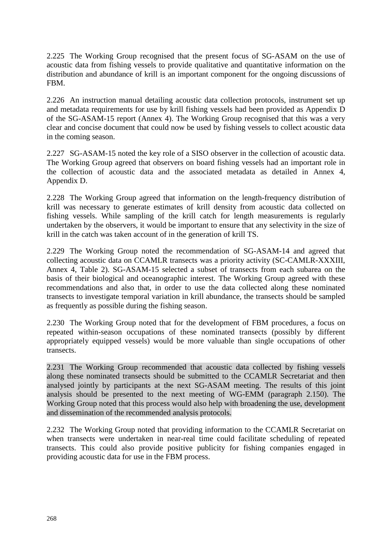2.225 The Working Group recognised that the present focus of SG-ASAM on the use of acoustic data from fishing vessels to provide qualitative and quantitative information on the distribution and abundance of krill is an important component for the ongoing discussions of FBM.

2.226 An instruction manual detailing acoustic data collection protocols, instrument set up and metadata requirements for use by krill fishing vessels had been provided as Appendix D of the SG-ASAM-15 report (Annex 4). The Working Group recognised that this was a very clear and concise document that could now be used by fishing vessels to collect acoustic data in the coming season.

2.227 SG-ASAM-15 noted the key role of a SISO observer in the collection of acoustic data. The Working Group agreed that observers on board fishing vessels had an important role in the collection of acoustic data and the associated metadata as detailed in Annex 4, Appendix D.

2.228 The Working Group agreed that information on the length-frequency distribution of krill was necessary to generate estimates of krill density from acoustic data collected on fishing vessels. While sampling of the krill catch for length measurements is regularly undertaken by the observers, it would be important to ensure that any selectivity in the size of krill in the catch was taken account of in the generation of krill TS.

2.229 The Working Group noted the recommendation of SG-ASAM-14 and agreed that collecting acoustic data on CCAMLR transects was a priority activity (SC-CAMLR-XXXIII, Annex 4, Table 2). SG-ASAM-15 selected a subset of transects from each subarea on the basis of their biological and oceanographic interest. The Working Group agreed with these recommendations and also that, in order to use the data collected along these nominated transects to investigate temporal variation in krill abundance, the transects should be sampled as frequently as possible during the fishing season.

2.230 The Working Group noted that for the development of FBM procedures, a focus on repeated within-season occupations of these nominated transects (possibly by different appropriately equipped vessels) would be more valuable than single occupations of other transects.

2.231 The Working Group recommended that acoustic data collected by fishing vessels along these nominated transects should be submitted to the CCAMLR Secretariat and then analysed jointly by participants at the next SG-ASAM meeting. The results of this joint analysis should be presented to the next meeting of WG-EMM (paragraph 2.150). The Working Group noted that this process would also help with broadening the use, development and dissemination of the recommended analysis protocols.

2.232 The Working Group noted that providing information to the CCAMLR Secretariat on when transects were undertaken in near-real time could facilitate scheduling of repeated transects. This could also provide positive publicity for fishing companies engaged in providing acoustic data for use in the FBM process.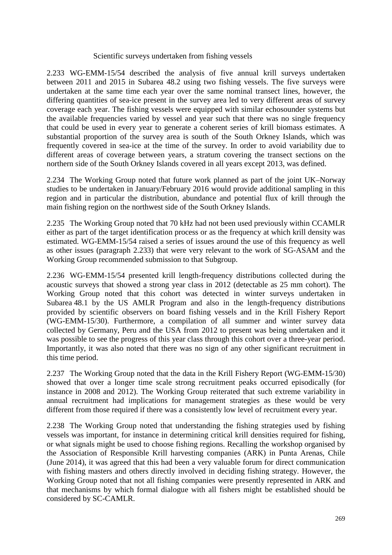#### Scientific surveys undertaken from fishing vessels

2.233 WG-EMM-15/54 described the analysis of five annual krill surveys undertaken between 2011 and 2015 in Subarea 48.2 using two fishing vessels. The five surveys were undertaken at the same time each year over the same nominal transect lines, however, the differing quantities of sea-ice present in the survey area led to very different areas of survey coverage each year. The fishing vessels were equipped with similar echosounder systems but the available frequencies varied by vessel and year such that there was no single frequency that could be used in every year to generate a coherent series of krill biomass estimates. A substantial proportion of the survey area is south of the South Orkney Islands, which was frequently covered in sea-ice at the time of the survey. In order to avoid variability due to different areas of coverage between years, a stratum covering the transect sections on the northern side of the South Orkney Islands covered in all years except 2013, was defined.

2.234 The Working Group noted that future work planned as part of the joint UK–Norway studies to be undertaken in January/February 2016 would provide additional sampling in this region and in particular the distribution, abundance and potential flux of krill through the main fishing region on the northwest side of the South Orkney Islands.

2.235 The Working Group noted that 70 kHz had not been used previously within CCAMLR either as part of the target identification process or as the frequency at which krill density was estimated. WG-EMM-15/54 raised a series of issues around the use of this frequency as well as other issues (paragraph 2.233) that were very relevant to the work of SG-ASAM and the Working Group recommended submission to that Subgroup.

2.236 WG-EMM-15/54 presented krill length-frequency distributions collected during the acoustic surveys that showed a strong year class in 2012 (detectable as 25 mm cohort). The Working Group noted that this cohort was detected in winter surveys undertaken in Subarea 48.1 by the US AMLR Program and also in the length-frequency distributions provided by scientific observers on board fishing vessels and in the Krill Fishery Report (WG-EMM-15/30). Furthermore, a compilation of all summer and winter survey data collected by Germany, Peru and the USA from 2012 to present was being undertaken and it was possible to see the progress of this year class through this cohort over a three-year period. Importantly, it was also noted that there was no sign of any other significant recruitment in this time period.

2.237 The Working Group noted that the data in the Krill Fishery Report (WG-EMM-15/30) showed that over a longer time scale strong recruitment peaks occurred episodically (for instance in 2008 and 2012). The Working Group reiterated that such extreme variability in annual recruitment had implications for management strategies as these would be very different from those required if there was a consistently low level of recruitment every year.

2.238 The Working Group noted that understanding the fishing strategies used by fishing vessels was important, for instance in determining critical krill densities required for fishing, or what signals might be used to choose fishing regions. Recalling the workshop organised by the Association of Responsible Krill harvesting companies (ARK) in Punta Arenas, Chile (June 2014), it was agreed that this had been a very valuable forum for direct communication with fishing masters and others directly involved in deciding fishing strategy. However, the Working Group noted that not all fishing companies were presently represented in ARK and that mechanisms by which formal dialogue with all fishers might be established should be considered by SC-CAMLR.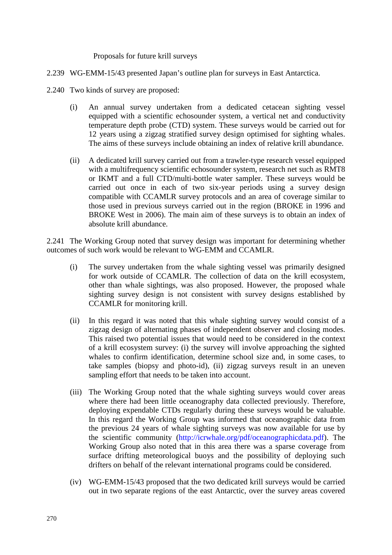Proposals for future krill surveys

- 2.239 WG-EMM-15/43 presented Japan's outline plan for surveys in East Antarctica.
- 2.240 Two kinds of survey are proposed:
	- (i) An annual survey undertaken from a dedicated cetacean sighting vessel equipped with a scientific echosounder system, a vertical net and conductivity temperature depth probe (CTD) system. These surveys would be carried out for 12 years using a zigzag stratified survey design optimised for sighting whales. The aims of these surveys include obtaining an index of relative krill abundance.
	- (ii) A dedicated krill survey carried out from a trawler-type research vessel equipped with a multifrequency scientific echosounder system, research net such as RMT8 or IKMT and a full CTD/multi-bottle water sampler. These surveys would be carried out once in each of two six-year periods using a survey design compatible with CCAMLR survey protocols and an area of coverage similar to those used in previous surveys carried out in the region (BROKE in 1996 and BROKE West in 2006). The main aim of these surveys is to obtain an index of absolute krill abundance.

2.241 The Working Group noted that survey design was important for determining whether outcomes of such work would be relevant to WG-EMM and CCAMLR.

- (i) The survey undertaken from the whale sighting vessel was primarily designed for work outside of CCAMLR. The collection of data on the krill ecosystem, other than whale sightings, was also proposed. However, the proposed whale sighting survey design is not consistent with survey designs established by CCAMLR for monitoring krill.
- (ii) In this regard it was noted that this whale sighting survey would consist of a zigzag design of alternating phases of independent observer and closing modes. This raised two potential issues that would need to be considered in the context of a krill ecosystem survey: (i) the survey will involve approaching the sighted whales to confirm identification, determine school size and, in some cases, to take samples (biopsy and photo-id), (ii) zigzag surveys result in an uneven sampling effort that needs to be taken into account.
- (iii) The Working Group noted that the whale sighting surveys would cover areas where there had been little oceanography data collected previously. Therefore, deploying expendable CTDs regularly during these surveys would be valuable. In this regard the Working Group was informed that oceanographic data from the previous 24 years of whale sighting surveys was now available for use by the scientific community (http://icrwhale.org/pdf/oceanographicdata.pdf). The Working Group also noted that in this area there was a sparse coverage from surface drifting meteorological buoys and the possibility of deploying such drifters on behalf of the relevant international programs could be considered.
- (iv) WG-EMM-15/43 proposed that the two dedicated krill surveys would be carried out in two separate regions of the east Antarctic, over the survey areas covered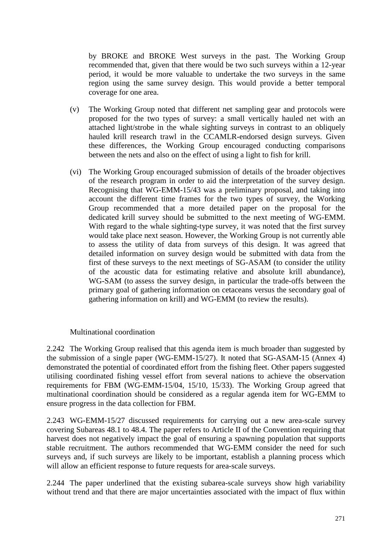by BROKE and BROKE West surveys in the past. The Working Group recommended that, given that there would be two such surveys within a 12-year period, it would be more valuable to undertake the two surveys in the same region using the same survey design. This would provide a better temporal coverage for one area.

- (v) The Working Group noted that different net sampling gear and protocols were proposed for the two types of survey: a small vertically hauled net with an attached light/strobe in the whale sighting surveys in contrast to an obliquely hauled krill research trawl in the CCAMLR-endorsed design surveys. Given these differences, the Working Group encouraged conducting comparisons between the nets and also on the effect of using a light to fish for krill.
- (vi) The Working Group encouraged submission of details of the broader objectives of the research program in order to aid the interpretation of the survey design. Recognising that WG-EMM-15/43 was a preliminary proposal, and taking into account the different time frames for the two types of survey, the Working Group recommended that a more detailed paper on the proposal for the dedicated krill survey should be submitted to the next meeting of WG-EMM. With regard to the whale sighting-type survey, it was noted that the first survey would take place next season. However, the Working Group is not currently able to assess the utility of data from surveys of this design. It was agreed that detailed information on survey design would be submitted with data from the first of these surveys to the next meetings of SG-ASAM (to consider the utility of the acoustic data for estimating relative and absolute krill abundance), WG-SAM (to assess the survey design, in particular the trade-offs between the primary goal of gathering information on cetaceans versus the secondary goal of gathering information on krill) and WG-EMM (to review the results).

# Multinational coordination

2.242 The Working Group realised that this agenda item is much broader than suggested by the submission of a single paper (WG-EMM-15/27). It noted that SG-ASAM-15 (Annex 4) demonstrated the potential of coordinated effort from the fishing fleet. Other papers suggested utilising coordinated fishing vessel effort from several nations to achieve the observation requirements for FBM (WG-EMM-15/04, 15/10, 15/33). The Working Group agreed that multinational coordination should be considered as a regular agenda item for WG-EMM to ensure progress in the data collection for FBM.

2.243 WG-EMM-15/27 discussed requirements for carrying out a new area-scale survey covering Subareas 48.1 to 48.4. The paper refers to Article II of the Convention requiring that harvest does not negatively impact the goal of ensuring a spawning population that supports stable recruitment. The authors recommended that WG-EMM consider the need for such surveys and, if such surveys are likely to be important, establish a planning process which will allow an efficient response to future requests for area-scale surveys.

2.244 The paper underlined that the existing subarea-scale surveys show high variability without trend and that there are major uncertainties associated with the impact of flux within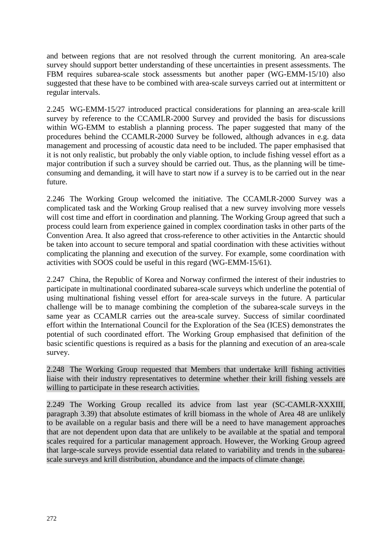and between regions that are not resolved through the current monitoring. An area-scale survey should support better understanding of these uncertainties in present assessments. The FBM requires subarea-scale stock assessments but another paper (WG-EMM-15/10) also suggested that these have to be combined with area-scale surveys carried out at intermittent or regular intervals.

2.245 WG-EMM-15/27 introduced practical considerations for planning an area-scale krill survey by reference to the CCAMLR-2000 Survey and provided the basis for discussions within WG-EMM to establish a planning process. The paper suggested that many of the procedures behind the CCAMLR-2000 Survey be followed, although advances in e.g. data management and processing of acoustic data need to be included. The paper emphasised that it is not only realistic, but probably the only viable option, to include fishing vessel effort as a major contribution if such a survey should be carried out. Thus, as the planning will be timeconsuming and demanding, it will have to start now if a survey is to be carried out in the near future.

2.246 The Working Group welcomed the initiative. The CCAMLR-2000 Survey was a complicated task and the Working Group realised that a new survey involving more vessels will cost time and effort in coordination and planning. The Working Group agreed that such a process could learn from experience gained in complex coordination tasks in other parts of the Convention Area. It also agreed that cross-reference to other activities in the Antarctic should be taken into account to secure temporal and spatial coordination with these activities without complicating the planning and execution of the survey. For example, some coordination with activities with SOOS could be useful in this regard (WG-EMM-15/61).

2.247 China, the Republic of Korea and Norway confirmed the interest of their industries to participate in multinational coordinated subarea-scale surveys which underline the potential of using multinational fishing vessel effort for area-scale surveys in the future. A particular challenge will be to manage combining the completion of the subarea-scale surveys in the same year as CCAMLR carries out the area-scale survey. Success of similar coordinated effort within the International Council for the Exploration of the Sea (ICES) demonstrates the potential of such coordinated effort. The Working Group emphasised that definition of the basic scientific questions is required as a basis for the planning and execution of an area-scale survey.

2.248 The Working Group requested that Members that undertake krill fishing activities liaise with their industry representatives to determine whether their krill fishing vessels are willing to participate in these research activities.

2.249 The Working Group recalled its advice from last year (SC-CAMLR-XXXIII, paragraph 3.39) that absolute estimates of krill biomass in the whole of Area 48 are unlikely to be available on a regular basis and there will be a need to have management approaches that are not dependent upon data that are unlikely to be available at the spatial and temporal scales required for a particular management approach. However, the Working Group agreed that large-scale surveys provide essential data related to variability and trends in the subareascale surveys and krill distribution, abundance and the impacts of climate change.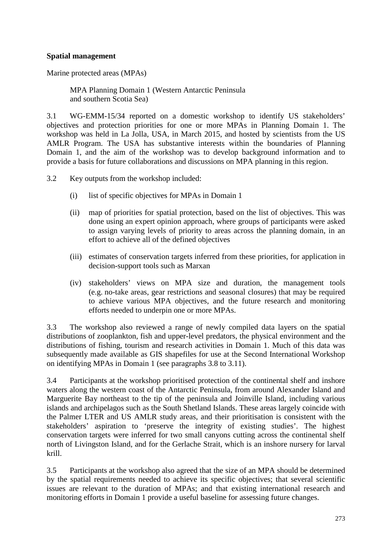# **Spatial management**

Marine protected areas (MPAs)

MPA Planning Domain 1 (Western Antarctic Peninsula and southern Scotia Sea)

3.1 WG-EMM-15/34 reported on a domestic workshop to identify US stakeholders' objectives and protection priorities for one or more MPAs in Planning Domain 1. The workshop was held in La Jolla, USA, in March 2015, and hosted by scientists from the US AMLR Program. The USA has substantive interests within the boundaries of Planning Domain 1, and the aim of the workshop was to develop background information and to provide a basis for future collaborations and discussions on MPA planning in this region.

3.2 Key outputs from the workshop included:

- (i) list of specific objectives for MPAs in Domain 1
- (ii) map of priorities for spatial protection, based on the list of objectives. This was done using an expert opinion approach, where groups of participants were asked to assign varying levels of priority to areas across the planning domain, in an effort to achieve all of the defined objectives
- (iii) estimates of conservation targets inferred from these priorities, for application in decision-support tools such as Marxan
- (iv) stakeholders' views on MPA size and duration, the management tools (e.g. no-take areas, gear restrictions and seasonal closures) that may be required to achieve various MPA objectives, and the future research and monitoring efforts needed to underpin one or more MPAs.

3.3 The workshop also reviewed a range of newly compiled data layers on the spatial distributions of zooplankton, fish and upper-level predators, the physical environment and the distributions of fishing, tourism and research activities in Domain 1. Much of this data was subsequently made available as GIS shapefiles for use at the Second International Workshop on identifying MPAs in Domain 1 (see paragraphs 3.8 to 3.11).

3.4 Participants at the workshop prioritised protection of the continental shelf and inshore waters along the western coast of the Antarctic Peninsula, from around Alexander Island and Marguerite Bay northeast to the tip of the peninsula and Joinville Island, including various islands and archipelagos such as the South Shetland Islands. These areas largely coincide with the Palmer LTER and US AMLR study areas, and their prioritisation is consistent with the stakeholders' aspiration to 'preserve the integrity of existing studies'. The highest conservation targets were inferred for two small canyons cutting across the continental shelf north of Livingston Island, and for the Gerlache Strait, which is an inshore nursery for larval krill.

3.5 Participants at the workshop also agreed that the size of an MPA should be determined by the spatial requirements needed to achieve its specific objectives; that several scientific issues are relevant to the duration of MPAs; and that existing international research and monitoring efforts in Domain 1 provide a useful baseline for assessing future changes.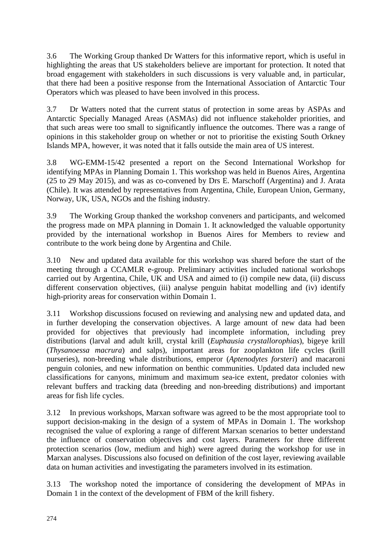3.6 The Working Group thanked Dr Watters for this informative report, which is useful in highlighting the areas that US stakeholders believe are important for protection. It noted that broad engagement with stakeholders in such discussions is very valuable and, in particular, that there had been a positive response from the International Association of Antarctic Tour Operators which was pleased to have been involved in this process.

3.7 Dr Watters noted that the current status of protection in some areas by ASPAs and Antarctic Specially Managed Areas (ASMAs) did not influence stakeholder priorities, and that such areas were too small to significantly influence the outcomes. There was a range of opinions in this stakeholder group on whether or not to prioritise the existing South Orkney Islands MPA, however, it was noted that it falls outside the main area of US interest.

3.8 WG-EMM-15/42 presented a report on the Second International Workshop for identifying MPAs in Planning Domain 1. This workshop was held in Buenos Aires, Argentina (25 to 29 May 2015), and was as co-convened by Drs E. Marschoff (Argentina) and J. Arata (Chile). It was attended by representatives from Argentina, Chile, European Union, Germany, Norway, UK, USA, NGOs and the fishing industry.

3.9 The Working Group thanked the workshop conveners and participants, and welcomed the progress made on MPA planning in Domain 1. It acknowledged the valuable opportunity provided by the international workshop in Buenos Aires for Members to review and contribute to the work being done by Argentina and Chile.

3.10 New and updated data available for this workshop was shared before the start of the meeting through a CCAMLR e-group. Preliminary activities included national workshops carried out by Argentina, Chile, UK and USA and aimed to (i) compile new data, (ii) discuss different conservation objectives, (iii) analyse penguin habitat modelling and (iv) identify high-priority areas for conservation within Domain 1.

3.11 Workshop discussions focused on reviewing and analysing new and updated data, and in further developing the conservation objectives. A large amount of new data had been provided for objectives that previously had incomplete information, including prey distributions (larval and adult krill, crystal krill (*Euphausia crystallorophias*), bigeye krill (*Thysanoessa macrura*) and salps), important areas for zooplankton life cycles (krill nurseries), non-breeding whale distributions, emperor (*Aptenodytes forsteri*) and macaroni penguin colonies, and new information on benthic communities. Updated data included new classifications for canyons, minimum and maximum sea-ice extent, predator colonies with relevant buffers and tracking data (breeding and non-breeding distributions) and important areas for fish life cycles.

3.12 In previous workshops, Marxan software was agreed to be the most appropriate tool to support decision-making in the design of a system of MPAs in Domain 1. The workshop recognised the value of exploring a range of different Marxan scenarios to better understand the influence of conservation objectives and cost layers. Parameters for three different protection scenarios (low, medium and high) were agreed during the workshop for use in Marxan analyses. Discussions also focused on definition of the cost layer, reviewing available data on human activities and investigating the parameters involved in its estimation.

3.13 The workshop noted the importance of considering the development of MPAs in Domain 1 in the context of the development of FBM of the krill fishery.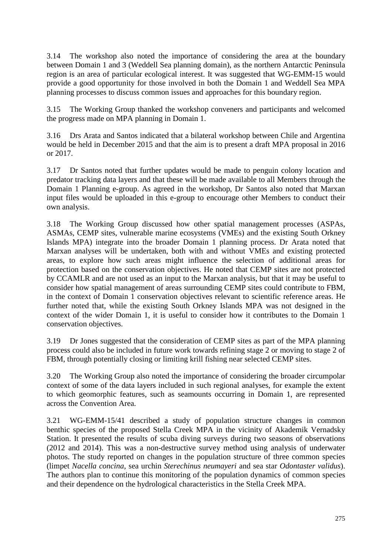3.14 The workshop also noted the importance of considering the area at the boundary between Domain 1 and 3 (Weddell Sea planning domain), as the northern Antarctic Peninsula region is an area of particular ecological interest. It was suggested that WG-EMM-15 would provide a good opportunity for those involved in both the Domain 1 and Weddell Sea MPA planning processes to discuss common issues and approaches for this boundary region.

3.15 The Working Group thanked the workshop conveners and participants and welcomed the progress made on MPA planning in Domain 1.

3.16 Drs Arata and Santos indicated that a bilateral workshop between Chile and Argentina would be held in December 2015 and that the aim is to present a draft MPA proposal in 2016 or 2017.

3.17 Dr Santos noted that further updates would be made to penguin colony location and predator tracking data layers and that these will be made available to all Members through the Domain 1 Planning e-group. As agreed in the workshop, Dr Santos also noted that Marxan input files would be uploaded in this e-group to encourage other Members to conduct their own analysis.

3.18 The Working Group discussed how other spatial management processes (ASPAs, ASMAs, CEMP sites, vulnerable marine ecosystems (VMEs) and the existing South Orkney Islands MPA) integrate into the broader Domain 1 planning process. Dr Arata noted that Marxan analyses will be undertaken, both with and without VMEs and existing protected areas, to explore how such areas might influence the selection of additional areas for protection based on the conservation objectives. He noted that CEMP sites are not protected by CCAMLR and are not used as an input to the Marxan analysis, but that it may be useful to consider how spatial management of areas surrounding CEMP sites could contribute to FBM, in the context of Domain 1 conservation objectives relevant to scientific reference areas. He further noted that, while the existing South Orkney Islands MPA was not designed in the context of the wider Domain 1, it is useful to consider how it contributes to the Domain 1 conservation objectives.

3.19 Dr Jones suggested that the consideration of CEMP sites as part of the MPA planning process could also be included in future work towards refining stage 2 or moving to stage 2 of FBM, through potentially closing or limiting krill fishing near selected CEMP sites.

3.20 The Working Group also noted the importance of considering the broader circumpolar context of some of the data layers included in such regional analyses, for example the extent to which geomorphic features, such as seamounts occurring in Domain 1, are represented across the Convention Area.

3.21 WG-EMM-15/41 described a study of population structure changes in common benthic species of the proposed Stella Creek MPA in the vicinity of Akademik Vernadsky Station. It presented the results of scuba diving surveys during two seasons of observations (2012 and 2014). This was a non-destructive survey method using analysis of underwater photos. The study reported on changes in the population structure of three common species (limpet *Nacella concina*, sea urchin *Sterechinus neumayeri* and sea star *Odontaster validus*). The authors plan to continue this monitoring of the population dynamics of common species and their dependence on the hydrological characteristics in the Stella Creek MPA.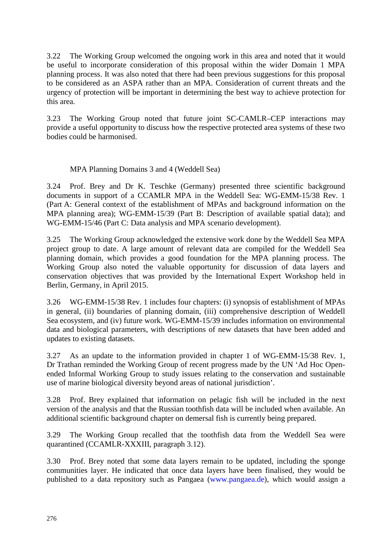3.22 The Working Group welcomed the ongoing work in this area and noted that it would be useful to incorporate consideration of this proposal within the wider Domain 1 MPA planning process. It was also noted that there had been previous suggestions for this proposal to be considered as an ASPA rather than an MPA. Consideration of current threats and the urgency of protection will be important in determining the best way to achieve protection for this area.

3.23 The Working Group noted that future joint SC-CAMLR–CEP interactions may provide a useful opportunity to discuss how the respective protected area systems of these two bodies could be harmonised.

# MPA Planning Domains 3 and 4 (Weddell Sea)

3.24 Prof. Brey and Dr K. Teschke (Germany) presented three scientific background documents in support of a CCAMLR MPA in the Weddell Sea: WG-EMM-15/38 Rev. 1 (Part A: General context of the establishment of MPAs and background information on the MPA planning area); WG-EMM-15/39 (Part B: Description of available spatial data); and WG-EMM-15/46 (Part C: Data analysis and MPA scenario development).

3.25 The Working Group acknowledged the extensive work done by the Weddell Sea MPA project group to date. A large amount of relevant data are compiled for the Weddell Sea planning domain, which provides a good foundation for the MPA planning process. The Working Group also noted the valuable opportunity for discussion of data layers and conservation objectives that was provided by the International Expert Workshop held in Berlin, Germany, in April 2015.

3.26 WG-EMM-15/38 Rev. 1 includes four chapters: (i) synopsis of establishment of MPAs in general, (ii) boundaries of planning domain, (iii) comprehensive description of Weddell Sea ecosystem, and (iv) future work. WG-EMM-15/39 includes information on environmental data and biological parameters, with descriptions of new datasets that have been added and updates to existing datasets.

3.27 As an update to the information provided in chapter 1 of WG-EMM-15/38 Rev. 1, Dr Trathan reminded the Working Group of recent progress made by the UN 'Ad Hoc Openended Informal Working Group to study issues relating to the conservation and sustainable use of marine biological diversity beyond areas of national jurisdiction'.

3.28 Prof. Brey explained that information on pelagic fish will be included in the next version of the analysis and that the Russian toothfish data will be included when available. An additional scientific background chapter on demersal fish is currently being prepared.

3.29 The Working Group recalled that the toothfish data from the Weddell Sea were quarantined (CCAMLR-XXXIII, paragraph 3.12).

3.30 Prof. Brey noted that some data layers remain to be updated, including the sponge communities layer. He indicated that once data layers have been finalised, they would be published to a data repository such as Pangaea [\(www.pangaea.de\)](http://www.pangaea.de/), which would assign a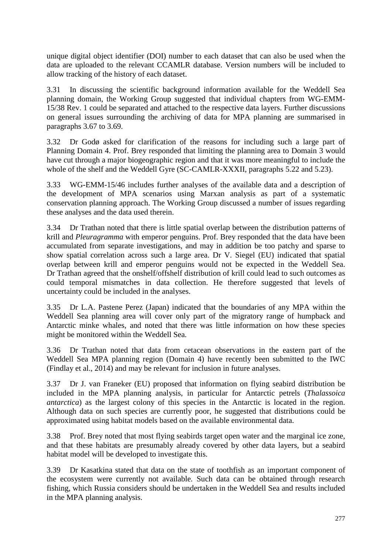unique digital object identifier (DOI) number to each dataset that can also be used when the data are uploaded to the relevant CCAMLR database. Version numbers will be included to allow tracking of the history of each dataset.

3.31 In discussing the scientific background information available for the Weddell Sea planning domain, the Working Group suggested that individual chapters from WG-EMM-15/38 Rev. 1 could be separated and attached to the respective data layers. Further discussions on general issues surrounding the archiving of data for MPA planning are summarised in paragraphs 3.67 to 3.69.

3.32 Dr Godø asked for clarification of the reasons for including such a large part of Planning Domain 4. Prof. Brey responded that limiting the planning area to Domain 3 would have cut through a major biogeographic region and that it was more meaningful to include the whole of the shelf and the Weddell Gyre (SC-CAMLR-XXXII, paragraphs 5.22 and 5.23).

3.33 WG-EMM-15/46 includes further analyses of the available data and a description of the development of MPA scenarios using Marxan analysis as part of a systematic conservation planning approach. The Working Group discussed a number of issues regarding these analyses and the data used therein.

3.34 Dr Trathan noted that there is little spatial overlap between the distribution patterns of krill and *Pleuragramma* with emperor penguins. Prof. Brey responded that the data have been accumulated from separate investigations, and may in addition be too patchy and sparse to show spatial correlation across such a large area. Dr V. Siegel (EU) indicated that spatial overlap between krill and emperor penguins would not be expected in the Weddell Sea. Dr Trathan agreed that the onshelf/offshelf distribution of krill could lead to such outcomes as could temporal mismatches in data collection. He therefore suggested that levels of uncertainty could be included in the analyses.

3.35 Dr L.A. Pastene Perez (Japan) indicated that the boundaries of any MPA within the Weddell Sea planning area will cover only part of the migratory range of humpback and Antarctic minke whales, and noted that there was little information on how these species might be monitored within the Weddell Sea.

3.36 Dr Trathan noted that data from cetacean observations in the eastern part of the Weddell Sea MPA planning region (Domain 4) have recently been submitted to the IWC (Findlay et al., 2014) and may be relevant for inclusion in future analyses.

3.37 Dr J. van Franeker (EU) proposed that information on flying seabird distribution be included in the MPA planning analysis, in particular for Antarctic petrels (*Thalassoica antarctica*) as the largest colony of this species in the Antarctic is located in the region. Although data on such species are currently poor, he suggested that distributions could be approximated using habitat models based on the available environmental data.

3.38 Prof. Brey noted that most flying seabirds target open water and the marginal ice zone, and that these habitats are presumably already covered by other data layers, but a seabird habitat model will be developed to investigate this.

3.39 Dr Kasatkina stated that data on the state of toothfish as an important component of the ecosystem were currently not available. Such data can be obtained through research fishing, which Russia considers should be undertaken in the Weddell Sea and results included in the MPA planning analysis.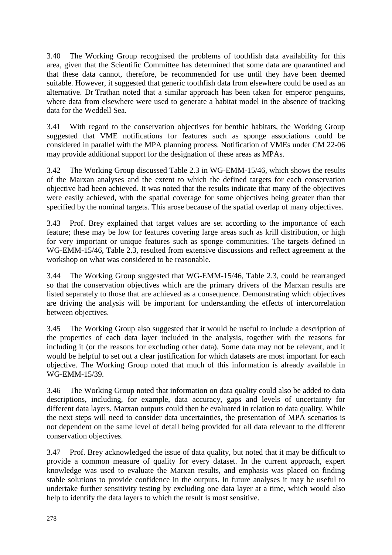3.40 The Working Group recognised the problems of toothfish data availability for this area, given that the Scientific Committee has determined that some data are quarantined and that these data cannot, therefore, be recommended for use until they have been deemed suitable. However, it suggested that generic toothfish data from elsewhere could be used as an alternative. Dr Trathan noted that a similar approach has been taken for emperor penguins, where data from elsewhere were used to generate a habitat model in the absence of tracking data for the Weddell Sea.

3.41 With regard to the conservation objectives for benthic habitats, the Working Group suggested that VME notifications for features such as sponge associations could be considered in parallel with the MPA planning process. Notification of VMEs under CM 22-06 may provide additional support for the designation of these areas as MPAs.

3.42 The Working Group discussed Table 2.3 in WG-EMM-15/46, which shows the results of the Marxan analyses and the extent to which the defined targets for each conservation objective had been achieved. It was noted that the results indicate that many of the objectives were easily achieved, with the spatial coverage for some objectives being greater than that specified by the nominal targets. This arose because of the spatial overlap of many objectives.

3.43 Prof. Brey explained that target values are set according to the importance of each feature; these may be low for features covering large areas such as krill distribution, or high for very important or unique features such as sponge communities. The targets defined in WG-EMM-15/46, Table 2.3, resulted from extensive discussions and reflect agreement at the workshop on what was considered to be reasonable.

3.44 The Working Group suggested that WG-EMM-15/46, Table 2.3, could be rearranged so that the conservation objectives which are the primary drivers of the Marxan results are listed separately to those that are achieved as a consequence. Demonstrating which objectives are driving the analysis will be important for understanding the effects of intercorrelation between objectives.

3.45 The Working Group also suggested that it would be useful to include a description of the properties of each data layer included in the analysis, together with the reasons for including it (or the reasons for excluding other data). Some data may not be relevant, and it would be helpful to set out a clear justification for which datasets are most important for each objective. The Working Group noted that much of this information is already available in WG-EMM-15/39.

3.46 The Working Group noted that information on data quality could also be added to data descriptions, including, for example, data accuracy, gaps and levels of uncertainty for different data layers. Marxan outputs could then be evaluated in relation to data quality. While the next steps will need to consider data uncertainties, the presentation of MPA scenarios is not dependent on the same level of detail being provided for all data relevant to the different conservation objectives.

3.47 Prof. Brey acknowledged the issue of data quality, but noted that it may be difficult to provide a common measure of quality for every dataset. In the current approach, expert knowledge was used to evaluate the Marxan results, and emphasis was placed on finding stable solutions to provide confidence in the outputs. In future analyses it may be useful to undertake further sensitivity testing by excluding one data layer at a time, which would also help to identify the data layers to which the result is most sensitive.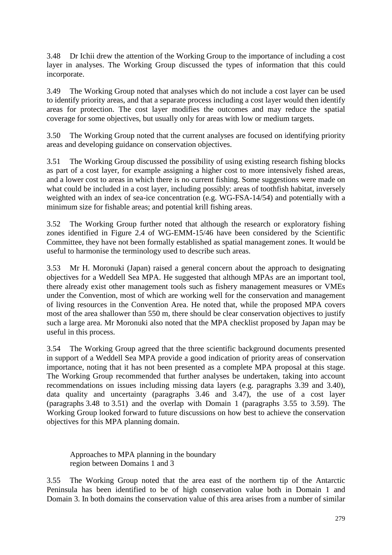3.48 Dr Ichii drew the attention of the Working Group to the importance of including a cost layer in analyses. The Working Group discussed the types of information that this could incorporate.

3.49 The Working Group noted that analyses which do not include a cost layer can be used to identify priority areas, and that a separate process including a cost layer would then identify areas for protection. The cost layer modifies the outcomes and may reduce the spatial coverage for some objectives, but usually only for areas with low or medium targets.

3.50 The Working Group noted that the current analyses are focused on identifying priority areas and developing guidance on conservation objectives.

3.51 The Working Group discussed the possibility of using existing research fishing blocks as part of a cost layer, for example assigning a higher cost to more intensively fished areas, and a lower cost to areas in which there is no current fishing. Some suggestions were made on what could be included in a cost layer, including possibly: areas of toothfish habitat, inversely weighted with an index of sea-ice concentration (e.g. WG-FSA-14/54) and potentially with a minimum size for fishable areas; and potential krill fishing areas.

3.52 The Working Group further noted that although the research or exploratory fishing zones identified in Figure 2.4 of WG-EMM-15/46 have been considered by the Scientific Committee, they have not been formally established as spatial management zones. It would be useful to harmonise the terminology used to describe such areas.

3.53 Mr H. Moronuki (Japan) raised a general concern about the approach to designating objectives for a Weddell Sea MPA. He suggested that although MPAs are an important tool, there already exist other management tools such as fishery management measures or VMEs under the Convention, most of which are working well for the conservation and management of living resources in the Convention Area. He noted that, while the proposed MPA covers most of the area shallower than 550 m, there should be clear conservation objectives to justify such a large area. Mr Moronuki also noted that the MPA checklist proposed by Japan may be useful in this process.

3.54 The Working Group agreed that the three scientific background documents presented in support of a Weddell Sea MPA provide a good indication of priority areas of conservation importance, noting that it has not been presented as a complete MPA proposal at this stage. The Working Group recommended that further analyses be undertaken, taking into account recommendations on issues including missing data layers (e.g. paragraphs 3.39 and 3.40), data quality and uncertainty (paragraphs 3.46 and 3.47), the use of a cost layer (paragraphs 3.48 to 3.51) and the overlap with Domain 1 (paragraphs 3.55 to 3.59). The Working Group looked forward to future discussions on how best to achieve the conservation objectives for this MPA planning domain.

Approaches to MPA planning in the boundary region between Domains 1 and 3

3.55 The Working Group noted that the area east of the northern tip of the Antarctic Peninsula has been identified to be of high conservation value both in Domain 1 and Domain 3. In both domains the conservation value of this area arises from a number of similar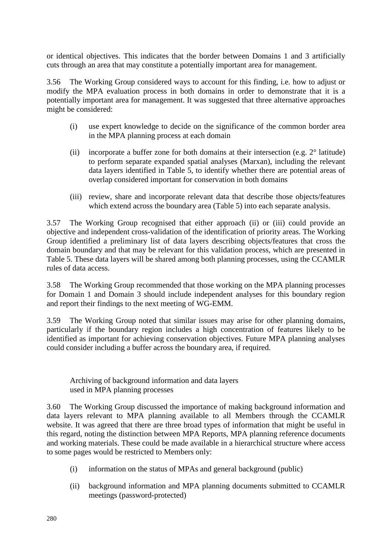or identical objectives. This indicates that the border between Domains 1 and 3 artificially cuts through an area that may constitute a potentially important area for management.

3.56 The Working Group considered ways to account for this finding, i.e. how to adjust or modify the MPA evaluation process in both domains in order to demonstrate that it is a potentially important area for management. It was suggested that three alternative approaches might be considered:

- (i) use expert knowledge to decide on the significance of the common border area in the MPA planning process at each domain
- (ii) incorporate a buffer zone for both domains at their intersection (e.g. 2° latitude) to perform separate expanded spatial analyses (Marxan), including the relevant data layers identified in Table 5, to identify whether there are potential areas of overlap considered important for conservation in both domains
- (iii) review, share and incorporate relevant data that describe those objects/features which extend across the boundary area (Table 5) into each separate analysis.

3.57 The Working Group recognised that either approach (ii) or (iii) could provide an objective and independent cross-validation of the identification of priority areas. The Working Group identified a preliminary list of data layers describing objects/features that cross the domain boundary and that may be relevant for this validation process, which are presented in Table 5. These data layers will be shared among both planning processes, using the CCAMLR rules of data access.

3.58 The Working Group recommended that those working on the MPA planning processes for Domain 1 and Domain 3 should include independent analyses for this boundary region and report their findings to the next meeting of WG-EMM.

3.59 The Working Group noted that similar issues may arise for other planning domains, particularly if the boundary region includes a high concentration of features likely to be identified as important for achieving conservation objectives. Future MPA planning analyses could consider including a buffer across the boundary area, if required.

Archiving of background information and data layers used in MPA planning processes

3.60 The Working Group discussed the importance of making background information and data layers relevant to MPA planning available to all Members through the CCAMLR website. It was agreed that there are three broad types of information that might be useful in this regard, noting the distinction between MPA Reports, MPA planning reference documents and working materials. These could be made available in a hierarchical structure where access to some pages would be restricted to Members only:

- (i) information on the status of MPAs and general background (public)
- (ii) background information and MPA planning documents submitted to CCAMLR meetings (password-protected)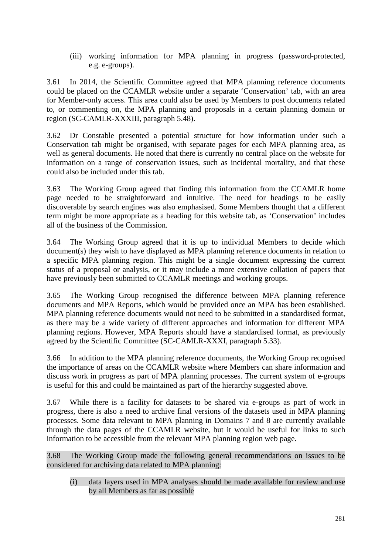(iii) working information for MPA planning in progress (password-protected, e.g. e-groups).

3.61 In 2014, the Scientific Committee agreed that MPA planning reference documents could be placed on the CCAMLR website under a separate 'Conservation' tab, with an area for Member-only access. This area could also be used by Members to post documents related to, or commenting on, the MPA planning and proposals in a certain planning domain or region (SC-CAMLR-XXXIII, paragraph 5.48).

3.62 Dr Constable presented a potential structure for how information under such a Conservation tab might be organised, with separate pages for each MPA planning area, as well as general documents. He noted that there is currently no central place on the website for information on a range of conservation issues, such as incidental mortality, and that these could also be included under this tab.

3.63 The Working Group agreed that finding this information from the CCAMLR home page needed to be straightforward and intuitive. The need for headings to be easily discoverable by search engines was also emphasised. Some Members thought that a different term might be more appropriate as a heading for this website tab, as 'Conservation' includes all of the business of the Commission.

3.64 The Working Group agreed that it is up to individual Members to decide which document(s) they wish to have displayed as MPA planning reference documents in relation to a specific MPA planning region. This might be a single document expressing the current status of a proposal or analysis, or it may include a more extensive collation of papers that have previously been submitted to CCAMLR meetings and working groups.

3.65 The Working Group recognised the difference between MPA planning reference documents and MPA Reports, which would be provided once an MPA has been established. MPA planning reference documents would not need to be submitted in a standardised format, as there may be a wide variety of different approaches and information for different MPA planning regions. However, MPA Reports should have a standardised format, as previously agreed by the Scientific Committee (SC-CAMLR-XXXI, paragraph 5.33).

3.66 In addition to the MPA planning reference documents, the Working Group recognised the importance of areas on the CCAMLR website where Members can share information and discuss work in progress as part of MPA planning processes. The current system of e-groups is useful for this and could be maintained as part of the hierarchy suggested above.

3.67 While there is a facility for datasets to be shared via e-groups as part of work in progress, there is also a need to archive final versions of the datasets used in MPA planning processes. Some data relevant to MPA planning in Domains 7 and 8 are currently available through the data pages of the CCAMLR website, but it would be useful for links to such information to be accessible from the relevant MPA planning region web page.

3.68 The Working Group made the following general recommendations on issues to be considered for archiving data related to MPA planning:

(i) data layers used in MPA analyses should be made available for review and use by all Members as far as possible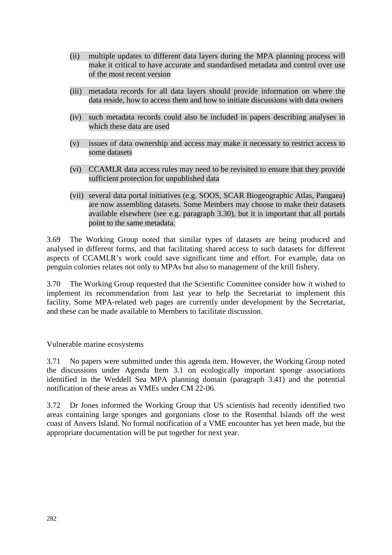- (ii) multiple updates to different data layers during the MPA planning process will make it critical to have accurate and standardised metadata and control over use of the most recent version
- (iii) metadata records for all data layers should provide information on where the data reside, how to access them and how to initiate discussions with data owners
- (iv) such metadata records could also be included in papers describing analyses in which these data are used
- (v) issues of data ownership and access may make it necessary to restrict access to some datasets
- (vi) CCAMLR data access rules may need to be revisited to ensure that they provide sufficient protection for unpublished data
- (vii) several data portal initiatives (e.g. SOOS, SCAR Biogeographic Atlas, Pangaea) are now assembling datasets. Some Members may choose to make their datasets available elsewhere (see e.g. paragraph 3.30), but it is important that all portals point to the same metadata.

3.69 The Working Group noted that similar types of datasets are being produced and analysed in different forms, and that facilitating shared access to such datasets for different aspects of CCAMLR's work could save significant time and effort. For example, data on penguin colonies relates not only to MPAs but also to management of the krill fishery.

3.70 The Working Group requested that the Scientific Committee consider how it wished to implement its recommendation from last year to help the Secretariat to implement this facility. Some MPA-related web pages are currently under development by the Secretariat, and these can be made available to Members to facilitate discussion.

Vulnerable marine ecosystems

3.71 No papers were submitted under this agenda item. However, the Working Group noted the discussions under Agenda Item 3.1 on ecologically important sponge associations identified in the Weddell Sea MPA planning domain (paragraph 3.41) and the potential notification of these areas as VMEs under CM 22-06.

3.72 Dr Jones informed the Working Group that US scientists had recently identified two areas containing large sponges and gorgonians close to the Rosenthal Islands off the west coast of Anvers Island. No formal notification of a VME encounter has yet been made, but the appropriate documentation will be put together for next year.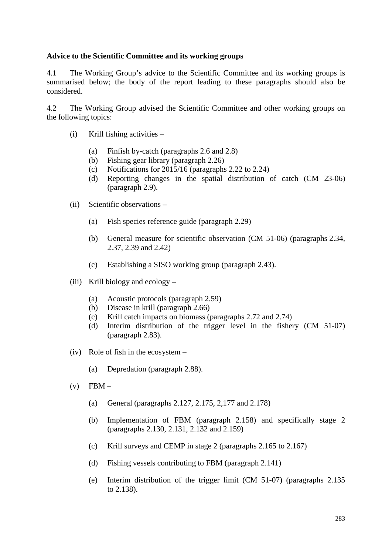### **Advice to the Scientific Committee and its working groups**

4.1 The Working Group's advice to the Scientific Committee and its working groups is summarised below; the body of the report leading to these paragraphs should also be considered.

4.2 The Working Group advised the Scientific Committee and other working groups on the following topics:

- (i) Krill fishing activities
	- (a) Finfish by-catch (paragraphs 2.6 and 2.8)
	- (b) Fishing gear library (paragraph 2.26)
	- (c) Notifications for 2015/16 (paragraphs 2.22 to 2.24)
	- (d) Reporting changes in the spatial distribution of catch (CM 23-06) (paragraph 2.9).
- (ii) Scientific observations
	- (a) Fish species reference guide (paragraph 2.29)
	- (b) General measure for scientific observation (CM 51-06) (paragraphs 2.34, 2.37, 2.39 and 2.42)
	- (c) Establishing a SISO working group (paragraph 2.43).
- (iii) Krill biology and ecology
	- (a) Acoustic protocols (paragraph 2.59)
	- (b) Disease in krill (paragraph 2.66)
	- (c) Krill catch impacts on biomass (paragraphs 2.72 and 2.74)
	- (d) Interim distribution of the trigger level in the fishery (CM 51-07) (paragraph 2.83).
- (iv) Role of fish in the ecosystem
	- (a) Depredation (paragraph 2.88).
- $(v)$  FBM
	- (a) General (paragraphs 2.127, 2.175, 2,177 and 2.178)
	- (b) Implementation of FBM (paragraph 2.158) and specifically stage 2 (paragraphs 2.130, 2.131, 2.132 and 2.159)
	- (c) Krill surveys and CEMP in stage 2 (paragraphs 2.165 to 2.167)
	- (d) Fishing vessels contributing to FBM (paragraph 2.141)
	- (e) Interim distribution of the trigger limit (CM 51-07) (paragraphs 2.135 to 2.138).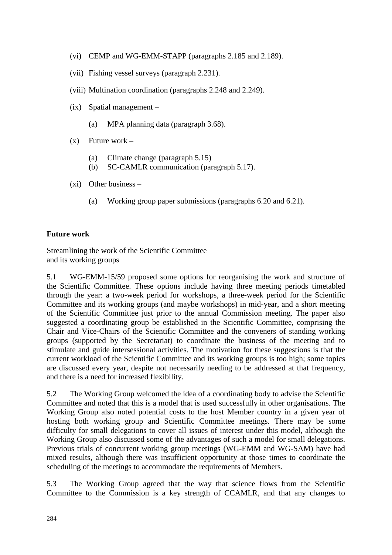- (vi) CEMP and WG-EMM-STAPP (paragraphs 2.185 and 2.189).
- (vii) Fishing vessel surveys (paragraph 2.231).
- (viii) Multination coordination (paragraphs 2.248 and 2.249).
- (ix) Spatial management
	- (a) MPA planning data (paragraph 3.68).
- $(x)$  Future work
	- (a) Climate change (paragraph 5.15)
	- (b) SC-CAMLR communication (paragraph 5.17).
- (xi) Other business
	- (a) Working group paper submissions (paragraphs 6.20 and 6.21).

## **Future work**

Streamlining the work of the Scientific Committee and its working groups

5.1 WG-EMM-15/59 proposed some options for reorganising the work and structure of the Scientific Committee. These options include having three meeting periods timetabled through the year: a two-week period for workshops, a three-week period for the Scientific Committee and its working groups (and maybe workshops) in mid-year, and a short meeting of the Scientific Committee just prior to the annual Commission meeting. The paper also suggested a coordinating group be established in the Scientific Committee, comprising the Chair and Vice-Chairs of the Scientific Committee and the conveners of standing working groups (supported by the Secretariat) to coordinate the business of the meeting and to stimulate and guide intersessional activities. The motivation for these suggestions is that the current workload of the Scientific Committee and its working groups is too high; some topics are discussed every year, despite not necessarily needing to be addressed at that frequency, and there is a need for increased flexibility.

5.2 The Working Group welcomed the idea of a coordinating body to advise the Scientific Committee and noted that this is a model that is used successfully in other organisations. The Working Group also noted potential costs to the host Member country in a given year of hosting both working group and Scientific Committee meetings. There may be some difficulty for small delegations to cover all issues of interest under this model, although the Working Group also discussed some of the advantages of such a model for small delegations. Previous trials of concurrent working group meetings (WG-EMM and WG-SAM) have had mixed results, although there was insufficient opportunity at those times to coordinate the scheduling of the meetings to accommodate the requirements of Members.

5.3 The Working Group agreed that the way that science flows from the Scientific Committee to the Commission is a key strength of CCAMLR, and that any changes to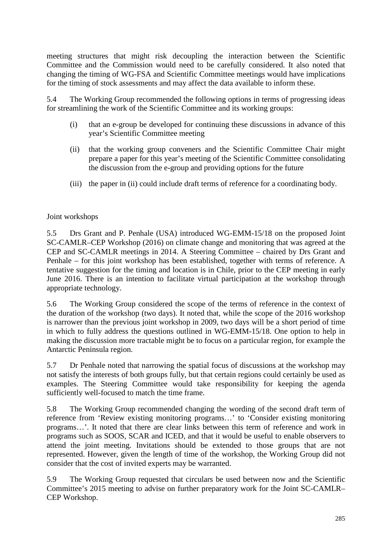meeting structures that might risk decoupling the interaction between the Scientific Committee and the Commission would need to be carefully considered. It also noted that changing the timing of WG-FSA and Scientific Committee meetings would have implications for the timing of stock assessments and may affect the data available to inform these.

5.4 The Working Group recommended the following options in terms of progressing ideas for streamlining the work of the Scientific Committee and its working groups:

- (i) that an e-group be developed for continuing these discussions in advance of this year's Scientific Committee meeting
- (ii) that the working group conveners and the Scientific Committee Chair might prepare a paper for this year's meeting of the Scientific Committee consolidating the discussion from the e-group and providing options for the future
- (iii) the paper in (ii) could include draft terms of reference for a coordinating body.

# Joint workshops

5.5 Drs Grant and P. Penhale (USA) introduced WG-EMM-15/18 on the proposed Joint SC-CAMLR–CEP Workshop (2016) on climate change and monitoring that was agreed at the CEP and SC-CAMLR meetings in 2014. A Steering Committee – chaired by Drs Grant and Penhale – for this joint workshop has been established, together with terms of reference. A tentative suggestion for the timing and location is in Chile, prior to the CEP meeting in early June 2016. There is an intention to facilitate virtual participation at the workshop through appropriate technology.

5.6 The Working Group considered the scope of the terms of reference in the context of the duration of the workshop (two days). It noted that, while the scope of the 2016 workshop is narrower than the previous joint workshop in 2009, two days will be a short period of time in which to fully address the questions outlined in WG-EMM-15/18. One option to help in making the discussion more tractable might be to focus on a particular region, for example the Antarctic Peninsula region.

5.7 Dr Penhale noted that narrowing the spatial focus of discussions at the workshop may not satisfy the interests of both groups fully, but that certain regions could certainly be used as examples. The Steering Committee would take responsibility for keeping the agenda sufficiently well-focused to match the time frame.

5.8 The Working Group recommended changing the wording of the second draft term of reference from 'Review existing monitoring programs…' to 'Consider existing monitoring programs…'. It noted that there are clear links between this term of reference and work in programs such as SOOS, SCAR and ICED, and that it would be useful to enable observers to attend the joint meeting. Invitations should be extended to those groups that are not represented. However, given the length of time of the workshop, the Working Group did not consider that the cost of invited experts may be warranted.

5.9 The Working Group requested that circulars be used between now and the Scientific Committee's 2015 meeting to advise on further preparatory work for the Joint SC-CAMLR– CEP Workshop.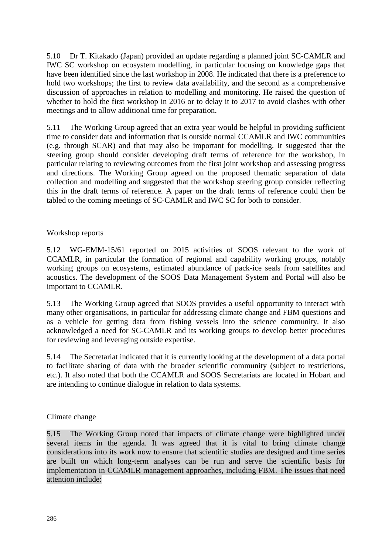5.10 Dr T. Kitakado (Japan) provided an update regarding a planned joint SC-CAMLR and IWC SC workshop on ecosystem modelling, in particular focusing on knowledge gaps that have been identified since the last workshop in 2008. He indicated that there is a preference to hold two workshops; the first to review data availability, and the second as a comprehensive discussion of approaches in relation to modelling and monitoring. He raised the question of whether to hold the first workshop in 2016 or to delay it to 2017 to avoid clashes with other meetings and to allow additional time for preparation.

5.11 The Working Group agreed that an extra year would be helpful in providing sufficient time to consider data and information that is outside normal CCAMLR and IWC communities (e.g. through SCAR) and that may also be important for modelling. It suggested that the steering group should consider developing draft terms of reference for the workshop, in particular relating to reviewing outcomes from the first joint workshop and assessing progress and directions. The Working Group agreed on the proposed thematic separation of data collection and modelling and suggested that the workshop steering group consider reflecting this in the draft terms of reference. A paper on the draft terms of reference could then be tabled to the coming meetings of SC-CAMLR and IWC SC for both to consider.

## Workshop reports

5.12 WG-EMM-15/61 reported on 2015 activities of SOOS relevant to the work of CCAMLR, in particular the formation of regional and capability working groups, notably working groups on ecosystems, estimated abundance of pack-ice seals from satellites and acoustics. The development of the SOOS Data Management System and Portal will also be important to CCAMLR.

5.13 The Working Group agreed that SOOS provides a useful opportunity to interact with many other organisations, in particular for addressing climate change and FBM questions and as a vehicle for getting data from fishing vessels into the science community. It also acknowledged a need for SC-CAMLR and its working groups to develop better procedures for reviewing and leveraging outside expertise.

5.14 The Secretariat indicated that it is currently looking at the development of a data portal to facilitate sharing of data with the broader scientific community (subject to restrictions, etc.). It also noted that both the CCAMLR and SOOS Secretariats are located in Hobart and are intending to continue dialogue in relation to data systems.

#### Climate change

5.15 The Working Group noted that impacts of climate change were highlighted under several items in the agenda. It was agreed that it is vital to bring climate change considerations into its work now to ensure that scientific studies are designed and time series are built on which long-term analyses can be run and serve the scientific basis for implementation in CCAMLR management approaches, including FBM. The issues that need attention include: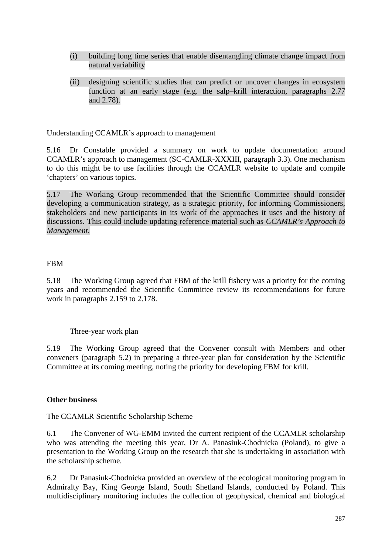- (i) building long time series that enable disentangling climate change impact from natural variability
- (ii) designing scientific studies that can predict or uncover changes in ecosystem function at an early stage (e.g. the salp–krill interaction, paragraphs 2.77 and 2.78).

Understanding CCAMLR's approach to management

5.16 Dr Constable provided a summary on work to update documentation around CCAMLR's approach to management (SC-CAMLR-XXXIII, paragraph 3.3). One mechanism to do this might be to use facilities through the CCAMLR website to update and compile 'chapters' on various topics.

5.17 The Working Group recommended that the Scientific Committee should consider developing a communication strategy, as a strategic priority, for informing Commissioners, stakeholders and new participants in its work of the approaches it uses and the history of discussions. This could include updating reference material such as *CCAMLR's Approach to Management*.

## FBM

5.18 The Working Group agreed that FBM of the krill fishery was a priority for the coming years and recommended the Scientific Committee review its recommendations for future work in paragraphs 2.159 to 2.178.

Three-year work plan

5.19 The Working Group agreed that the Convener consult with Members and other conveners (paragraph 5.2) in preparing a three-year plan for consideration by the Scientific Committee at its coming meeting, noting the priority for developing FBM for krill.

## **Other business**

The CCAMLR Scientific Scholarship Scheme

6.1 The Convener of WG-EMM invited the current recipient of the CCAMLR scholarship who was attending the meeting this year, Dr A. Panasiuk-Chodnicka (Poland), to give a presentation to the Working Group on the research that she is undertaking in association with the scholarship scheme.

6.2 Dr Panasiuk-Chodnicka provided an overview of the ecological monitoring program in Admiralty Bay, King George Island, South Shetland Islands, conducted by Poland. This multidisciplinary monitoring includes the collection of geophysical, chemical and biological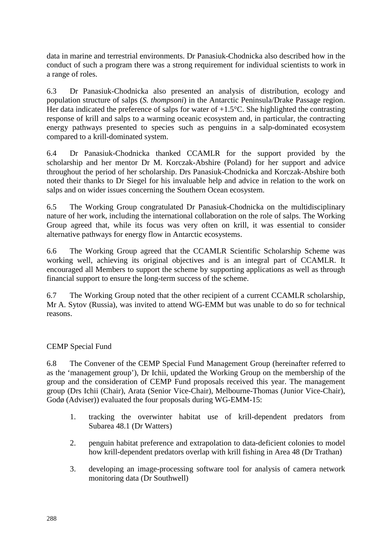data in marine and terrestrial environments. Dr Panasiuk-Chodnicka also described how in the conduct of such a program there was a strong requirement for individual scientists to work in a range of roles.

6.3 Dr Panasiuk-Chodnicka also presented an analysis of distribution, ecology and population structure of salps (*S. thompsoni*) in the Antarctic Peninsula/Drake Passage region. Her data indicated the preference of salps for water of  $+1.5^{\circ}$ C. She highlighted the contrasting response of krill and salps to a warming oceanic ecosystem and, in particular, the contracting energy pathways presented to species such as penguins in a salp-dominated ecosystem compared to a krill-dominated system.

6.4 Dr Panasiuk-Chodnicka thanked CCAMLR for the support provided by the scholarship and her mentor Dr M. Korczak-Abshire (Poland) for her support and advice throughout the period of her scholarship. Drs Panasiuk-Chodnicka and Korczak-Abshire both noted their thanks to Dr Siegel for his invaluable help and advice in relation to the work on salps and on wider issues concerning the Southern Ocean ecosystem.

6.5 The Working Group congratulated Dr Panasiuk-Chodnicka on the multidisciplinary nature of her work, including the international collaboration on the role of salps. The Working Group agreed that, while its focus was very often on krill, it was essential to consider alternative pathways for energy flow in Antarctic ecosystems.

6.6 The Working Group agreed that the CCAMLR Scientific Scholarship Scheme was working well, achieving its original objectives and is an integral part of CCAMLR. It encouraged all Members to support the scheme by supporting applications as well as through financial support to ensure the long-term success of the scheme.

6.7 The Working Group noted that the other recipient of a current CCAMLR scholarship, Mr A. Sytov (Russia), was invited to attend WG-EMM but was unable to do so for technical reasons.

## CEMP Special Fund

6.8 The Convener of the CEMP Special Fund Management Group (hereinafter referred to as the 'management group'), Dr Ichii, updated the Working Group on the membership of the group and the consideration of CEMP Fund proposals received this year. The management group (Drs Ichii (Chair), Arata (Senior Vice-Chair), Melbourne-Thomas (Junior Vice-Chair), Godø (Adviser)) evaluated the four proposals during WG-EMM-15:

- 1. tracking the overwinter habitat use of krill-dependent predators from Subarea 48.1 (Dr Watters)
- 2. penguin habitat preference and extrapolation to data-deficient colonies to model how krill-dependent predators overlap with krill fishing in Area 48 (Dr Trathan)
- 3. developing an image-processing software tool for analysis of camera network monitoring data (Dr Southwell)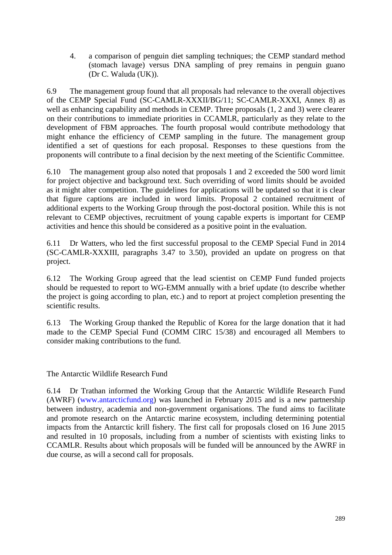4. a comparison of penguin diet sampling techniques; the CEMP standard method (stomach lavage) versus DNA sampling of prey remains in penguin guano (Dr C. Waluda (UK)).

6.9 The management group found that all proposals had relevance to the overall objectives of the CEMP Special Fund (SC-CAMLR-XXXII/BG/11; SC-CAMLR-XXXI, Annex 8) as well as enhancing capability and methods in CEMP. Three proposals (1, 2 and 3) were clearer on their contributions to immediate priorities in CCAMLR, particularly as they relate to the development of FBM approaches. The fourth proposal would contribute methodology that might enhance the efficiency of CEMP sampling in the future. The management group identified a set of questions for each proposal. Responses to these questions from the proponents will contribute to a final decision by the next meeting of the Scientific Committee.

6.10 The management group also noted that proposals 1 and 2 exceeded the 500 word limit for project objective and background text. Such overriding of word limits should be avoided as it might alter competition. The guidelines for applications will be updated so that it is clear that figure captions are included in word limits. Proposal 2 contained recruitment of additional experts to the Working Group through the post-doctoral position. While this is not relevant to CEMP objectives, recruitment of young capable experts is important for CEMP activities and hence this should be considered as a positive point in the evaluation.

6.11 Dr Watters, who led the first successful proposal to the CEMP Special Fund in 2014 (SC-CAMLR-XXXIII, paragraphs 3.47 to 3.50), provided an update on progress on that project.

6.12 The Working Group agreed that the lead scientist on CEMP Fund funded projects should be requested to report to WG-EMM annually with a brief update (to describe whether the project is going according to plan, etc.) and to report at project completion presenting the scientific results.

6.13 The Working Group thanked the Republic of Korea for the large donation that it had made to the CEMP Special Fund (COMM CIRC 15/38) and encouraged all Members to consider making contributions to the fund.

The Antarctic Wildlife Research Fund

6.14 Dr Trathan informed the Working Group that the Antarctic Wildlife Research Fund (AWRF) [\(www.antarcticfund.org\)](http://www.antarcticfund.org/) was launched in February 2015 and is a new partnership between industry, academia and non-government organisations. The fund aims to facilitate and promote research on the Antarctic marine ecosystem, including determining potential impacts from the Antarctic krill fishery. The first call for proposals closed on 16 June 2015 and resulted in 10 proposals, including from a number of scientists with existing links to CCAMLR. Results about which proposals will be funded will be announced by the AWRF in due course, as will a second call for proposals.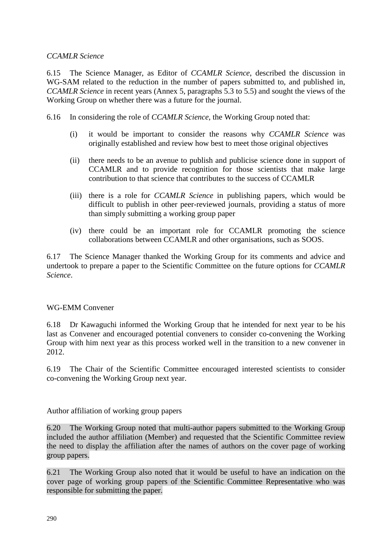## *CCAMLR Science*

6.15 The Science Manager, as Editor of *CCAMLR Science*, described the discussion in WG-SAM related to the reduction in the number of papers submitted to, and published in, *CCAMLR Science* in recent years (Annex 5, paragraphs 5.3 to 5.5) and sought the views of the Working Group on whether there was a future for the journal.

- 6.16 In considering the role of *CCAMLR Science*, the Working Group noted that:
	- (i) it would be important to consider the reasons why *CCAMLR Science* was originally established and review how best to meet those original objectives
	- (ii) there needs to be an avenue to publish and publicise science done in support of CCAMLR and to provide recognition for those scientists that make large contribution to that science that contributes to the success of CCAMLR
	- (iii) there is a role for *CCAMLR Science* in publishing papers, which would be difficult to publish in other peer-reviewed journals, providing a status of more than simply submitting a working group paper
	- (iv) there could be an important role for CCAMLR promoting the science collaborations between CCAMLR and other organisations, such as SOOS.

6.17 The Science Manager thanked the Working Group for its comments and advice and undertook to prepare a paper to the Scientific Committee on the future options for *CCAMLR Science*.

#### WG-EMM Convener

6.18 Dr Kawaguchi informed the Working Group that he intended for next year to be his last as Convener and encouraged potential conveners to consider co-convening the Working Group with him next year as this process worked well in the transition to a new convener in 2012.

6.19 The Chair of the Scientific Committee encouraged interested scientists to consider co-convening the Working Group next year.

Author affiliation of working group papers

6.20 The Working Group noted that multi-author papers submitted to the Working Group included the author affiliation (Member) and requested that the Scientific Committee review the need to display the affiliation after the names of authors on the cover page of working group papers.

6.21 The Working Group also noted that it would be useful to have an indication on the cover page of working group papers of the Scientific Committee Representative who was responsible for submitting the paper.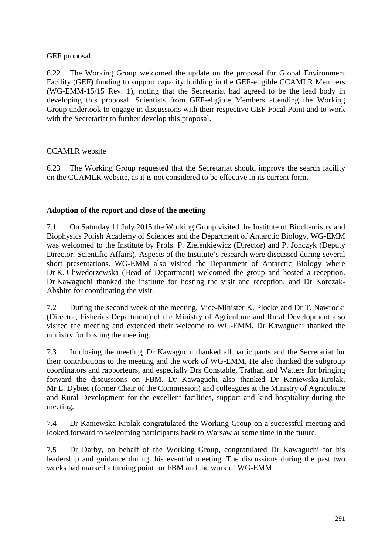## GEF proposal

6.22 The Working Group welcomed the update on the proposal for Global Environment Facility (GEF) funding to support capacity building in the GEF-eligible CCAMLR Members (WG-EMM-15/15 Rev. 1), noting that the Secretariat had agreed to be the lead body in developing this proposal. Scientists from GEF-eligible Members attending the Working Group undertook to engage in discussions with their respective GEF Focal Point and to work with the Secretariat to further develop this proposal.

## CCAMLR website

6.23 The Working Group requested that the Secretariat should improve the search facility on the CCAMLR website, as it is not considered to be effective in its current form.

## **Adoption of the report and close of the meeting**

7.1 On Saturday 11 July 2015 the Working Group visited the Institute of Biochemistry and Biophysics Polish Academy of Sciences and the Department of Antarctic Biology. WG-EMM was welcomed to the Institute by Profs. P. Zielenkiewicz (Director) and P. Jonczyk (Deputy Director, Scientific Affairs). Aspects of the Institute's research were discussed during several short presentations. WG-EMM also visited the Department of Antarctic Biology where Dr K. Chwedorzewska (Head of Department) welcomed the group and hosted a reception. Dr Kawaguchi thanked the institute for hosting the visit and reception, and Dr Korczak-Abshire for coordinating the visit.

7.2 During the second week of the meeting, Vice-Minister K. Plocke and Dr T. Nawrocki (Director, Fisheries Department) of the Ministry of Agriculture and Rural Development also visited the meeting and extended their welcome to WG-EMM. Dr Kawaguchi thanked the ministry for hosting the meeting.

7.3 In closing the meeting, Dr Kawaguchi thanked all participants and the Secretariat for their contributions to the meeting and the work of WG-EMM. He also thanked the subgroup coordinators and rapporteurs, and especially Drs Constable, Trathan and Watters for bringing forward the discussions on FBM. Dr Kawaguchi also thanked Dr Kaniewska-Krolak, Mr L. Dybiec (former Chair of the Commission) and colleagues at the Ministry of Agriculture and Rural Development for the excellent facilities, support and kind hospitality during the meeting.

7.4 Dr Kaniewska-Krolak congratulated the Working Group on a successful meeting and looked forward to welcoming participants back to Warsaw at some time in the future.

7.5 Dr Darby, on behalf of the Working Group, congratulated Dr Kawaguchi for his leadership and guidance during this eventful meeting. The discussions during the past two weeks had marked a turning point for FBM and the work of WG-EMM.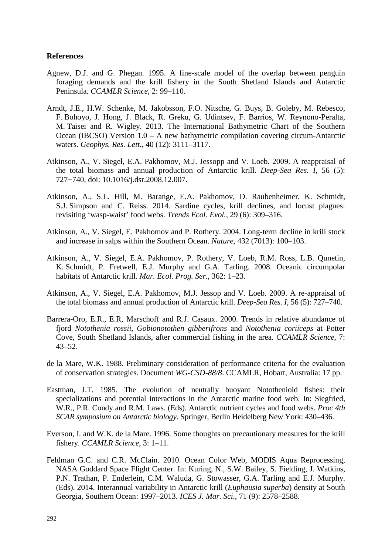#### **References**

- Agnew, D.J. and G. Phegan. 1995. A fine-scale model of the overlap between penguin foraging demands and the krill fishery in the South Shetland Islands and Antarctic Peninsula. *CCAMLR Science*, 2: 99–110.
- Arndt, J.E., H.W. Schenke, M. Jakobsson, F.O. Nitsche, G. Buys, B. Goleby, M. Rebesco, F. Bohoyo, J. Hong, J. Black, R. Greku, G. Udintsev, F. Barrios, W. Reynono-Peralta, M. Taisei and R. Wigley. 2013. The International Bathymetric Chart of the Southern Ocean (IBCSO) Version 1.0 – A new bathymetric compilation covering circum-Antarctic waters. *Geophys. Res. Lett.*, 40 (12): 3111–3117.
- Atkinson, A., V. Siegel, E.A. Pakhomov, M.J. Jessopp and V. Loeb. 2009. A reappraisal of the total biomass and annual production of Antarctic krill. *Deep-Sea Res. I*, 56 (5): 727−740, doi: 10.1016/j.dsr.2008.12.007.
- Atkinson, A., S.L. Hill, M. Barange, E.A. Pakhomov, D. Raubenheimer, K. Schmidt, S.J. Simpson and C. Reiss. 2014. Sardine cycles, krill declines, and locust plagues: revisiting 'wasp-waist' food webs. *Trends Ecol. Evol.*, 29 (6): 309–316.
- Atkinson, A., V. Siegel, E. Pakhomov and P. Rothery. 2004. Long-term decline in krill stock and increase in salps within the Southern Ocean. *Nature*, 432 (7013): 100–103.
- Atkinson, A., V. Siegel, E.A. Pakhomov, P. Rothery, V. Loeb, R.M. Ross, L.B. Qunetin, K. Schmidt, P. Fretwell, E.J. Murphy and G.A. Tarling. 2008. Oceanic circumpolar habitats of Antarctic krill. *Mar. Ecol. Prog. Ser.*, 362: 1–23.
- Atkinson, A., V. Siegel, E.A. Pakhomov, M.J. Jessop and V. Loeb. 2009. A re-appraisal of the total biomass and annual production of Antarctic krill. *Deep-Sea Res. I,* 56 (5): 727–740.
- Barrera-Oro, E.R., E.R, Marschoff and R.J. Casaux. 2000. Trends in relative abundance of fjord *Notothenia rossii*, *Gobionotothen gibberifrons* and *Notothenia coriiceps* at Potter Cove, South Shetland Islands, after commercial fishing in the area. *CCAMLR Science*, 7: 43–52.
- de la Mare, W.K. 1988. Preliminary consideration of performance criteria for the evaluation of conservation strategies. Document *WG-CSD-88/8*. CCAMLR, Hobart, Australia: 17 pp.
- Eastman, J.T. 1985. The evolution of neutrally buoyant Notothenioid fishes: their specializations and potential interactions in the Antarctic marine food web. In: Siegfried, W.R., P.R. Condy and R.M. Laws. (Eds). Antarctic nutrient cycles and food webs. *Proc 4th SCAR symposium on Antarctic biology*. Springer, Berlin Heidelberg New York: 430–436.
- Everson, I. and W.K. de la Mare. 1996. Some thoughts on precautionary measures for the krill fishery. *CCAMLR Science*, 3: 1–11.
- Feldman G.C. and C.R. McClain. 2010. Ocean Color Web, MODIS Aqua Reprocessing, NASA Goddard Space Flight Center. In: Kuring, N., S.W. Bailey, S. Fielding, J. Watkins, P.N. Trathan, P. Enderlein, C.M. Waluda, G. Stowasser, G.A. Tarling and E.J. Murphy. (Eds). 2014. Interannual variability in Antarctic krill (*Euphausia superba*) density at South Georgia, Southern Ocean: 1997–2013. *ICES J. Mar. Sci.*, 71 (9): 2578–2588.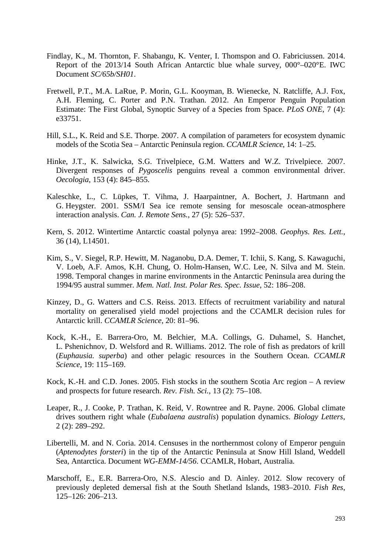- Findlay, K., M. Thornton, F. Shabangu, K. Venter, I. Thomspon and O. Fabriciussen. 2014. Report of the 2013/14 South African Antarctic blue whale survey, 000°–020°E. IWC Document *SC/65b/SH01*.
- Fretwell, P.T., M.A. LaRue, P. Morin, G.L. Kooyman, B. Wienecke, N. Ratcliffe, A.J. Fox, A.H. Fleming, C. Porter and P.N. Trathan. 2012. An Emperor Penguin Population Estimate: The First Global, Synoptic Survey of a Species from Space. *PLoS ONE*, 7 (4): e33751.
- Hill, S.L., K. Reid and S.E. Thorpe. 2007. A compilation of parameters for ecosystem dynamic models of the Scotia Sea – Antarctic Peninsula region. *CCAMLR Science*, 14: 1–25.
- Hinke, J.T., K. Salwicka, S.G. Trivelpiece, G.M. Watters and W.Z. Trivelpiece. 2007. Divergent responses of *Pygoscelis* penguins reveal a common environmental driver. *Oecologia*, 153 (4): 845–855.
- Kaleschke, L., C. Lüpkes, T. Vihma, J. Haarpaintner, A. Bochert, J. Hartmann and G. Heygster. 2001. SSM/I Sea ice remote sensing for mesoscale ocean-atmosphere interaction analysis. *Can. J. Remote Sens.*, 27 (5): 526–537.
- Kern, S. 2012. Wintertime Antarctic coastal polynya area: 1992–2008. *Geophys. Res. Lett.*, 36 (14), L14501.
- Kim, S., V. Siegel, R.P. Hewitt, M. Naganobu, D.A. Demer, T. Ichii, S. Kang, S. Kawaguchi, V. Loeb, A.F. Amos, K.H. Chung, O. Holm-Hansen, W.C. Lee, N. Silva and M. Stein. 1998. Temporal changes in marine environments in the Antarctic Peninsula area during the 1994/95 austral summer. *Mem. Natl. Inst. Polar Res. Spec. Issue*, 52: 186–208.
- Kinzey, D., G. Watters and C.S. Reiss. 2013. Effects of recruitment variability and natural mortality on generalised yield model projections and the CCAMLR decision rules for Antarctic krill. *CCAMLR Science*, 20: 81–96.
- Kock, K.-H., E. Barrera-Oro, M. Belchier, M.A. Collings, G. Duhamel, S. Hanchet, L. Pshenichnov, D. Welsford and R. Williams. 2012. The role of fish as predators of krill (*Euphausia. superba*) and other pelagic resources in the Southern Ocean. *CCAMLR Science*, 19: 115–169.
- Kock, K.-H. and C.D. Jones. 2005. Fish stocks in the southern Scotia Arc region A review and prospects for future research. *Rev. Fish. Sci.*, 13 (2): 75–108.
- Leaper, R., J. Cooke, P. Trathan, K. Reid, V. Rowntree and R. Payne. 2006. Global climate drives southern right whale (*Eubalaena australis*) population dynamics. *Biology Letters*, 2 (2): 289–292.
- Libertelli, M. and N. Coria. 2014. Censuses in the northernmost colony of Emperor penguin (*Aptenodytes forsteri*) in the tip of the Antarctic Peninsula at Snow Hill Island, Weddell Sea, Antarctica. Document *WG-EMM-14/56*. CCAMLR, Hobart, Australia.
- Marschoff, E., E.R. Barrera-Oro, N.S. Alescio and D. Ainley. 2012. Slow recovery of previously depleted demersal fish at the South Shetland Islands, 1983–2010. *Fish Res*, 125–126: 206–213.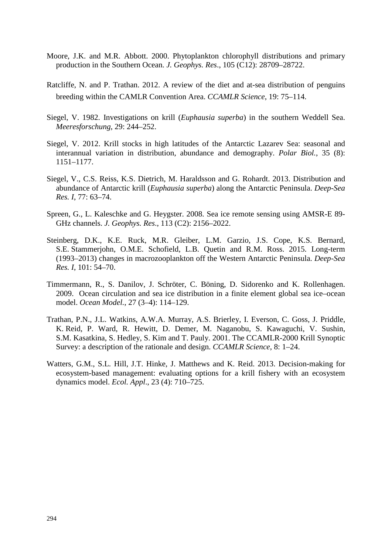- Moore, J.K. and M.R. Abbott. 2000. Phytoplankton chlorophyll distributions and primary production in the Southern Ocean. *J. Geophys. Res*., 105 (C12): 28709–28722.
- Ratcliffe, N. and P. Trathan. 2012. A review of the diet and at-sea distribution of penguins breeding within the CAMLR Convention Area. *CCAMLR Science*, 19: 75–114.
- Siegel, V. 1982. Investigations on krill (*Euphausia superba*) in the southern Weddell Sea. *Meeresforschung*, 29: 244–252.
- Siegel, V. 2012. Krill stocks in high latitudes of the Antarctic Lazarev Sea: seasonal and interannual variation in distribution, abundance and demography. *Polar Biol.*, 35 (8): 1151–1177.
- Siegel, V., C.S. Reiss, K.S. Dietrich, M. Haraldsson and G. Rohardt. 2013. Distribution and abundance of Antarctic krill (*Euphausia superba*) along the Antarctic Peninsula. *Deep-Sea Res. I*, 77: 63–74.
- Spreen, G., L. Kaleschke and G. Heygster. 2008. Sea ice remote sensing using AMSR-E 89- GHz channels. *J. Geophys. Res*., 113 (C2): 2156–2022.
- Steinberg, D.K., K.E. Ruck, M.R. Gleiber, L.M. Garzio, J.S. Cope, K.S. Bernard, S.E. Stammerjohn, O.M.E. Schofield, L.B. Quetin and R.M. Ross. 2015. Long-term (1993–2013) changes in macrozooplankton off the Western Antarctic Peninsula. *Deep-Sea Res. I*, 101: 54–70.
- Timmermann, R., S. Danilov, J. Schröter, C. Böning, D. Sidorenko and K. Rollenhagen. 2009. Ocean circulation and sea ice distribution in a finite element global sea ice–ocean model. *Ocean Model.*, 27 (3–4): 114–129.
- Trathan, P.N., J.L. Watkins, A.W.A. Murray, A.S. Brierley, I. Everson, C. Goss, J. Priddle, K. Reid, P. Ward, R. Hewitt, D. Demer, M. Naganobu, S. Kawaguchi, V. Sushin, S.M. Kasatkina, S. Hedley, S. Kim and T. Pauly. 2001. The CCAMLR-2000 Krill Synoptic Survey: a description of the rationale and design. *CCAMLR Science*, 8: 1–24.
- Watters, G.M., S.L. Hill, J.T. Hinke, J. Matthews and K. Reid. 2013. Decision-making for ecosystem-based management: evaluating options for a krill fishery with an ecosystem dynamics model. *Ecol. Appl*., 23 (4): 710–725.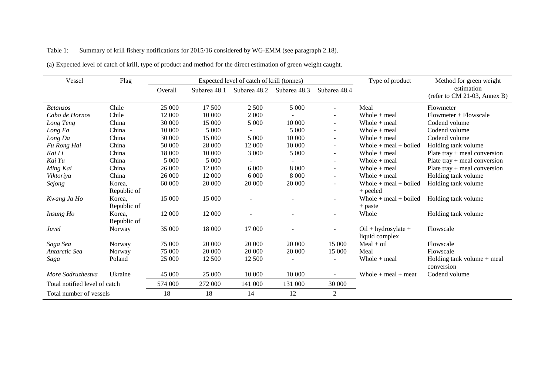## Table 1: Summary of krill fishery notifications for 2015/16 considered by WG-EMM (see paragraph 2.18).

| Vessel                        | Flag                  | Expected level of catch of krill (tonnes) |              |              |              | Type of product          | Method for green weight                 |                                            |
|-------------------------------|-----------------------|-------------------------------------------|--------------|--------------|--------------|--------------------------|-----------------------------------------|--------------------------------------------|
|                               |                       | Overall                                   | Subarea 48.1 | Subarea 48.2 | Subarea 48.3 | Subarea 48.4             |                                         | estimation<br>(refer to CM 21-03, Annex B) |
| <b>Betanzos</b>               | Chile                 | 25 000                                    | 17 500       | 2 500        | 5 0 0 0      | $\overline{\phantom{0}}$ | Meal                                    | Flowmeter                                  |
| Cabo de Hornos                | Chile                 | 12 000                                    | 10 000       | 2 0 0 0      |              | $\overline{\phantom{a}}$ | Whole $+$ meal                          | $Flowmeter + Flowscale$                    |
| Long Teng                     | China                 | 30 000                                    | 15 000       | 5 0 0 0      | 10 000       | ۰                        | Whole $+$ meal                          | Codend volume                              |
| Long Fa                       | China                 | 10 000                                    | 5 000        |              | 5 000        | $\sim$                   | Whole $+$ meal                          | Codend volume                              |
| Long Da                       | China                 | 30 000                                    | 15 000       | 5 0 0 0      | 10 000       | ۰                        | Whole $+$ meal                          | Codend volume                              |
| Fu Rong Hai                   | China                 | 50 000                                    | 28 000       | 12 000       | 10 000       | $\sim$                   | Whole $+$ meal $+$ boiled               | Holding tank volume                        |
| Kai Li                        | China                 | 18 000                                    | 10 000       | 3 0 0 0      | 5 0 0 0      | ۰                        | Whole $+$ meal                          | Plate tray $+$ meal conversion             |
| Kai Yu                        | China                 | 5 000                                     | 5 000        |              |              | ۰                        | Whole $+$ meal                          | Plate tray $+$ meal conversion             |
| Ming Kai                      | China                 | 26 000                                    | 12 000       | 6 0 0 0      | 8 0 0 0      | $\blacksquare$           | Whole $+$ meal                          | Plate tray $+$ meal conversion             |
| Viktoriya                     | China                 | 26 000                                    | 12 000       | 6 0 0 0      | 8 0 0 0      | $\overline{\phantom{a}}$ | Whole $+$ meal                          | Holding tank volume                        |
| Sejong                        | Korea.<br>Republic of | 60 000                                    | 20 000       | 20 000       | 20 000       | ۰                        | Whole $+$ meal $+$ boiled<br>$+$ peeled | Holding tank volume                        |
| Kwang Ja Ho                   | Korea,<br>Republic of | 15 000                                    | 15 000       |              |              | $\overline{a}$           | Whole $+$ meal $+$ boiled<br>$+$ paste  | Holding tank volume                        |
| Insung Ho                     | Korea,<br>Republic of | 12 000                                    | 12 000       |              |              | $\overline{a}$           | Whole                                   | Holding tank volume                        |
| Juvel                         | Norway                | 35 000                                    | 18 000       | 17 000       |              |                          | $Oil + hydrosylate +$<br>liquid complex | Flowscale                                  |
| Saga Sea                      | Norway                | 75 000                                    | 20 000       | 20 000       | 20 000       | 15 000                   | $Mean + oil$                            | Flowscale                                  |
| Antarctic Sea                 | Norway                | 75 000                                    | 20 000       | 20 000       | 20 000       | 15 000                   | Meal                                    | Flowscale                                  |
| Saga                          | Poland                | 25 000                                    | 12 500       | 12 500       |              | ÷,                       | Whole $+$ meal                          | Holding tank volume + meal<br>conversion   |
| More Sodruzhestva             | Ukraine               | 45 000                                    | 25 000       | 10 000       | 10 000       |                          | Whole $+$ meal $+$ meat                 | Codend volume                              |
| Total notified level of catch |                       | 574 000                                   | 272 000      | 141 000      | 131 000      | 30 000                   |                                         |                                            |
| Total number of vessels       |                       | 18                                        | 18           | 14           | 12           | $\overline{2}$           |                                         |                                            |

(a) Expected level of catch of krill, type of product and method for the direct estimation of green weight caught.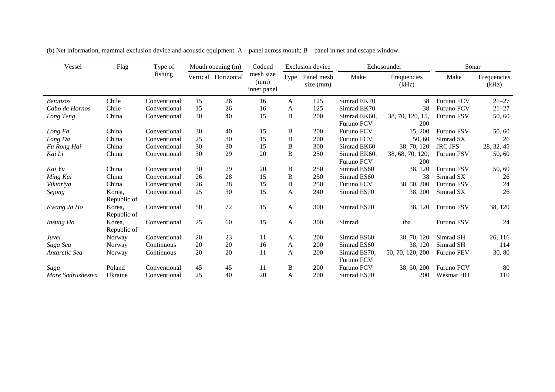| Vessel            | Flag        | Type of      |    | Mouth opening (m)   | Codend                           |              | <b>Exclusion</b> device |                   | Echosounder          | Sonar             |                      |
|-------------------|-------------|--------------|----|---------------------|----------------------------------|--------------|-------------------------|-------------------|----------------------|-------------------|----------------------|
|                   |             | fishing      |    | Vertical Horizontal | mesh size<br>(mm)<br>inner panel | Type         | Panel mesh<br>size (mm) | Make              | Frequencies<br>(kHz) | Make              | Frequencies<br>(kHz) |
| <b>Betanzos</b>   | Chile       | Conventional | 15 | 26                  | 16                               | A            | 125                     | Simrad EK70       | 38                   | <b>Furuno FCV</b> | $21 - 27$            |
| Cabo de Hornos    | Chile       | Conventional | 15 | 26                  | 16                               | A            | 125                     | Simrad EK70       | 38                   | <b>Furuno FCV</b> | $21 - 27$            |
| Long Teng         | China       | Conventional | 30 | 40                  | 15                               | B            | 200                     | Simrad EK60,      | 38, 70, 120, 15,     | Furuno FSV        | 50, 60               |
|                   |             |              |    |                     |                                  |              |                         | Furuno FCV        | 200                  |                   |                      |
| Long Fa           | China       | Conventional | 30 | 40                  | 15                               | $\, {\bf B}$ | 200                     | Furuno FCV        | 15, 200              | <b>Furuno FSV</b> | 50, 60               |
| Long Da           | China       | Conventional | 25 | 30                  | 15                               | B            | 200                     | <b>Furuno FCV</b> | 50,60                | Simrad SX         | 26                   |
| Fu Rong Hai       | China       | Conventional | 30 | 30                  | 15                               | $\bf{B}$     | 300                     | Simrad EK60       | 38, 70, 120          | <b>JRC JFS</b>    | 28, 32, 45           |
| Kai Li            | China       | Conventional | 30 | 29                  | 20                               | B            | 250                     | Simrad EK60,      | 38, 68, 70, 120,     | Furuno FSV        | 50, 60               |
|                   |             |              |    |                     |                                  |              |                         | <b>Furuno FCV</b> | 200                  |                   |                      |
| Kai Yu            | China       | Conventional | 30 | 29                  | 20                               | $\, {\bf B}$ | 250                     | Simrad ES60       | 38, 120              | Furuno FSV        | 50, 60               |
| Ming Kai          | China       | Conventional | 26 | 28                  | 15                               | B            | 250                     | Simrad ES60       | 38                   | Simrad SX         | 26                   |
| Viktoriya         | China       | Conventional | 26 | 28                  | 15                               | $\, {\bf B}$ | 250                     | Furuno FCV        | 38, 50, 200          | <b>Furuno FSV</b> | 24                   |
| Sejong            | Korea,      | Conventional | 25 | 30                  | 15                               | A            | 240                     | Simrad ES70       | 38, 200              | Simrad SX         | 26                   |
|                   | Republic of |              |    |                     |                                  |              |                         |                   |                      |                   |                      |
| Kwang Ja Ho       | Korea,      | Conventional | 50 | 72                  | 15                               | A            | 300                     | Simrad ES70       | 38, 120              | <b>Furuno FSV</b> | 38, 120              |
|                   | Republic of |              |    |                     |                                  |              |                         |                   |                      |                   |                      |
| Insung Ho         | Korea,      | Conventional | 25 | 60                  | 15                               | $\mathbf{A}$ | 300                     | Simrad            | tba                  | Furuno FSV        | 24                   |
|                   | Republic of |              |    |                     |                                  |              |                         |                   |                      |                   |                      |
| Juvel             | Norway      | Conventional | 20 | 23                  | 11                               | A            | 200                     | Simrad ES60       | 38, 70, 120          | Simrad SH         | 26, 116              |
| Saga Sea          | Norway      | Continuous   | 20 | 20                  | 16                               | A            | 200                     | Simrad ES60       | 38, 120              | Simrad SH         | 114                  |
| Antarctic Sea     | Norway      | Continuous   | 20 | 20                  | 11                               | A            | 200                     | Simrad ES70,      | 50, 70, 120, 200     | Furuno FEV        | 30, 80               |
|                   |             |              |    |                     |                                  |              |                         | Furuno FCV        |                      |                   |                      |
| Saga              | Poland      | Conventional | 45 | 45                  | 11                               | $\bf{B}$     | 200                     | <b>Furuno FCV</b> | 38, 50, 200          | <b>Furuno FCV</b> | 80                   |
| More Sodruzhestva | Ukraine     | Conventional | 25 | 40                  | 20                               | A            | 200                     | Simrad ES70       | 200                  | Wesmar HD         | 110                  |

(b) Net information, mammal exclusion device and acoustic equipment. A – panel across mouth; B – panel in net and escape window.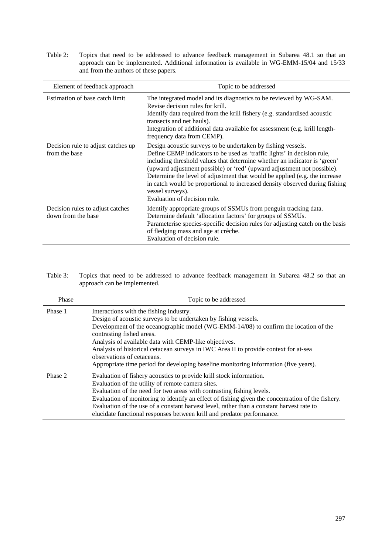Table 2: Topics that need to be addressed to advance feedback management in Subarea 48.1 so that an approach can be implemented. Additional information is available in WG-EMM-15/04 and 15/33 and from the authors of these papers.

| Element of feedback approach                           | Topic to be addressed                                                                                                                                                                                                                                                                                                                                                                                                                                                                                            |
|--------------------------------------------------------|------------------------------------------------------------------------------------------------------------------------------------------------------------------------------------------------------------------------------------------------------------------------------------------------------------------------------------------------------------------------------------------------------------------------------------------------------------------------------------------------------------------|
| Estimation of base catch limit                         | The integrated model and its diagnostics to be reviewed by WG-SAM.<br>Revise decision rules for krill.<br>Identify data required from the krill fishery (e.g. standardised acoustic<br>transects and net hauls).<br>Integration of additional data available for assessment (e.g. krill length-<br>frequency data from CEMP).                                                                                                                                                                                    |
| Decision rule to adjust catches up<br>from the base    | Design acoustic surveys to be undertaken by fishing vessels.<br>Define CEMP indicators to be used as 'traffic lights' in decision rule,<br>including threshold values that determine whether an indicator is 'green'<br>(upward adjustment possible) or 'red' (upward adjustment not possible).<br>Determine the level of adjustment that would be applied (e.g. the increase<br>in catch would be proportional to increased density observed during fishing<br>vessel surveys).<br>Evaluation of decision rule. |
| Decision rules to adjust catches<br>down from the base | Identify appropriate groups of SSMUs from penguin tracking data.<br>Determine default 'allocation factors' for groups of SSMUs.<br>Parameterise species-specific decision rules for adjusting catch on the basis<br>of fledging mass and age at crèche.<br>Evaluation of decision rule.                                                                                                                                                                                                                          |

Table 3: Topics that need to be addressed to advance feedback management in Subarea 48.2 so that an approach can be implemented.

| Phase   | Topic to be addressed                                                                                                                                                                                                                                                                                                                                                                                                                                                                                  |
|---------|--------------------------------------------------------------------------------------------------------------------------------------------------------------------------------------------------------------------------------------------------------------------------------------------------------------------------------------------------------------------------------------------------------------------------------------------------------------------------------------------------------|
| Phase 1 | Interactions with the fishing industry.<br>Design of acoustic surveys to be undertaken by fishing vessels.<br>Development of the oceanographic model (WG-EMM-14/08) to confirm the location of the<br>contrasting fished areas.<br>Analysis of available data with CEMP-like objectives.<br>Analysis of historical cetacean surveys in IWC Area II to provide context for at-sea<br>observations of cetaceans.<br>Appropriate time period for developing baseline monitoring information (five years). |
| Phase 2 | Evaluation of fishery acoustics to provide krill stock information.<br>Evaluation of the utility of remote camera sites.<br>Evaluation of the need for two areas with contrasting fishing levels.<br>Evaluation of monitoring to identify an effect of fishing given the concentration of the fishery.<br>Evaluation of the use of a constant harvest level, rather than a constant harvest rate to<br>elucidate functional responses between krill and predator performance.                          |

j.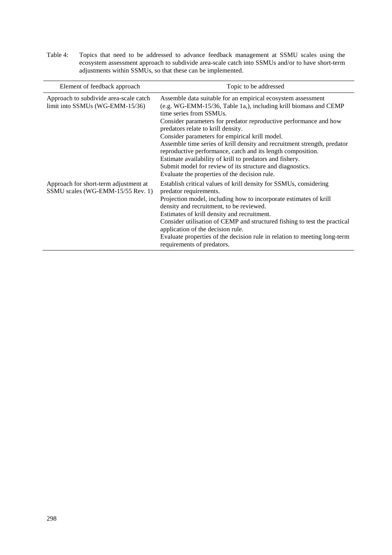Table 4: Topics that need to be addressed to advance feedback management at SSMU scales using the ecosystem assessment approach to subdivide area-scale catch into SSMUs and/or to have short-term adjustments within SSMUs, so that these can be implemented.

| Element of feedback approach                                               | Topic to be addressed                                                                                                                                                                                                                                                                                                                                                                                                                                                                                                                                                                                                                         |
|----------------------------------------------------------------------------|-----------------------------------------------------------------------------------------------------------------------------------------------------------------------------------------------------------------------------------------------------------------------------------------------------------------------------------------------------------------------------------------------------------------------------------------------------------------------------------------------------------------------------------------------------------------------------------------------------------------------------------------------|
| Approach to subdivide area-scale catch<br>limit into SSMUs (WG-EMM-15/36)  | Assemble data suitable for an empirical ecosystem assessment<br>(e.g. WG-EMM-15/36, Table 1a,), including krill biomass and CEMP<br>time series from SSMUs.<br>Consider parameters for predator reproductive performance and how<br>predators relate to krill density.<br>Consider parameters for empirical krill model.<br>Assemble time series of krill density and recruitment strength, predator<br>reproductive performance, catch and its length composition.<br>Estimate availability of krill to predators and fishery.<br>Submit model for review of its structure and diagnostics.<br>Evaluate the properties of the decision rule. |
| Approach for short-term adjustment at<br>SSMU scales (WG-EMM-15/55 Rev. 1) | Establish critical values of krill density for SSMUs, considering<br>predator requirements.<br>Projection model, including how to incorporate estimates of krill<br>density and recruitment, to be reviewed.<br>Estimates of krill density and recruitment.<br>Consider utilisation of CEMP and structured fishing to test the practical<br>application of the decision rule.<br>Evaluate properties of the decision rule in relation to meeting long-term<br>requirements of predators.                                                                                                                                                      |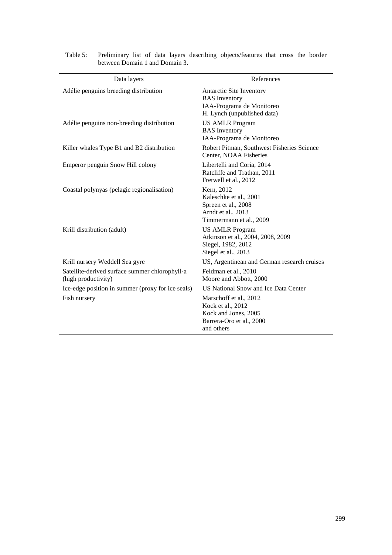| Data layers                                                           | References                                                                                                    |
|-----------------------------------------------------------------------|---------------------------------------------------------------------------------------------------------------|
| Adélie penguins breeding distribution                                 | Antarctic Site Inventory<br><b>BAS</b> Inventory<br>IAA-Programa de Monitoreo<br>H. Lynch (unpublished data)  |
| Adélie penguins non-breeding distribution                             | <b>US AMLR Program</b><br><b>BAS</b> Inventory<br>IAA-Programa de Monitoreo                                   |
| Killer whales Type B1 and B2 distribution                             | Robert Pitman, Southwest Fisheries Science<br>Center, NOAA Fisheries                                          |
| Emperor penguin Snow Hill colony                                      | Libertelli and Coria, 2014<br>Ratcliffe and Trathan, 2011<br>Fretwell et al., 2012                            |
| Coastal polynyas (pelagic regionalisation)                            | Kern, 2012<br>Kaleschke et al., 2001<br>Spreen et al., 2008<br>Arndt et al., 2013<br>Timmermann et al., 2009  |
| Krill distribution (adult)                                            | <b>US AMLR Program</b><br>Atkinson et al., 2004, 2008, 2009<br>Siegel, 1982, 2012<br>Siegel et al., 2013      |
| Krill nursery Weddell Sea gyre                                        | US, Argentinean and German research cruises                                                                   |
| Satellite-derived surface summer chlorophyll-a<br>(high productivity) | Feldman et al., 2010<br>Moore and Abbott, 2000                                                                |
| Ice-edge position in summer (proxy for ice seals)                     | US National Snow and Ice Data Center                                                                          |
| Fish nursery                                                          | Marschoff et al., 2012<br>Kock et al., 2012<br>Kock and Jones, 2005<br>Barrera-Oro et al., 2000<br>and others |

Table 5: Preliminary list of data layers describing objects/features that cross the border between Domain 1 and Domain 3.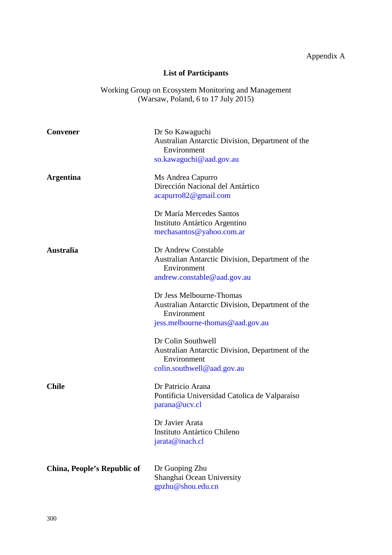# **List of Participants**

Working Group on Ecosystem Monitoring and Management (Warsaw, Poland, 6 to 17 July 2015)

| <b>Convener</b>             | Dr So Kawaguchi                                                 |
|-----------------------------|-----------------------------------------------------------------|
|                             | Australian Antarctic Division, Department of the                |
|                             | Environment                                                     |
|                             | so.kawaguchi@aad.gov.au                                         |
| <b>Argentina</b>            | Ms Andrea Capurro                                               |
|                             | Dirección Nacional del Antártico                                |
|                             | acapurro82@gmail.com                                            |
|                             |                                                                 |
|                             | Dr María Mercedes Santos                                        |
|                             | Instituto Antártico Argentino                                   |
|                             | mechasantos@yahoo.com.ar                                        |
| <b>Australia</b>            | Dr Andrew Constable                                             |
|                             | Australian Antarctic Division, Department of the<br>Environment |
|                             | andrew.constable@aad.gov.au                                     |
|                             | Dr Jess Melbourne-Thomas                                        |
|                             | Australian Antarctic Division, Department of the<br>Environment |
|                             | jess.melbourne-thomas@aad.gov.au                                |
|                             | Dr Colin Southwell                                              |
|                             | Australian Antarctic Division, Department of the<br>Environment |
|                             | colin.southwell@aad.gov.au                                      |
| Chile                       | Dr Patricio Arana                                               |
|                             | Pontificia Universidad Catolica de Valparaíso                   |
|                             | parana@ucv.cl                                                   |
|                             | Dr Javier Arata                                                 |
|                             | Instituto Antártico Chileno                                     |
|                             | jarata@inach.cl                                                 |
|                             |                                                                 |
| China, People's Republic of | Dr Guoping Zhu                                                  |
|                             | Shanghai Ocean University                                       |
|                             | gpzhu@shou.edu.cn                                               |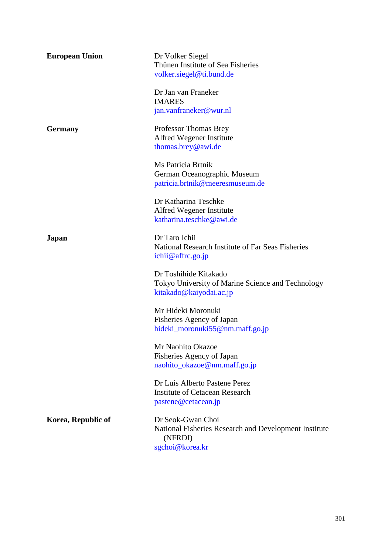| <b>European Union</b> | Dr Volker Siegel<br>Thünen Institute of Sea Fisheries<br>volker.siegel@ti.bund.de                        |
|-----------------------|----------------------------------------------------------------------------------------------------------|
|                       | Dr Jan van Franeker<br><b>IMARES</b><br>jan.vanfraneker@wur.nl                                           |
| <b>Germany</b>        | Professor Thomas Brey<br>Alfred Wegener Institute<br>thomas.brey@awi.de                                  |
|                       | Ms Patricia Brtnik<br>German Oceanographic Museum<br>patricia.brtnik@meeresmuseum.de                     |
|                       | Dr Katharina Teschke<br>Alfred Wegener Institute<br>katharina.teschke@awi.de                             |
| Japan                 | Dr Taro Ichii<br>National Research Institute of Far Seas Fisheries<br>ichii@affrc.go.jp                  |
|                       | Dr Toshihide Kitakado<br>Tokyo University of Marine Science and Technology<br>kitakado@kaiyodai.ac.jp    |
|                       | Mr Hideki Moronuki<br>Fisheries Agency of Japan<br>hideki_moronuki55@nm.maff.go.jp                       |
|                       | Mr Naohito Okazoe<br>Fisheries Agency of Japan<br>naohito_okazoe@nm.maff.go.jp                           |
|                       | Dr Luis Alberto Pastene Perez<br><b>Institute of Cetacean Research</b><br>pastene@cetacean.jp            |
| Korea, Republic of    | Dr Seok-Gwan Choi<br>National Fisheries Research and Development Institute<br>(NFRDI)<br>sgchoi@korea.kr |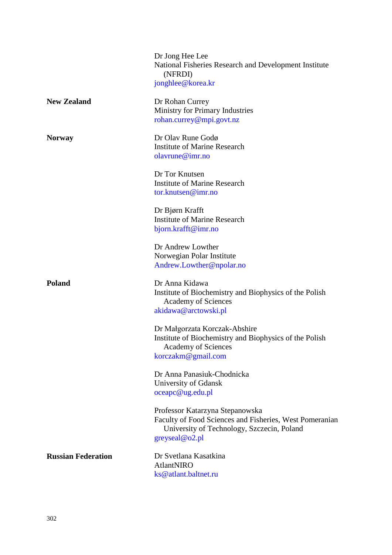|                           | Dr Jong Hee Lee<br>National Fisheries Research and Development Institute<br>(NFRDI)<br>jonghlee@korea.kr                                                   |
|---------------------------|------------------------------------------------------------------------------------------------------------------------------------------------------------|
| <b>New Zealand</b>        | Dr Rohan Currey<br>Ministry for Primary Industries<br>rohan.currey@mpi.govt.nz                                                                             |
| <b>Norway</b>             | Dr Olav Rune Godø<br><b>Institute of Marine Research</b><br>olavrune@imr.no                                                                                |
|                           | Dr Tor Knutsen<br><b>Institute of Marine Research</b><br>tor.knutsen@imr.no                                                                                |
|                           | Dr Bjørn Krafft<br><b>Institute of Marine Research</b><br>bjorn.krafft@imr.no                                                                              |
|                           | Dr Andrew Lowther<br>Norwegian Polar Institute<br>Andrew.Lowther@npolar.no                                                                                 |
| <b>Poland</b>             | Dr Anna Kidawa<br>Institute of Biochemistry and Biophysics of the Polish<br><b>Academy of Sciences</b><br>akidawa@arctowski.pl                             |
|                           | Dr Małgorzata Korczak-Abshire<br>Institute of Biochemistry and Biophysics of the Polish<br><b>Academy of Sciences</b><br>korczakm@gmail.com                |
|                           | Dr Anna Panasiuk-Chodnicka<br>University of Gdansk<br>oceapc@ug.edu.pl                                                                                     |
|                           | Professor Katarzyna Stepanowska<br>Faculty of Food Sciences and Fisheries, West Pomeranian<br>University of Technology, Szczecin, Poland<br>greyseal@o2.pl |
| <b>Russian Federation</b> | Dr Svetlana Kasatkina<br>AtlantNIRO<br>ks@atlant.baltnet.ru                                                                                                |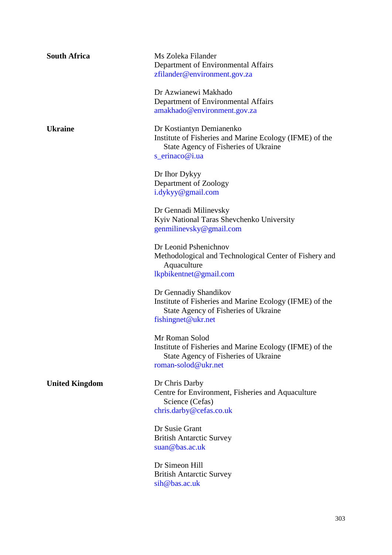| <b>South Africa</b>   | Ms Zoleka Filander<br>Department of Environmental Affairs<br>zfilander@environment.gov.za                                                      |
|-----------------------|------------------------------------------------------------------------------------------------------------------------------------------------|
|                       | Dr Azwianewi Makhado<br>Department of Environmental Affairs<br>amakhado@environment.gov.za                                                     |
| <b>Ukraine</b>        | Dr Kostiantyn Demianenko<br>Institute of Fisheries and Marine Ecology (IFME) of the<br>State Agency of Fisheries of Ukraine<br>s_erinaco@i.ua  |
|                       | Dr Ihor Dykyy<br>Department of Zoology<br>i.dykyy@gmail.com                                                                                    |
|                       | Dr Gennadi Milinevsky<br>Kyiv National Taras Shevchenko University<br>genmilinevsky@gmail.com                                                  |
|                       | Dr Leonid Pshenichnov<br>Methodological and Technological Center of Fishery and<br>Aquaculture<br>lkpbikentnet@gmail.com                       |
|                       | Dr Gennadiy Shandikov<br>Institute of Fisheries and Marine Ecology (IFME) of the<br>State Agency of Fisheries of Ukraine<br>fishingnet@ukr.net |
|                       | Mr Roman Solod<br>Institute of Fisheries and Marine Ecology (IFME) of the<br>State Agency of Fisheries of Ukraine<br>roman-solod@ukr.net       |
| <b>United Kingdom</b> | Dr Chris Darby<br>Centre for Environment, Fisheries and Aquaculture<br>Science (Cefas)<br>chris.darby@cefas.co.uk                              |
|                       | Dr Susie Grant<br><b>British Antarctic Survey</b><br>suan@bas.ac.uk                                                                            |
|                       | Dr Simeon Hill<br><b>British Antarctic Survey</b><br>sih@bas.ac.uk                                                                             |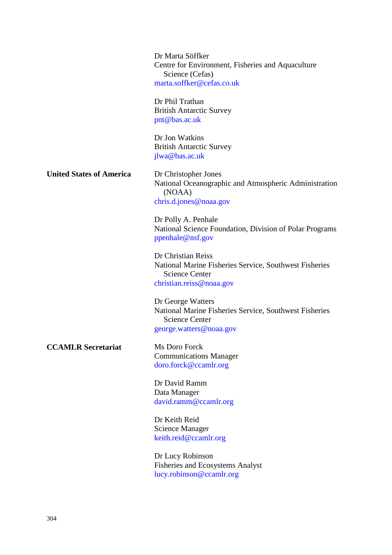Dr Marta Söffker Centre for Environment, Fisheries and Aquaculture Science (Cefas) [marta.soffker@cefas.co.uk](mailto:marta.soffker@cefas.co.uk)

Dr Phil Trathan British Antarctic Survey [pnt@bas.ac.uk](mailto:pnt@bas.ac.uk)

Dr Jon Watkins British Antarctic Survey [jlwa@bas.ac.uk](mailto:jlwa@bas.ac.uk)

**United States of America** Dr Christopher Jones

National Oceanographic and Atmospheric Administration (NOAA) [chris.d.jones@noaa.gov](mailto:chris.d.jones@noaa.gov)

Dr Polly A. Penhale National Science Foundation, Division of Polar Programs [ppenhale@nsf.gov](mailto:ppenhale@nsf.gov)

Dr Christian Reiss National Marine Fisheries Service, Southwest Fisheries Science Center [christian.reiss@noaa.gov](mailto:christian.reiss@noaa.gov)

Dr George Watters National Marine Fisheries Service, Southwest Fisheries Science Center [george.watters@noaa.gov](mailto:george.watters@noaa.gov)

**CCAMLR Secretariat** Ms Doro Forck

Communications Manager [doro.forck@ccamlr.org](mailto:doro.forck@ccamlr.org)

Dr David Ramm Data Manager [david.ramm@ccamlr.org](mailto:david.ramm@ccamlr.org)

Dr Keith Reid Science Manager [keith.reid@ccamlr.org](mailto:keith.reid@ccamlr.org)

Dr Lucy Robinson Fisheries and Ecosystems Analyst [lucy.robinson@ccamlr.org](mailto:lucy.robinson@ccamlr.org)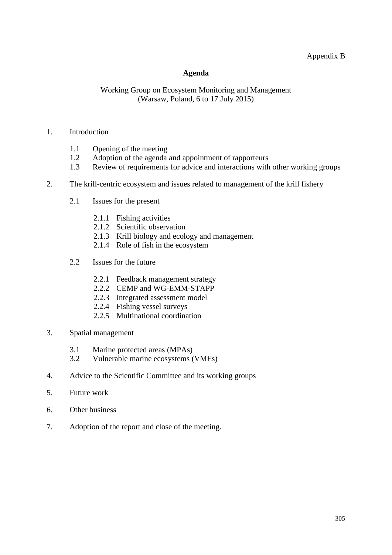## Appendix B

## **Agenda**

## Working Group on Ecosystem Monitoring and Management (Warsaw, Poland, 6 to 17 July 2015)

#### 1. Introduction

- 1.1 Opening of the meeting<br>1.2 Adoption of the agenda
- Adoption of the agenda and appointment of rapporteurs
- 1.3 Review of requirements for advice and interactions with other working groups
- 2. The krill-centric ecosystem and issues related to management of the krill fishery
	- 2.1 Issues for the present
		- 2.1.1 Fishing activities
		- 2.1.2 Scientific observation
		- 2.1.3 Krill biology and ecology and management
		- 2.1.4 Role of fish in the ecosystem
	- 2.2 Issues for the future
		- 2.2.1 Feedback management strategy
		- 2.2.2 CEMP and WG-EMM-STAPP
		- 2.2.3 Integrated assessment model
		- 2.2.4 Fishing vessel surveys
		- 2.2.5 Multinational coordination
- 3. Spatial management
	- 3.1 Marine protected areas (MPAs)<br>3.2 Vulnerable marine ecosystems (
	- 3.2 Vulnerable marine ecosystems (VMEs)
- 4. Advice to the Scientific Committee and its working groups
- 5. Future work
- 6. Other business
- 7. Adoption of the report and close of the meeting.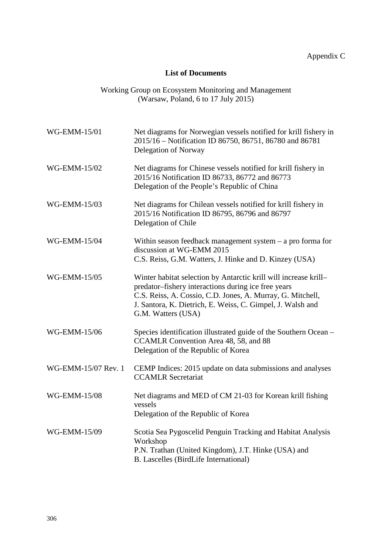## **List of Documents**

| Working Group on Ecosystem Monitoring and Management |  |
|------------------------------------------------------|--|
| (Warsaw, Poland, 6 to $17$ July $2015$ )             |  |

| WG-EMM-15/01        | Net diagrams for Norwegian vessels notified for krill fishery in<br>2015/16 - Notification ID 86750, 86751, 86780 and 86781<br>Delegation of Norway                                                                                                                       |
|---------------------|---------------------------------------------------------------------------------------------------------------------------------------------------------------------------------------------------------------------------------------------------------------------------|
| WG-EMM-15/02        | Net diagrams for Chinese vessels notified for krill fishery in<br>2015/16 Notification ID 86733, 86772 and 86773<br>Delegation of the People's Republic of China                                                                                                          |
| WG-EMM-15/03        | Net diagrams for Chilean vessels notified for krill fishery in<br>2015/16 Notification ID 86795, 86796 and 86797<br>Delegation of Chile                                                                                                                                   |
| WG-EMM-15/04        | Within season feedback management system $-$ a pro forma for<br>discussion at WG-EMM 2015<br>C.S. Reiss, G.M. Watters, J. Hinke and D. Kinzey (USA)                                                                                                                       |
| WG-EMM-15/05        | Winter habitat selection by Antarctic krill will increase krill-<br>predator-fishery interactions during ice free years<br>C.S. Reiss, A. Cossio, C.D. Jones, A. Murray, G. Mitchell,<br>J. Santora, K. Dietrich, E. Weiss, C. Gimpel, J. Walsh and<br>G.M. Watters (USA) |
| WG-EMM-15/06        | Species identification illustrated guide of the Southern Ocean -<br>CCAMLR Convention Area 48, 58, and 88<br>Delegation of the Republic of Korea                                                                                                                          |
| WG-EMM-15/07 Rev. 1 | CEMP Indices: 2015 update on data submissions and analyses<br><b>CCAMLR Secretariat</b>                                                                                                                                                                                   |
| WG-EMM-15/08        | Net diagrams and MED of CM 21-03 for Korean krill fishing<br>vessels<br>Delegation of the Republic of Korea                                                                                                                                                               |
| WG-EMM-15/09        | Scotia Sea Pygoscelid Penguin Tracking and Habitat Analysis<br>Workshop<br>P.N. Trathan (United Kingdom), J.T. Hinke (USA) and<br><b>B.</b> Lascelles (BirdLife International)                                                                                            |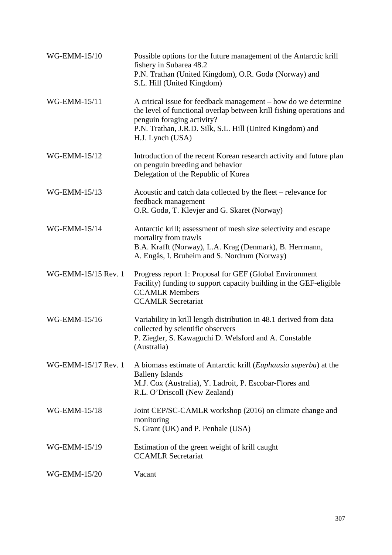| WG-EMM-15/10        | Possible options for the future management of the Antarctic krill<br>fishery in Subarea 48.2<br>P.N. Trathan (United Kingdom), O.R. Godø (Norway) and<br>S.L. Hill (United Kingdom)                                                                   |
|---------------------|-------------------------------------------------------------------------------------------------------------------------------------------------------------------------------------------------------------------------------------------------------|
| WG-EMM-15/11        | A critical issue for feedback management – how do we determine<br>the level of functional overlap between krill fishing operations and<br>penguin foraging activity?<br>P.N. Trathan, J.R.D. Silk, S.L. Hill (United Kingdom) and<br>H.J. Lynch (USA) |
| WG-EMM-15/12        | Introduction of the recent Korean research activity and future plan<br>on penguin breeding and behavior<br>Delegation of the Republic of Korea                                                                                                        |
| WG-EMM-15/13        | Acoustic and catch data collected by the fleet – relevance for<br>feedback management<br>O.R. Godø, T. Klevjer and G. Skaret (Norway)                                                                                                                 |
| WG-EMM-15/14        | Antarctic krill; assessment of mesh size selectivity and escape<br>mortality from trawls<br>B.A. Krafft (Norway), L.A. Krag (Denmark), B. Herrmann,<br>A. Engås, I. Bruheim and S. Nordrum (Norway)                                                   |
| WG-EMM-15/15 Rev. 1 | Progress report 1: Proposal for GEF (Global Environment<br>Facility) funding to support capacity building in the GEF-eligible<br><b>CCAMLR Members</b><br><b>CCAMLR Secretariat</b>                                                                   |
| WG-EMM-15/16        | Variability in krill length distribution in 48.1 derived from data<br>collected by scientific observers<br>P. Ziegler, S. Kawaguchi D. Welsford and A. Constable<br>(Australia)                                                                       |
| WG-EMM-15/17 Rev. 1 | A biomass estimate of Antarctic krill ( <i>Euphausia superba</i> ) at the<br><b>Balleny Islands</b><br>M.J. Cox (Australia), Y. Ladroit, P. Escobar-Flores and<br>R.L. O'Driscoll (New Zealand)                                                       |
| WG-EMM-15/18        | Joint CEP/SC-CAMLR workshop (2016) on climate change and<br>monitoring<br>S. Grant (UK) and P. Penhale (USA)                                                                                                                                          |
| WG-EMM-15/19        | Estimation of the green weight of krill caught<br><b>CCAMLR Secretariat</b>                                                                                                                                                                           |
| WG-EMM-15/20        | Vacant                                                                                                                                                                                                                                                |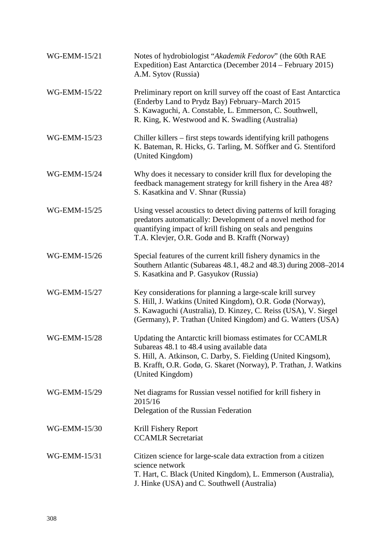| WG-EMM-15/21 | Notes of hydrobiologist "Akademik Fedorov" (the 60th RAE<br>Expedition) East Antarctica (December 2014 – February 2015)<br>A.M. Sytov (Russia)                                                                                                                   |
|--------------|------------------------------------------------------------------------------------------------------------------------------------------------------------------------------------------------------------------------------------------------------------------|
| WG-EMM-15/22 | Preliminary report on krill survey off the coast of East Antarctica<br>(Enderby Land to Prydz Bay) February–March 2015<br>S. Kawaguchi, A. Constable, L. Emmerson, C. Southwell,<br>R. King, K. Westwood and K. Swadling (Australia)                             |
| WG-EMM-15/23 | Chiller killers – first steps towards identifying krill pathogens<br>K. Bateman, R. Hicks, G. Tarling, M. Söffker and G. Stentiford<br>(United Kingdom)                                                                                                          |
| WG-EMM-15/24 | Why does it necessary to consider krill flux for developing the<br>feedback management strategy for krill fishery in the Area 48?<br>S. Kasatkina and V. Shnar (Russia)                                                                                          |
| WG-EMM-15/25 | Using vessel acoustics to detect diving patterns of krill foraging<br>predators automatically: Development of a novel method for<br>quantifying impact of krill fishing on seals and penguins<br>T.A. Klevjer, O.R. Godø and B. Krafft (Norway)                  |
| WG-EMM-15/26 | Special features of the current krill fishery dynamics in the<br>Southern Atlantic (Subareas 48.1, 48.2 and 48.3) during 2008–2014<br>S. Kasatkina and P. Gasyukov (Russia)                                                                                      |
| WG-EMM-15/27 | Key considerations for planning a large-scale krill survey<br>S. Hill, J. Watkins (United Kingdom), O.R. Godø (Norway),<br>S. Kawaguchi (Australia), D. Kinzey, C. Reiss (USA), V. Siegel<br>(Germany), P. Trathan (United Kingdom) and G. Watters (USA)         |
| WG-EMM-15/28 | Updating the Antarctic krill biomass estimates for CCAMLR<br>Subareas 48.1 to 48.4 using available data<br>S. Hill, A. Atkinson, C. Darby, S. Fielding (United Kingsom),<br>B. Krafft, O.R. Godø, G. Skaret (Norway), P. Trathan, J. Watkins<br>(United Kingdom) |
| WG-EMM-15/29 | Net diagrams for Russian vessel notified for krill fishery in<br>2015/16<br>Delegation of the Russian Federation                                                                                                                                                 |
| WG-EMM-15/30 | Krill Fishery Report<br><b>CCAMLR Secretariat</b>                                                                                                                                                                                                                |
| WG-EMM-15/31 | Citizen science for large-scale data extraction from a citizen<br>science network<br>T. Hart, C. Black (United Kingdom), L. Emmerson (Australia),<br>J. Hinke (USA) and C. Southwell (Australia)                                                                 |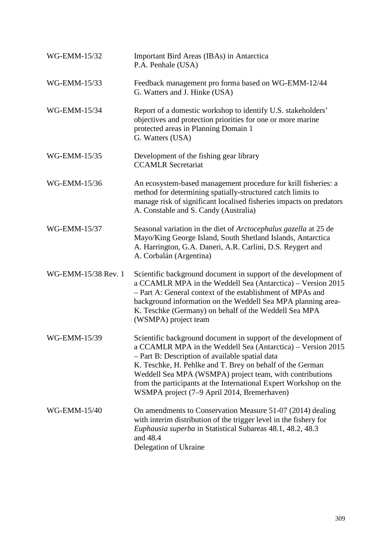| WG-EMM-15/32        | Important Bird Areas (IBAs) in Antarctica<br>P.A. Penhale (USA)                                                                                                                                                                                                                                                                                                                                                                |
|---------------------|--------------------------------------------------------------------------------------------------------------------------------------------------------------------------------------------------------------------------------------------------------------------------------------------------------------------------------------------------------------------------------------------------------------------------------|
| WG-EMM-15/33        | Feedback management pro forma based on WG-EMM-12/44<br>G. Watters and J. Hinke (USA)                                                                                                                                                                                                                                                                                                                                           |
| WG-EMM-15/34        | Report of a domestic workshop to identify U.S. stakeholders'<br>objectives and protection priorities for one or more marine<br>protected areas in Planning Domain 1<br>G. Watters (USA)                                                                                                                                                                                                                                        |
| WG-EMM-15/35        | Development of the fishing gear library<br><b>CCAMLR Secretariat</b>                                                                                                                                                                                                                                                                                                                                                           |
| WG-EMM-15/36        | An ecosystem-based management procedure for krill fisheries: a<br>method for determining spatially-structured catch limits to<br>manage risk of significant localised fisheries impacts on predators<br>A. Constable and S. Candy (Australia)                                                                                                                                                                                  |
| WG-EMM-15/37        | Seasonal variation in the diet of <i>Arctocephalus gazella</i> at 25 de<br>Mayo/King George Island, South Shetland Islands, Antarctica<br>A. Harrington, G.A. Daneri, A.R. Carlini, D.S. Reygert and<br>A. Corbalán (Argentina)                                                                                                                                                                                                |
| WG-EMM-15/38 Rev. 1 | Scientific background document in support of the development of<br>a CCAMLR MPA in the Weddell Sea (Antarctica) - Version 2015<br>- Part A: General context of the establishment of MPAs and<br>background information on the Weddell Sea MPA planning area-<br>K. Teschke (Germany) on behalf of the Weddell Sea MPA<br>(WSMPA) project team                                                                                  |
| WG-EMM-15/39        | Scientific background document in support of the development of<br>a CCAMLR MPA in the Weddell Sea (Antarctica) - Version 2015<br>- Part B: Description of available spatial data<br>K. Teschke, H. Pehlke and T. Brey on behalf of the German<br>Weddell Sea MPA (WSMPA) project team, with contributions<br>from the participants at the International Expert Workshop on the<br>WSMPA project (7–9 April 2014, Bremerhaven) |
| WG-EMM-15/40        | On amendments to Conservation Measure 51-07 (2014) dealing<br>with interim distribution of the trigger level in the fishery for<br><i>Euphausia superba</i> in Statistical Subareas 48.1, 48.2, 48.3<br>and 48.4<br>Delegation of Ukraine                                                                                                                                                                                      |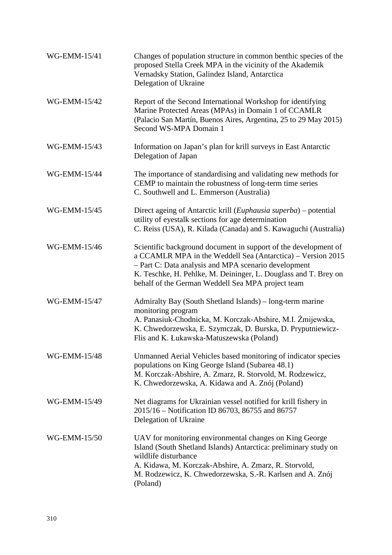| WG-EMM-15/41        | Changes of population structure in common benthic species of the<br>proposed Stella Creek MPA in the vicinity of the Akademik<br>Vernadsky Station, Galindez Island, Antarctica<br>Delegation of Ukraine                                                                                                       |
|---------------------|----------------------------------------------------------------------------------------------------------------------------------------------------------------------------------------------------------------------------------------------------------------------------------------------------------------|
| WG-EMM-15/42        | Report of the Second International Workshop for identifying<br>Marine Protected Areas (MPAs) in Domain 1 of CCAMLR<br>(Palacio San Martín, Buenos Aires, Argentina, 25 to 29 May 2015)<br>Second WS-MPA Domain 1                                                                                               |
| WG-EMM-15/43        | Information on Japan's plan for krill surveys in East Antarctic<br>Delegation of Japan                                                                                                                                                                                                                         |
| <b>WG-EMM-15/44</b> | The importance of standardising and validating new methods for<br>CEMP to maintain the robustness of long-term time series<br>C. Southwell and L. Emmerson (Australia)                                                                                                                                         |
| WG-EMM-15/45        | Direct ageing of Antarctic krill ( <i>Euphausia superba</i> ) – potential<br>utility of eyestalk sections for age determination<br>C. Reiss (USA), R. Kilada (Canada) and S. Kawaguchi (Australia)                                                                                                             |
| WG-EMM-15/46        | Scientific background document in support of the development of<br>a CCAMLR MPA in the Weddell Sea (Antarctica) – Version 2015<br>- Part C: Data analysis and MPA scenario development<br>K. Teschke, H. Pehlke, M. Deininger, L. Douglass and T. Brey on<br>behalf of the German Weddell Sea MPA project team |
| WG-EMM-15/47        | Admiralty Bay (South Shetland Islands) – long-term marine<br>monitoring program<br>A. Panasiuk-Chodnicka, M. Korczak-Abshire, M.I. Żmijewska,<br>K. Chwedorzewska, E. Szymczak, D. Burska, D. Pryputniewicz-<br>Flis and K. Łukawska-Matuszewska (Poland)                                                      |
| WG-EMM-15/48        | Unmanned Aerial Vehicles based monitoring of indicator species<br>populations on King George Island (Subarea 48.1)<br>M. Korczak-Abshire, A. Zmarz, R. Storvold, M. Rodzewicz,<br>K. Chwedorzewska, A. Kidawa and A. Znój (Poland)                                                                             |
| WG-EMM-15/49        | Net diagrams for Ukrainian vessel notified for krill fishery in<br>2015/16 – Notification ID 86703, 86755 and 86757<br>Delegation of Ukraine                                                                                                                                                                   |
| WG-EMM-15/50        | UAV for monitoring environmental changes on King George<br>Island (South Shetland Islands) Antarctica: preliminary study on<br>wildlife disturbance<br>A. Kidawa, M. Korczak-Abshire, A. Zmarz, R. Storvold,<br>M. Rodzewicz, K. Chwedorzewska, S.-R. Karlsen and A. Znój<br>(Poland)                          |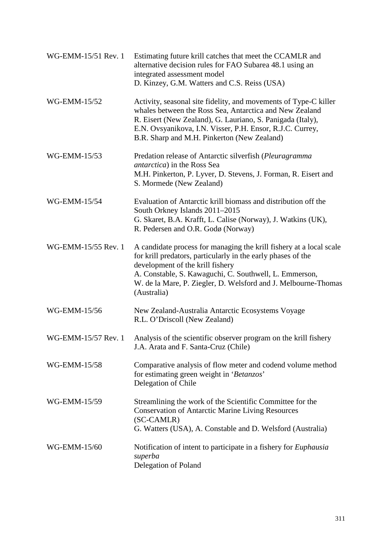| WG-EMM-15/51 Rev. 1 | Estimating future krill catches that meet the CCAMLR and<br>alternative decision rules for FAO Subarea 48.1 using an<br>integrated assessment model<br>D. Kinzey, G.M. Watters and C.S. Reiss (USA)                                                                                                                |
|---------------------|--------------------------------------------------------------------------------------------------------------------------------------------------------------------------------------------------------------------------------------------------------------------------------------------------------------------|
| WG-EMM-15/52        | Activity, seasonal site fidelity, and movements of Type-C killer<br>whales between the Ross Sea, Antarctica and New Zealand<br>R. Eisert (New Zealand), G. Lauriano, S. Panigada (Italy),<br>E.N. Ovsyanikova, I.N. Visser, P.H. Ensor, R.J.C. Currey,<br>B.R. Sharp and M.H. Pinkerton (New Zealand)              |
| WG-EMM-15/53        | Predation release of Antarctic silverfish (Pleuragramma<br><i>antarctica</i> ) in the Ross Sea<br>M.H. Pinkerton, P. Lyver, D. Stevens, J. Forman, R. Eisert and<br>S. Mormede (New Zealand)                                                                                                                       |
| WG-EMM-15/54        | Evaluation of Antarctic krill biomass and distribution off the<br>South Orkney Islands 2011-2015<br>G. Skaret, B.A. Krafft, L. Calise (Norway), J. Watkins (UK),<br>R. Pedersen and O.R. Godø (Norway)                                                                                                             |
| WG-EMM-15/55 Rev. 1 | A candidate process for managing the krill fishery at a local scale<br>for krill predators, particularly in the early phases of the<br>development of the krill fishery<br>A. Constable, S. Kawaguchi, C. Southwell, L. Emmerson,<br>W. de la Mare, P. Ziegler, D. Welsford and J. Melbourne-Thomas<br>(Australia) |
| WG-EMM-15/56        | New Zealand-Australia Antarctic Ecosystems Voyage<br>R.L. O'Driscoll (New Zealand)                                                                                                                                                                                                                                 |
| WG-EMM-15/57 Rev. 1 | Analysis of the scientific observer program on the krill fishery<br>J.A. Arata and F. Santa-Cruz (Chile)                                                                                                                                                                                                           |
| WG-EMM-15/58        | Comparative analysis of flow meter and codend volume method<br>for estimating green weight in 'Betanzos'<br>Delegation of Chile                                                                                                                                                                                    |
| WG-EMM-15/59        | Streamlining the work of the Scientific Committee for the<br><b>Conservation of Antarctic Marine Living Resources</b><br>(SC-CAMLR)<br>G. Watters (USA), A. Constable and D. Welsford (Australia)                                                                                                                  |
| WG-EMM-15/60        | Notification of intent to participate in a fishery for <i>Euphausia</i><br>superba<br>Delegation of Poland                                                                                                                                                                                                         |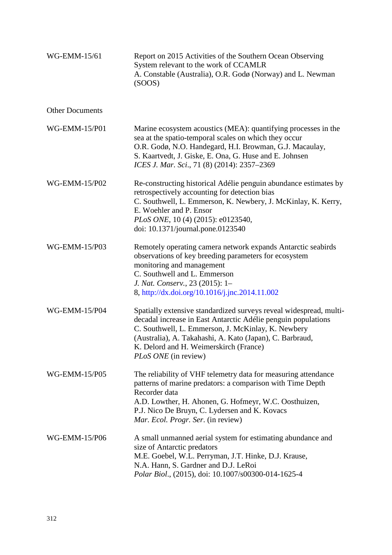| WG-EMM-15/61           | Report on 2015 Activities of the Southern Ocean Observing<br>System relevant to the work of CCAMLR<br>A. Constable (Australia), O.R. Godø (Norway) and L. Newman<br>(SOOS)                                                                                                                                                     |
|------------------------|--------------------------------------------------------------------------------------------------------------------------------------------------------------------------------------------------------------------------------------------------------------------------------------------------------------------------------|
| <b>Other Documents</b> |                                                                                                                                                                                                                                                                                                                                |
| WG-EMM-15/P01          | Marine ecosystem acoustics (MEA): quantifying processes in the<br>sea at the spatio-temporal scales on which they occur<br>O.R. Godø, N.O. Handegard, H.I. Browman, G.J. Macaulay,<br>S. Kaartvedt, J. Giske, E. Ona, G. Huse and E. Johnsen<br>ICES J. Mar. Sci., 71 (8) (2014): 2357-2369                                    |
| WG-EMM-15/P02          | Re-constructing historical Adélie penguin abundance estimates by<br>retrospectively accounting for detection bias<br>C. Southwell, L. Emmerson, K. Newbery, J. McKinlay, K. Kerry,<br>E. Woehler and P. Ensor<br>PLoS ONE, 10 (4) (2015): e0123540,<br>doi: 10.1371/journal.pone.0123540                                       |
| WG-EMM-15/P03          | Remotely operating camera network expands Antarctic seabirds<br>observations of key breeding parameters for ecosystem<br>monitoring and management<br>C. Southwell and L. Emmerson<br>J. Nat. Conserv., 23 (2015): 1-<br>8, http://dx.doi.org/10.1016/j.jnc.2014.11.002                                                        |
| WG-EMM-15/P04          | Spatially extensive standardized surveys reveal widespread, multi-<br>decadal increase in East Antarctic Adélie penguin populations<br>C. Southwell, L. Emmerson, J. McKinlay, K. Newbery<br>(Australia), A. Takahashi, A. Kato (Japan), C. Barbraud,<br>K. Delord and H. Weimerskirch (France)<br><i>PLoS ONE</i> (in review) |
| <b>WG-EMM-15/P05</b>   | The reliability of VHF telemetry data for measuring attendance<br>patterns of marine predators: a comparison with Time Depth<br>Recorder data<br>A.D. Lowther, H. Ahonen, G. Hofmeyr, W.C. Oosthuizen,<br>P.J. Nico De Bruyn, C. Lydersen and K. Kovacs<br>Mar. Ecol. Progr. Ser. (in review)                                  |
| WG-EMM-15/P06          | A small unmanned aerial system for estimating abundance and<br>size of Antarctic predators<br>M.E. Goebel, W.L. Perryman, J.T. Hinke, D.J. Krause,<br>N.A. Hann, S. Gardner and D.J. LeRoi<br>Polar Biol., (2015), doi: 10.1007/s00300-014-1625-4                                                                              |